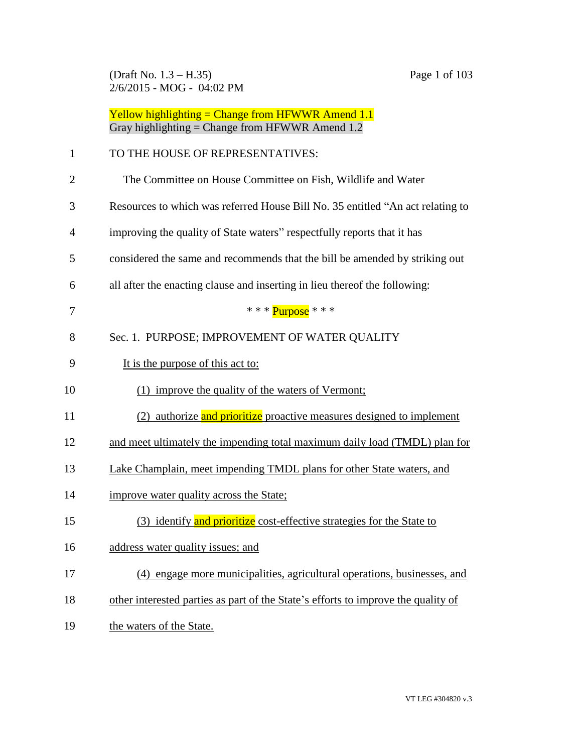(Draft No. 1.3 – H.35) Page 1 of 103 2/6/2015 - MOG - 04:02 PM

|    | Yellow highlighting = Change from HFWWR Amend $1.1$<br>Gray highlighting = Change from HFWWR Amend 1.2 |
|----|--------------------------------------------------------------------------------------------------------|
| 1  | TO THE HOUSE OF REPRESENTATIVES:                                                                       |
| 2  | The Committee on House Committee on Fish, Wildlife and Water                                           |
| 3  | Resources to which was referred House Bill No. 35 entitled "An act relating to                         |
| 4  | improving the quality of State waters" respectfully reports that it has                                |
| 5  | considered the same and recommends that the bill be amended by striking out                            |
| 6  | all after the enacting clause and inserting in lieu thereof the following:                             |
| 7  | * * * $Purnose$ * * *                                                                                  |
| 8  | Sec. 1. PURPOSE; IMPROVEMENT OF WATER QUALITY                                                          |
| 9  | It is the purpose of this act to:                                                                      |
| 10 | improve the quality of the waters of Vermont;<br>(1)                                                   |
| 11 | (2) authorize and prioritize proactive measures designed to implement                                  |
| 12 | and meet ultimately the impending total maximum daily load (TMDL) plan for                             |
| 13 | Lake Champlain, meet impending TMDL plans for other State waters, and                                  |
| 14 | improve water quality across the State;                                                                |
| 15 | (3) identify and prioritize cost-effective strategies for the State to                                 |
| 16 | address water quality issues; and                                                                      |
| 17 | (4) engage more municipalities, agricultural operations, businesses, and                               |
| 18 | other interested parties as part of the State's efforts to improve the quality of                      |
| 19 | the waters of the State.                                                                               |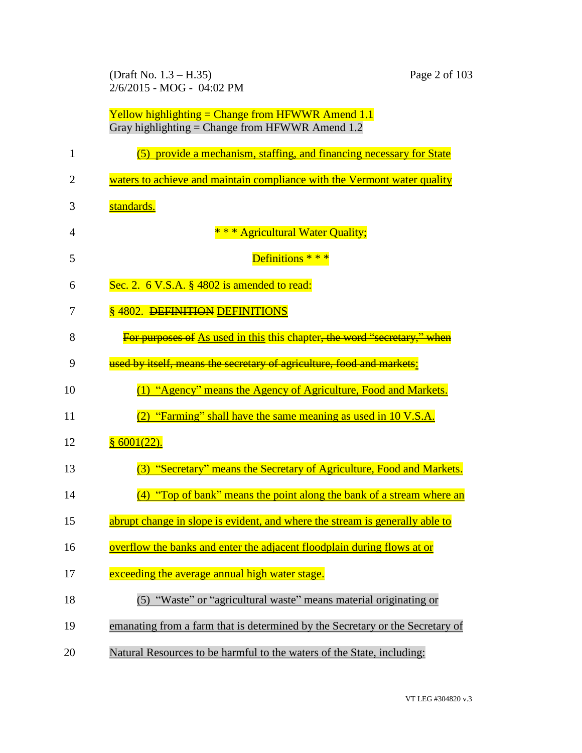(Draft No. 1.3 – H.35) Page 2 of 103 2/6/2015 - MOG - 04:02 PM

|                | Yellow highlighting = Change from HFWWR Amend $1.1$<br>Gray highlighting = Change from HFWWR Amend $1.2$ |
|----------------|----------------------------------------------------------------------------------------------------------|
| 1              | (5) provide a mechanism, staffing, and financing necessary for State                                     |
| $\overline{2}$ | waters to achieve and maintain compliance with the Vermont water quality                                 |
| 3              | standards.                                                                                               |
| $\overline{4}$ | * * * Agricultural Water Quality;                                                                        |
| 5              | Definitions * * *                                                                                        |
| 6              | Sec. 2. $6$ V.S.A. $\S$ 4802 is amended to read:                                                         |
| 7              | § 4802. DEFINITION DEFINITIONS                                                                           |
| 8              | For purposes of As used in this this chapter, the word "secretary," when                                 |
| 9              | used by itself, means the secretary of agriculture, food and markets:                                    |
| 10             | (1) "Agency" means the Agency of Agriculture, Food and Markets.                                          |
| 11             | $(2)$ "Farming" shall have the same meaning as used in 10 V.S.A.                                         |
| 12             | § 6001(22).                                                                                              |
| 13             | "Secretary" means the Secretary of Agriculture, Food and Markets.<br>(3)                                 |
| 14             | "Top of bank" means the point along the bank of a stream where an<br>(4)                                 |
| 15             | abrupt change in slope is evident, and where the stream is generally able to                             |
| 16             | overflow the banks and enter the adjacent floodplain during flows at or                                  |
| 17             | exceeding the average annual high water stage.                                                           |
| 18             | (5) "Waste" or "agricultural waste" means material originating or                                        |
| 19             | emanating from a farm that is determined by the Secretary or the Secretary of                            |
| 20             | Natural Resources to be harmful to the waters of the State, including:                                   |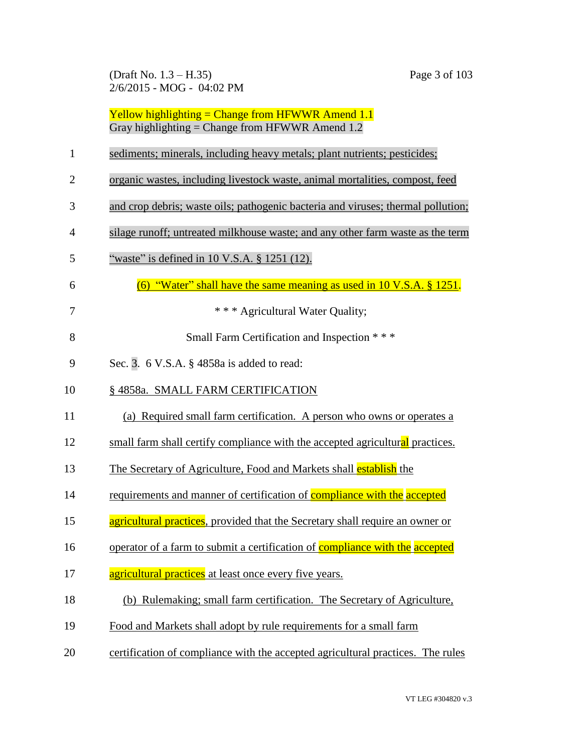(Draft No. 1.3 – H.35) Page 3 of 103 2/6/2015 - MOG - 04:02 PM

- 1 sediments; minerals, including heavy metals; plant nutrients; pesticides;
- 2 organic wastes, including livestock waste, animal mortalities, compost, feed
- 3 and crop debris; waste oils; pathogenic bacteria and viruses; thermal pollution;
- 4 silage runoff; untreated milkhouse waste; and any other farm waste as the term
- 5 "waste" is defined in 10 V.S.A. § 1251 (12).
- 6  $(6)$  "Water" shall have the same meaning as used in 10 V.S.A. § 1251.
- 7 **\* \* \* Agricultural Water Quality;**
- 8 Small Farm Certification and Inspection \* \* \*
- 9 Sec. 3. 6 V.S.A. § 4858a is added to read:
- 10 § 4858a. SMALL FARM CERTIFICATION
- 11 (a) Required small farm certification. A person who owns or operates a
- 12 small farm shall certify compliance with the accepted agricultural practices.
- 13 The Secretary of Agriculture, Food and Markets shall establish the
- 14 requirements and manner of certification of **compliance with the accepted**
- 15 **agricultural practices**, provided that the Secretary shall require an owner or
- 16 operator of a farm to submit a certification of **compliance with the accepted**
- 17 agricultural practices at least once every five years.
- 18 (b) Rulemaking; small farm certification. The Secretary of Agriculture,
- 19 Food and Markets shall adopt by rule requirements for a small farm
- 20 certification of compliance with the accepted agricultural practices. The rules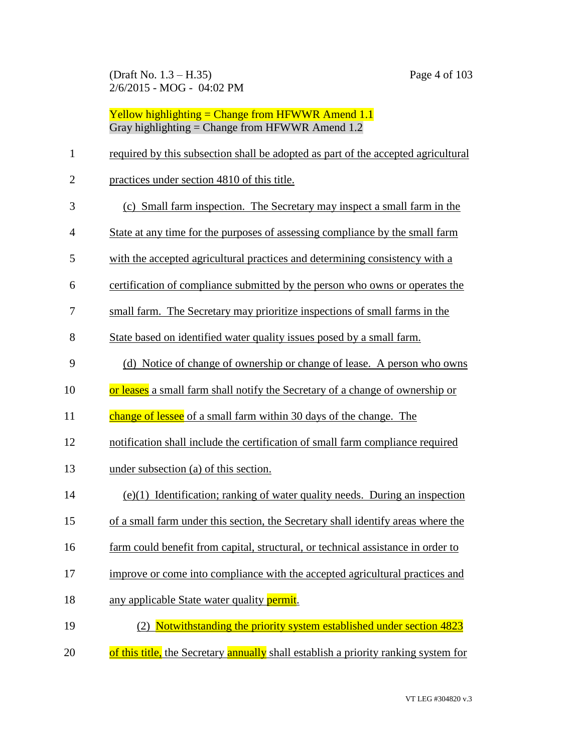(Draft No. 1.3 – H.35) Page 4 of 103 2/6/2015 - MOG - 04:02 PM

| $\mathbf{1}$   | required by this subsection shall be adopted as part of the accepted agricultural   |
|----------------|-------------------------------------------------------------------------------------|
| $\overline{2}$ | practices under section 4810 of this title.                                         |
| 3              | (c) Small farm inspection. The Secretary may inspect a small farm in the            |
| $\overline{4}$ | State at any time for the purposes of assessing compliance by the small farm        |
| 5              | with the accepted agricultural practices and determining consistency with a         |
| 6              | certification of compliance submitted by the person who owns or operates the        |
| 7              | small farm. The Secretary may prioritize inspections of small farms in the          |
| 8              | State based on identified water quality issues posed by a small farm.               |
| 9              | (d) Notice of change of ownership or change of lease. A person who owns             |
| 10             | or leases a small farm shall notify the Secretary of a change of ownership or       |
| 11             | change of lessee of a small farm within 30 days of the change. The                  |
| 12             | notification shall include the certification of small farm compliance required      |
| 13             | under subsection (a) of this section.                                               |
| 14             | $(e)(1)$ Identification; ranking of water quality needs. During an inspection       |
| 15             | of a small farm under this section, the Secretary shall identify areas where the    |
| 16             | farm could benefit from capital, structural, or technical assistance in order to    |
| 17             | improve or come into compliance with the accepted agricultural practices and        |
| 18             | any applicable State water quality permit.                                          |
| 19             | (2) Notwithstanding the priority system established under section 4823              |
| 20             | of this title, the Secretary annually shall establish a priority ranking system for |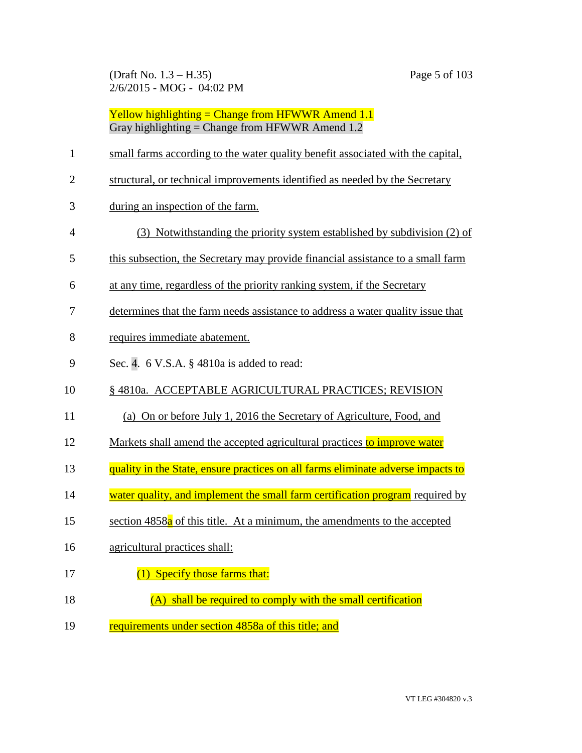| $\mathbf{1}$   | small farms according to the water quality benefit associated with the capital,       |
|----------------|---------------------------------------------------------------------------------------|
| $\overline{2}$ | structural, or technical improvements identified as needed by the Secretary           |
| 3              | during an inspection of the farm.                                                     |
| $\overline{4}$ | (3) Notwithstanding the priority system established by subdivision (2) of             |
| 5              | this subsection, the Secretary may provide financial assistance to a small farm       |
| 6              | at any time, regardless of the priority ranking system, if the Secretary              |
| 7              | determines that the farm needs assistance to address a water quality issue that       |
| 8              | requires immediate abatement.                                                         |
| 9              | Sec. 4. 6 V.S.A. § 4810a is added to read:                                            |
| 10             | § 4810a. ACCEPTABLE AGRICULTURAL PRACTICES; REVISION                                  |
| 11             | (a) On or before July 1, 2016 the Secretary of Agriculture, Food, and                 |
| 12             | Markets shall amend the accepted agricultural practices to improve water              |
| 13             | quality in the State, ensure practices on all farms eliminate adverse impacts to      |
| 14             | water quality, and implement the small farm certification program required by         |
| 15             | section 4858 <sup>a</sup> of this title. At a minimum, the amendments to the accepted |
| 16             | agricultural practices shall:                                                         |
| 17             | (1) Specify those farms that:                                                         |
| 18             | (A) shall be required to comply with the small certification                          |
| 19             | requirements under section 4858a of this title; and                                   |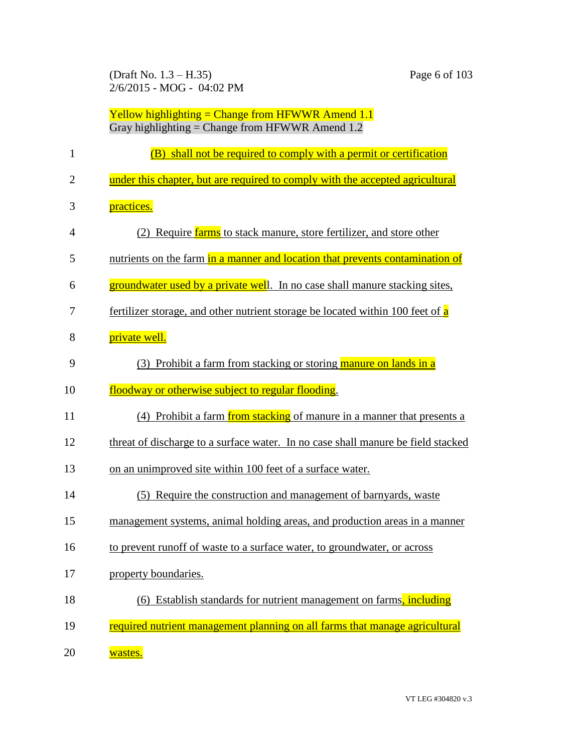(Draft No. 1.3 – H.35) Page 6 of 103 2/6/2015 - MOG - 04:02 PM

| 1              | (B) shall not be required to comply with a permit or certification               |
|----------------|----------------------------------------------------------------------------------|
| $\overline{2}$ | under this chapter, but are required to comply with the accepted agricultural    |
| 3              | practices.                                                                       |
| $\overline{4}$ | Require farms to stack manure, store fertilizer, and store other                 |
| 5              | nutrients on the farm in a manner and location that prevents contamination of    |
| 6              | groundwater used by a private well. In no case shall manure stacking sites,      |
| 7              | fertilizer storage, and other nutrient storage be located within 100 feet of a   |
| 8              | private well.                                                                    |
| 9              | (3) Prohibit a farm from stacking or storing manure on lands in a                |
| 10             | floodway or otherwise subject to regular flooding.                               |
| 11             | (4) Prohibit a farm from stacking of manure in a manner that presents a          |
| 12             | threat of discharge to a surface water. In no case shall manure be field stacked |
| 13             | on an unimproved site within 100 feet of a surface water.                        |
| 14             | Require the construction and management of barnyards, waster<br>(5)              |
| 15             | management systems, animal holding areas, and production areas in a manner       |
| 16             | to prevent runoff of waste to a surface water, to groundwater, or across         |
| 17             | property boundaries.                                                             |
| 18             | (6) Establish standards for nutrient management on farms, including              |
| 19             | required nutrient management planning on all farms that manage agricultural      |
| 20             | wastes.                                                                          |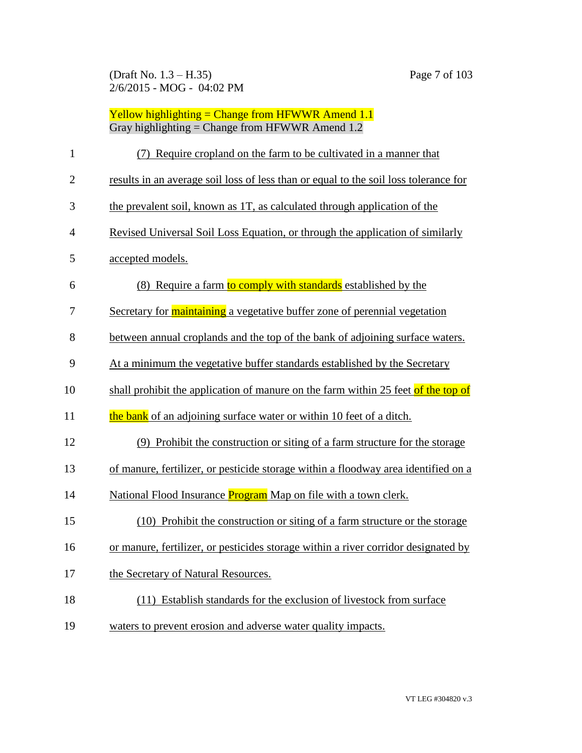| $\mathbf{1}$   | (7) Require cropland on the farm to be cultivated in a manner that                   |
|----------------|--------------------------------------------------------------------------------------|
| $\overline{2}$ | results in an average soil loss of less than or equal to the soil loss tolerance for |
| 3              | the prevalent soil, known as 1T, as calculated through application of the            |
| 4              | Revised Universal Soil Loss Equation, or through the application of similarly        |
| 5              | accepted models.                                                                     |
| 6              | (8) Require a farm to comply with standards established by the                       |
| 7              | Secretary for <b>maintaining</b> a vegetative buffer zone of perennial vegetation    |
| 8              | between annual croplands and the top of the bank of adjoining surface waters.        |
| 9              | At a minimum the vegetative buffer standards established by the Secretary            |
| 10             | shall prohibit the application of manure on the farm within 25 feet of the top of    |
| 11             | the bank of an adjoining surface water or within 10 feet of a ditch.                 |
| 12             | (9) Prohibit the construction or siting of a farm structure for the storage          |
| 13             | of manure, fertilizer, or pesticide storage within a floodway area identified on a   |
| 14             | National Flood Insurance <b>Program</b> Map on file with a town clerk.               |
| 15             | (10) Prohibit the construction or siting of a farm structure or the storage          |
| 16             | or manure, fertilizer, or pesticides storage within a river corridor designated by   |
| 17             | the Secretary of Natural Resources.                                                  |
| 18             | (11) Establish standards for the exclusion of livestock from surface                 |
| 19             | waters to prevent erosion and adverse water quality impacts.                         |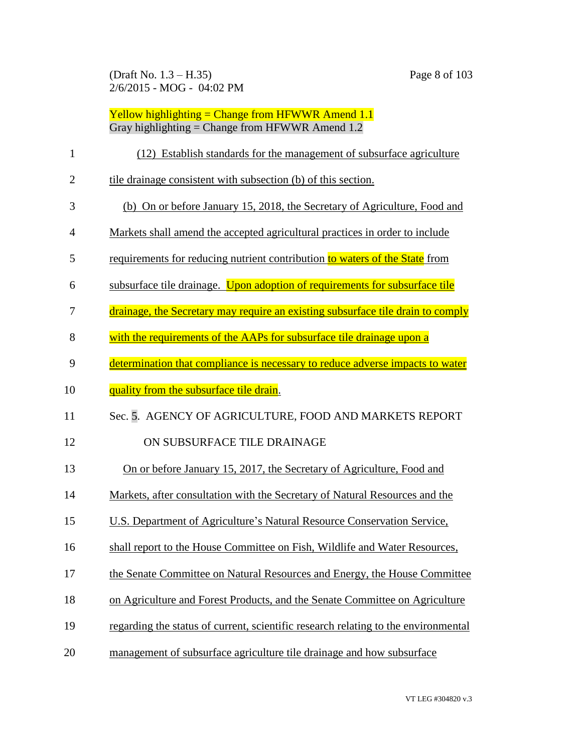| $\mathbf{1}$   | (12) Establish standards for the management of subsurface agriculture              |
|----------------|------------------------------------------------------------------------------------|
| $\overline{2}$ | tile drainage consistent with subsection (b) of this section.                      |
| 3              | (b) On or before January 15, 2018, the Secretary of Agriculture, Food and          |
| 4              | Markets shall amend the accepted agricultural practices in order to include        |
| 5              | requirements for reducing nutrient contribution to waters of the State from        |
| 6              | subsurface tile drainage. Upon adoption of requirements for subsurface tile        |
| 7              | drainage, the Secretary may require an existing subsurface tile drain to comply    |
| 8              | with the requirements of the AAPs for subsurface tile drainage upon a              |
| 9              | determination that compliance is necessary to reduce adverse impacts to water      |
| 10             | quality from the subsurface tile drain.                                            |
| 11             | Sec. 5. AGENCY OF AGRICULTURE, FOOD AND MARKETS REPORT                             |
| 12             | ON SUBSURFACE TILE DRAINAGE                                                        |
| 13             | On or before January 15, 2017, the Secretary of Agriculture, Food and              |
| 14             | Markets, after consultation with the Secretary of Natural Resources and the        |
| 15             | U.S. Department of Agriculture's Natural Resource Conservation Service,            |
| 16             | shall report to the House Committee on Fish, Wildlife and Water Resources,         |
| 17             | the Senate Committee on Natural Resources and Energy, the House Committee          |
| 18             | on Agriculture and Forest Products, and the Senate Committee on Agriculture        |
| 19             | regarding the status of current, scientific research relating to the environmental |
| 20             | management of subsurface agriculture tile drainage and how subsurface              |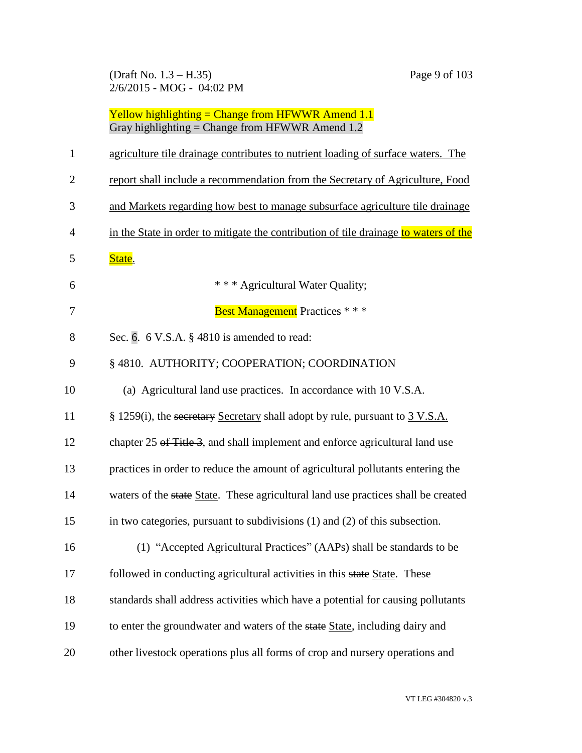(Draft No. 1.3 – H.35) Page 9 of 103 2/6/2015 - MOG - 04:02 PM

| $\mathbf{1}$   | agriculture tile drainage contributes to nutrient loading of surface waters. The     |
|----------------|--------------------------------------------------------------------------------------|
| $\overline{2}$ | report shall include a recommendation from the Secretary of Agriculture, Food        |
| 3              | and Markets regarding how best to manage subsurface agriculture tile drainage        |
| $\overline{4}$ | in the State in order to mitigate the contribution of tile drainage to waters of the |
| 5              | State.                                                                               |
| 6              | * * * Agricultural Water Quality;                                                    |
| 7              | <b>Best Management</b> Practices * * *                                               |
| 8              | Sec. 6. 6 V.S.A. § 4810 is amended to read:                                          |
| 9              | §4810. AUTHORITY; COOPERATION; COORDINATION                                          |
| 10             | (a) Agricultural land use practices. In accordance with 10 V.S.A.                    |
| 11             | § 1259(i), the secretary Secretary shall adopt by rule, pursuant to 3 V.S.A.         |
| 12             | chapter 25 of Title 3, and shall implement and enforce agricultural land use         |
| 13             | practices in order to reduce the amount of agricultural pollutants entering the      |
| 14             | waters of the state State. These agricultural land use practices shall be created    |
| 15             | in two categories, pursuant to subdivisions $(1)$ and $(2)$ of this subsection.      |
| 16             | (1) "Accepted Agricultural Practices" (AAPs) shall be standards to be                |
| 17             | followed in conducting agricultural activities in this state State. These            |
| 18             | standards shall address activities which have a potential for causing pollutants     |
| 19             | to enter the groundwater and waters of the state State, including dairy and          |
| 20             | other livestock operations plus all forms of crop and nursery operations and         |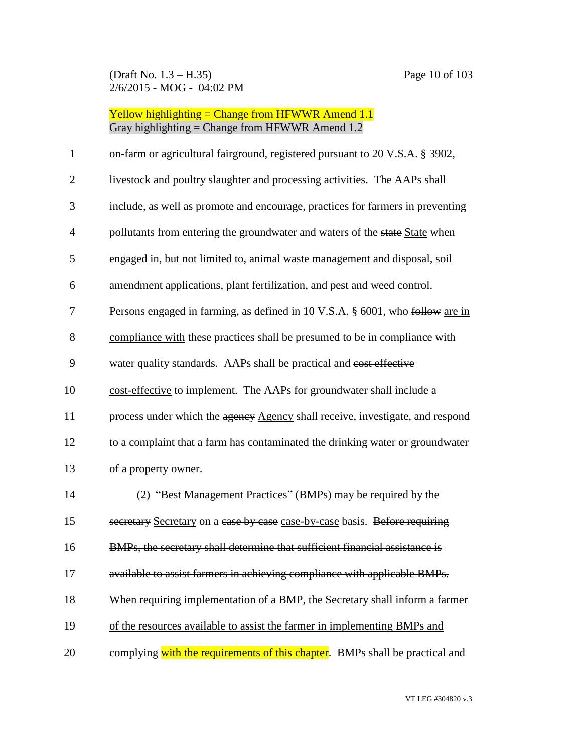(Draft No. 1.3 – H.35) Page 10 of 103 2/6/2015 - MOG - 04:02 PM

# Yellow highlighting = Change from HFWWR Amend 1.1 Gray highlighting = Change from HFWWR Amend 1.2

| $\mathbf{1}$   | on-farm or agricultural fairground, registered pursuant to 20 V.S.A. § 3902,   |
|----------------|--------------------------------------------------------------------------------|
| $\overline{2}$ | livestock and poultry slaughter and processing activities. The AAPs shall      |
| 3              | include, as well as promote and encourage, practices for farmers in preventing |
| $\overline{4}$ | pollutants from entering the groundwater and waters of the state State when    |
| 5              | engaged in, but not limited to, animal waste management and disposal, soil     |
| 6              | amendment applications, plant fertilization, and pest and weed control.        |
| 7              | Persons engaged in farming, as defined in 10 V.S.A. § 6001, who follow are in  |
| 8              | compliance with these practices shall be presumed to be in compliance with     |
| 9              | water quality standards. AAPs shall be practical and cost effective            |
| 10             | cost-effective to implement. The AAPs for groundwater shall include a          |
| 11             | process under which the agency Agency shall receive, investigate, and respond  |
| 12             | to a complaint that a farm has contaminated the drinking water or groundwater  |
| 13             | of a property owner.                                                           |
| 14             | (2) "Best Management Practices" (BMPs) may be required by the                  |
| 15             | secretary Secretary on a case by case case-by-case basis. Before requiring     |
| 16             | BMPs, the secretary shall determine that sufficient financial assistance is    |
| 17             | available to assist farmers in achieving compliance with applicable BMPs.      |
| 18             | When requiring implementation of a BMP, the Secretary shall inform a farmer    |
| 19             | of the resources available to assist the farmer in implementing BMPs and       |
| 20             | complying with the requirements of this chapter. BMPs shall be practical and   |

VT LEG #304820 v.3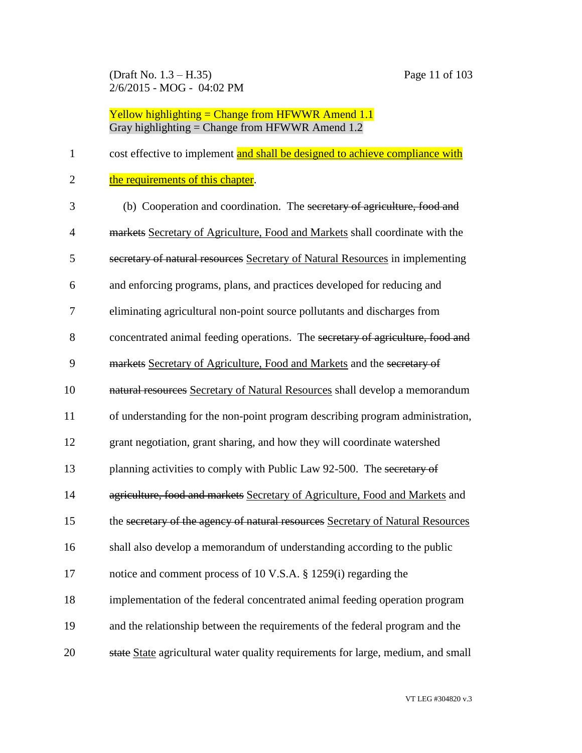(Draft No. 1.3 – H.35) Page 11 of 103 2/6/2015 - MOG - 04:02 PM

| $\mathbf{1}$   | cost effective to implement and shall be designed to achieve compliance with     |
|----------------|----------------------------------------------------------------------------------|
| $\overline{2}$ | the requirements of this chapter.                                                |
| 3              | (b) Cooperation and coordination. The secretary of agriculture, food and         |
| $\overline{4}$ | markets Secretary of Agriculture, Food and Markets shall coordinate with the     |
| 5              | secretary of natural resources Secretary of Natural Resources in implementing    |
| 6              | and enforcing programs, plans, and practices developed for reducing and          |
| 7              | eliminating agricultural non-point source pollutants and discharges from         |
| 8              | concentrated animal feeding operations. The secretary of agriculture, food and   |
| 9              | markets Secretary of Agriculture, Food and Markets and the secretary of          |
| 10             | natural resources Secretary of Natural Resources shall develop a memorandum      |
| 11             | of understanding for the non-point program describing program administration,    |
| 12             | grant negotiation, grant sharing, and how they will coordinate watershed         |
| 13             | planning activities to comply with Public Law 92-500. The secretary of           |
| 14             | agriculture, food and markets Secretary of Agriculture, Food and Markets and     |
| 15             | the secretary of the agency of natural resources Secretary of Natural Resources  |
| 16             | shall also develop a memorandum of understanding according to the public         |
| 17             | notice and comment process of 10 V.S.A. § 1259(i) regarding the                  |
| 18             | implementation of the federal concentrated animal feeding operation program      |
| 19             | and the relationship between the requirements of the federal program and the     |
| 20             | state State agricultural water quality requirements for large, medium, and small |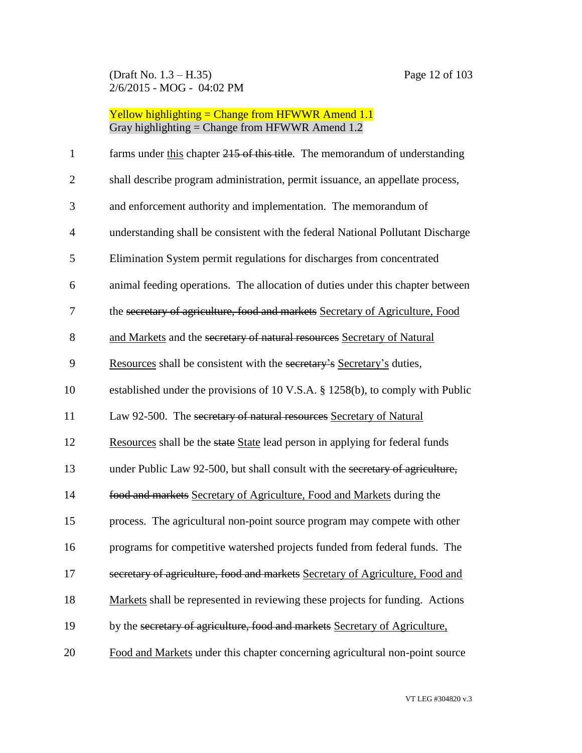| $\mathbf{1}$   | farms under this chapter 215 of this title. The memorandum of understanding     |
|----------------|---------------------------------------------------------------------------------|
| $\overline{2}$ | shall describe program administration, permit issuance, an appellate process,   |
| 3              | and enforcement authority and implementation. The memorandum of                 |
| $\overline{4}$ | understanding shall be consistent with the federal National Pollutant Discharge |
| 5              | Elimination System permit regulations for discharges from concentrated          |
| 6              | animal feeding operations. The allocation of duties under this chapter between  |
| 7              | the secretary of agriculture, food and markets Secretary of Agriculture, Food   |
| 8              | and Markets and the secretary of natural resources Secretary of Natural         |
| 9              | Resources shall be consistent with the secretary's Secretary's duties,          |
| 10             | established under the provisions of 10 V.S.A. § 1258(b), to comply with Public  |
| 11             | Law 92-500. The secretary of natural resources Secretary of Natural             |
| 12             | Resources shall be the state State lead person in applying for federal funds    |
| 13             | under Public Law 92-500, but shall consult with the secretary of agriculture,   |
| 14             | food and markets Secretary of Agriculture, Food and Markets during the          |
| 15             | process. The agricultural non-point source program may compete with other       |
| 16             | programs for competitive watershed projects funded from federal funds. The      |
| 17             | secretary of agriculture, food and markets Secretary of Agriculture, Food and   |
| 18             | Markets shall be represented in reviewing these projects for funding. Actions   |
| 19             | by the secretary of agriculture, food and markets Secretary of Agriculture,     |
| 20             | Food and Markets under this chapter concerning agricultural non-point source    |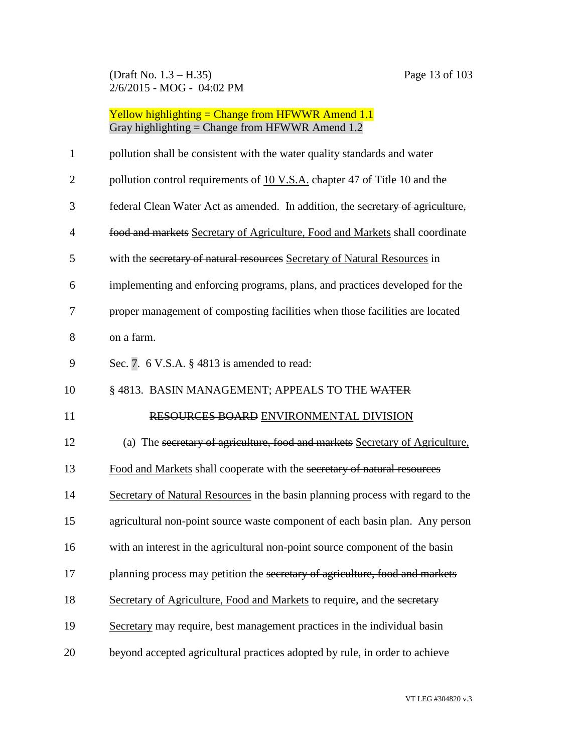| $\mathbf{1}$   | pollution shall be consistent with the water quality standards and water        |
|----------------|---------------------------------------------------------------------------------|
| $\overline{2}$ | pollution control requirements of 10 V.S.A. chapter 47 of Title 10 and the      |
| 3              | federal Clean Water Act as amended. In addition, the secretary of agriculture,  |
| $\overline{4}$ | food and markets Secretary of Agriculture, Food and Markets shall coordinate    |
| 5              | with the secretary of natural resources Secretary of Natural Resources in       |
| 6              | implementing and enforcing programs, plans, and practices developed for the     |
| 7              | proper management of composting facilities when those facilities are located    |
| 8              | on a farm.                                                                      |
| 9              | Sec. 7. $6$ V.S.A. $\S$ 4813 is amended to read:                                |
| 10             | § 4813. BASIN MANAGEMENT; APPEALS TO THE WATER                                  |
|                |                                                                                 |
| 11             | RESOURCES BOARD ENVIRONMENTAL DIVISION                                          |
| 12             | (a) The secretary of agriculture, food and markets Secretary of Agriculture,    |
| 13             | Food and Markets shall cooperate with the secretary of natural resources        |
| 14             | Secretary of Natural Resources in the basin planning process with regard to the |
| 15             | agricultural non-point source waste component of each basin plan. Any person    |
| 16             | with an interest in the agricultural non-point source component of the basin    |
| 17             | planning process may petition the secretary of agriculture, food and markets    |
| 18             | Secretary of Agriculture, Food and Markets to require, and the secretary        |
| 19             | Secretary may require, best management practices in the individual basin        |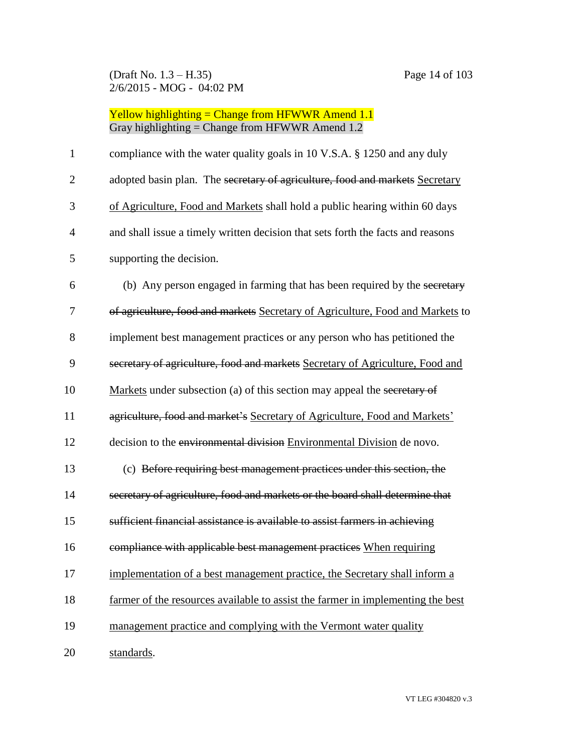| $\mathbf{1}$   | compliance with the water quality goals in 10 V.S.A. § 1250 and any duly        |
|----------------|---------------------------------------------------------------------------------|
| $\overline{2}$ | adopted basin plan. The secretary of agriculture, food and markets Secretary    |
| 3              | of Agriculture, Food and Markets shall hold a public hearing within 60 days     |
| 4              | and shall issue a timely written decision that sets forth the facts and reasons |
| 5              | supporting the decision.                                                        |
| 6              | (b) Any person engaged in farming that has been required by the secretary       |
| 7              | of agriculture, food and markets Secretary of Agriculture, Food and Markets to  |
| 8              | implement best management practices or any person who has petitioned the        |
| 9              | secretary of agriculture, food and markets Secretary of Agriculture, Food and   |
| 10             | Markets under subsection (a) of this section may appeal the secretary of        |
| 11             | agriculture, food and market's Secretary of Agriculture, Food and Markets'      |
| 12             | decision to the environmental division Environmental Division de novo.          |
| 13             | (c) Before requiring best management practices under this section, the          |
| 14             | secretary of agriculture, food and markets or the board shall determine that    |
| 15             | sufficient financial assistance is available to assist farmers in achieving     |
| 16             | compliance with applicable best management practices When requiring             |
| 17             | implementation of a best management practice, the Secretary shall inform a      |
| 18             | farmer of the resources available to assist the farmer in implementing the best |
| 19             | management practice and complying with the Vermont water quality                |
| 20             | standards.                                                                      |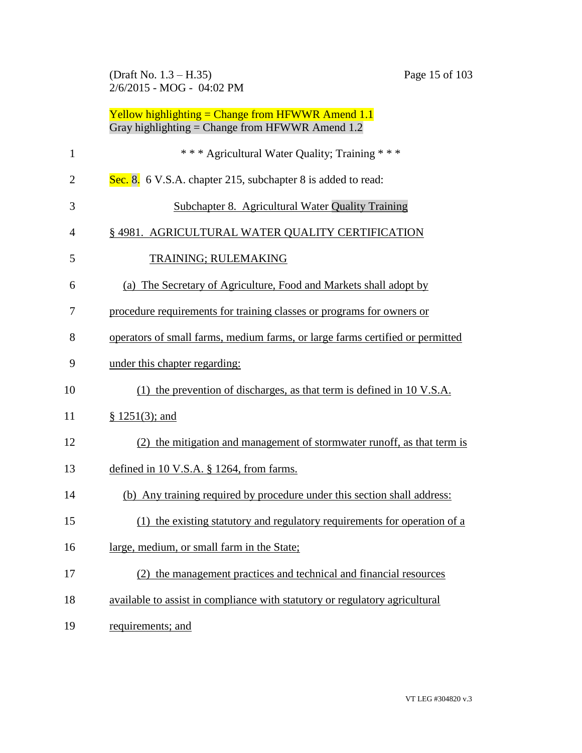(Draft No. 1.3 – H.35) Page 15 of 103 2/6/2015 - MOG - 04:02 PM

|                | Yellow highlighting = Change from HFWWR Amend $1.1$<br>Gray highlighting = Change from HFWWR Amend $1.2$ |
|----------------|----------------------------------------------------------------------------------------------------------|
| $\mathbf{1}$   | *** Agricultural Water Quality; Training ***                                                             |
| $\overline{2}$ | Sec. 8. 6 V.S.A. chapter 215, subchapter 8 is added to read:                                             |
| 3              | Subchapter 8. Agricultural Water Quality Training                                                        |
| 4              | § 4981. AGRICULTURAL WATER QUALITY CERTIFICATION                                                         |
| 5              | TRAINING; RULEMAKING                                                                                     |
| 6              | (a) The Secretary of Agriculture, Food and Markets shall adopt by                                        |
| 7              | procedure requirements for training classes or programs for owners or                                    |
| 8              | operators of small farms, medium farms, or large farms certified or permitted                            |
| 9              | under this chapter regarding:                                                                            |
| 10             | $(1)$ the prevention of discharges, as that term is defined in 10 V.S.A.                                 |
| 11             | $§$ 1251(3); and                                                                                         |
| 12             | (2) the mitigation and management of stormwater runoff, as that term is                                  |
| 13             | defined in 10 V.S.A. $\S$ 1264, from farms.                                                              |
| 14             | (b) Any training required by procedure under this section shall address:                                 |
| 15             | (1) the existing statutory and regulatory requirements for operation of a                                |
| 16             | large, medium, or small farm in the State;                                                               |
| 17             | (2) the management practices and technical and financial resources                                       |
| 18             | available to assist in compliance with statutory or regulatory agricultural                              |
| 19             | requirements; and                                                                                        |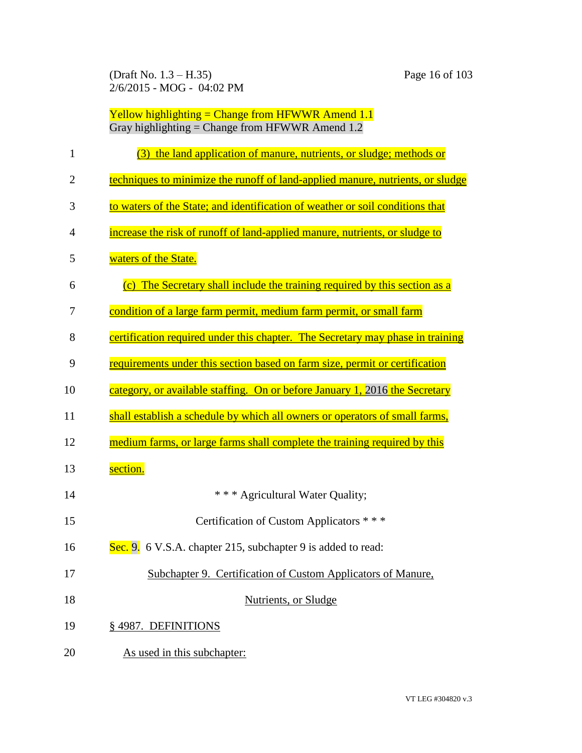(Draft No. 1.3 – H.35) Page 16 of 103 2/6/2015 - MOG - 04:02 PM

| 1              | the land application of manure, nutrients, or sludge; methods or<br>(3)        |
|----------------|--------------------------------------------------------------------------------|
| $\overline{2}$ | techniques to minimize the runoff of land-applied manure, nutrients, or sludge |
| 3              | to waters of the State; and identification of weather or soil conditions that  |
| $\overline{4}$ | increase the risk of runoff of land-applied manure, nutrients, or sludge to    |
| 5              | waters of the State.                                                           |
| 6              | (c) The Secretary shall include the training required by this section as a     |
| 7              | condition of a large farm permit, medium farm permit, or small farm            |
| 8              | certification required under this chapter. The Secretary may phase in training |
| 9              | requirements under this section based on farm size, permit or certification    |
| 10             | category, or available staffing. On or before January 1, 2016 the Secretary    |
| 11             | shall establish a schedule by which all owners or operators of small farms,    |
| 12             | medium farms, or large farms shall complete the training required by this      |
| 13             | section.                                                                       |
| 14             | * * * Agricultural Water Quality;                                              |
| 15             | Certification of Custom Applicators * * *                                      |
| 16             | Sec. 9. 6 V.S.A. chapter 215, subchapter 9 is added to read:                   |
| 17             | Subchapter 9. Certification of Custom Applicators of Manure,                   |
| 18             | Nutrients, or Sludge                                                           |
| 19             | §4987. DEFINITIONS                                                             |
|                |                                                                                |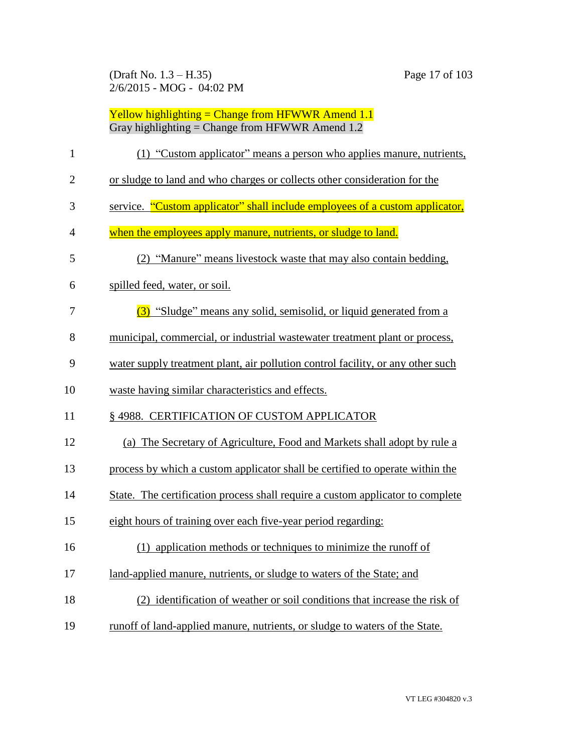(Draft No. 1.3 – H.35) Page 17 of 103 2/6/2015 - MOG - 04:02 PM

| $\mathbf{1}$   | (1) "Custom applicator" means a person who applies manure, nutrients,           |
|----------------|---------------------------------------------------------------------------------|
| $\overline{2}$ | or sludge to land and who charges or collects other consideration for the       |
| 3              | service. "Custom applicator" shall include employees of a custom applicator,    |
| $\overline{4}$ | when the employees apply manure, nutrients, or sludge to land.                  |
| 5              | (2) "Manure" means livestock waste that may also contain bedding,               |
| 6              | spilled feed, water, or soil.                                                   |
| 7              | (3) "Sludge" means any solid, semisolid, or liquid generated from a             |
| 8              | municipal, commercial, or industrial wastewater treatment plant or process,     |
| 9              | water supply treatment plant, air pollution control facility, or any other such |
| 10             | waste having similar characteristics and effects.                               |
| 11             | § 4988. CERTIFICATION OF CUSTOM APPLICATOR                                      |
| 12             | (a) The Secretary of Agriculture, Food and Markets shall adopt by rule a        |
| 13             | process by which a custom applicator shall be certified to operate within the   |
| 14             | State. The certification process shall require a custom applicator to complete  |
| 15             | eight hours of training over each five-year period regarding:                   |
| 16             | (1) application methods or techniques to minimize the runoff of                 |
| 17             | land-applied manure, nutrients, or sludge to waters of the State; and           |
| 18             | (2) identification of weather or soil conditions that increase the risk of      |
| 19             | runoff of land-applied manure, nutrients, or sludge to waters of the State.     |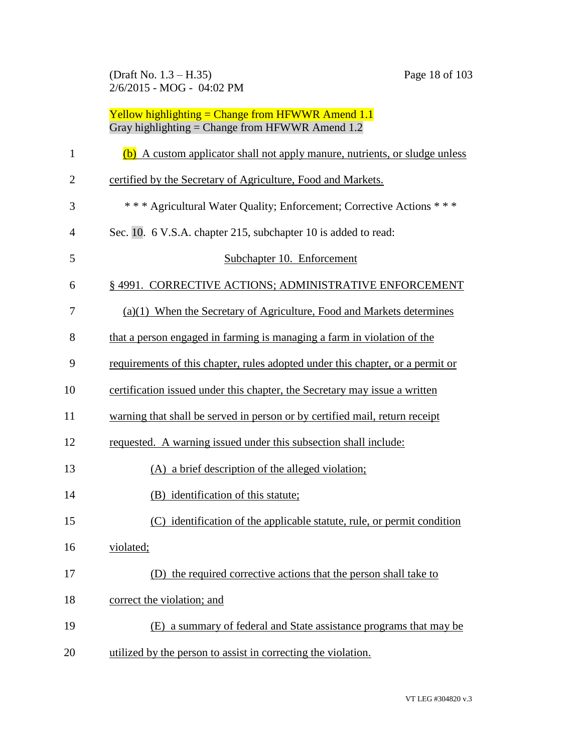(Draft No. 1.3 – H.35) Page 18 of 103 2/6/2015 - MOG - 04:02 PM

| $\mathbf{1}$   | (b) A custom applicator shall not apply manure, nutrients, or sludge unless    |
|----------------|--------------------------------------------------------------------------------|
| $\overline{2}$ | certified by the Secretary of Agriculture, Food and Markets.                   |
| 3              | *** Agricultural Water Quality; Enforcement; Corrective Actions ***            |
| 4              | Sec. 10. 6 V.S.A. chapter 215, subchapter 10 is added to read:                 |
| 5              | Subchapter 10. Enforcement                                                     |
| 6              | §4991. CORRECTIVE ACTIONS; ADMINISTRATIVE ENFORCEMENT                          |
| 7              | (a)(1) When the Secretary of Agriculture, Food and Markets determines          |
| 8              | that a person engaged in farming is managing a farm in violation of the        |
| 9              | requirements of this chapter, rules adopted under this chapter, or a permit or |
| 10             | certification issued under this chapter, the Secretary may issue a written     |
| 11             | warning that shall be served in person or by certified mail, return receipt    |
| 12             | requested. A warning issued under this subsection shall include:               |
| 13             | (A) a brief description of the alleged violation;                              |
| 14             | (B) identification of this statute;                                            |
| 15             | (C) identification of the applicable statute, rule, or permit condition        |
| 16             | violated;                                                                      |
| 17             | (D) the required corrective actions that the person shall take to              |
| 18             | correct the violation; and                                                     |
| 19             | (E) a summary of federal and State assistance programs that may be             |
| 20             | utilized by the person to assist in correcting the violation.                  |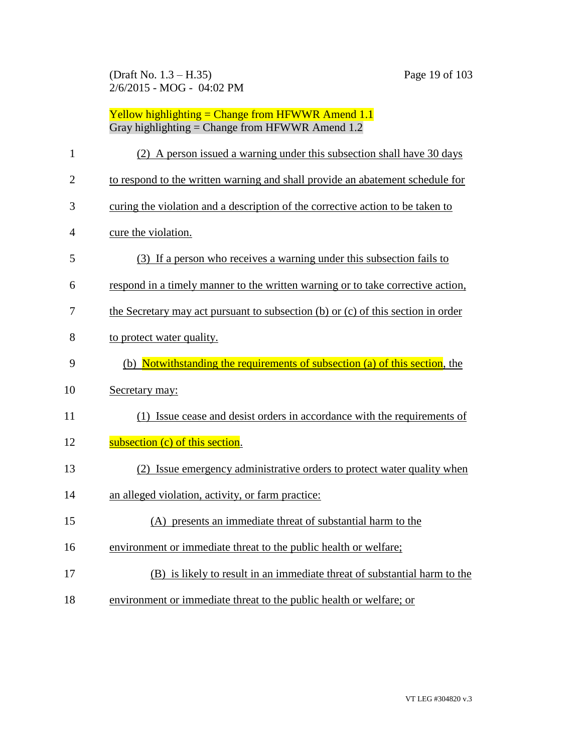(Draft No. 1.3 – H.35) Page 19 of 103 2/6/2015 - MOG - 04:02 PM

| $\mathbf{1}$   | (2) A person issued a warning under this subsection shall have 30 days           |
|----------------|----------------------------------------------------------------------------------|
| $\overline{c}$ | to respond to the written warning and shall provide an abatement schedule for    |
| 3              | curing the violation and a description of the corrective action to be taken to   |
| $\overline{4}$ | cure the violation.                                                              |
| 5              | (3) If a person who receives a warning under this subsection fails to            |
| 6              | respond in a timely manner to the written warning or to take corrective action,  |
| 7              | the Secretary may act pursuant to subsection (b) or (c) of this section in order |
| 8              | to protect water quality.                                                        |
| 9              | (b) Notwithstanding the requirements of subsection (a) of this section, the      |
| 10             | Secretary may:                                                                   |
| 11             | (1) Issue cease and desist orders in accordance with the requirements of         |
| 12             | subsection (c) of this section.                                                  |
| 13             | (2) Issue emergency administrative orders to protect water quality when          |
| 14             | an alleged violation, activity, or farm practice:                                |
| 15             | (A) presents an immediate threat of substantial harm to the                      |
| 16             | environment or immediate threat to the public health or welfare;                 |
| 17             | (B) is likely to result in an immediate threat of substantial harm to the        |
| 18             | environment or immediate threat to the public health or welfare; or              |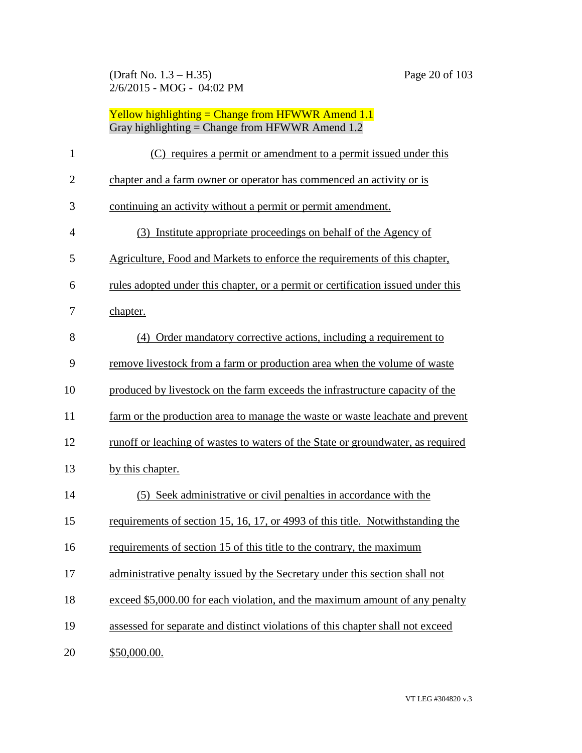| 1              | (C) requires a permit or amendment to a permit issued under this                 |
|----------------|----------------------------------------------------------------------------------|
| $\overline{2}$ | chapter and a farm owner or operator has commenced an activity or is             |
| 3              | continuing an activity without a permit or permit amendment.                     |
| 4              | (3) Institute appropriate proceedings on behalf of the Agency of                 |
| 5              | Agriculture, Food and Markets to enforce the requirements of this chapter,       |
| 6              | rules adopted under this chapter, or a permit or certification issued under this |
| 7              | chapter.                                                                         |
| 8              | (4) Order mandatory corrective actions, including a requirement to               |
| 9              | remove livestock from a farm or production area when the volume of waste         |
| 10             | produced by livestock on the farm exceeds the infrastructure capacity of the     |
| 11             | farm or the production area to manage the waste or waste leachate and prevent    |
| 12             | runoff or leaching of wastes to waters of the State or groundwater, as required  |
| 13             | by this chapter.                                                                 |
| 14             | (5) Seek administrative or civil penalties in accordance with the                |
| 15             | requirements of section 15, 16, 17, or 4993 of this title. Notwithstanding the   |
| 16             | requirements of section 15 of this title to the contrary, the maximum            |
| 17             | administrative penalty issued by the Secretary under this section shall not      |
| 18             | exceed \$5,000.00 for each violation, and the maximum amount of any penalty      |
| 19             | assessed for separate and distinct violations of this chapter shall not exceed   |
| 20             | \$50,000.00.                                                                     |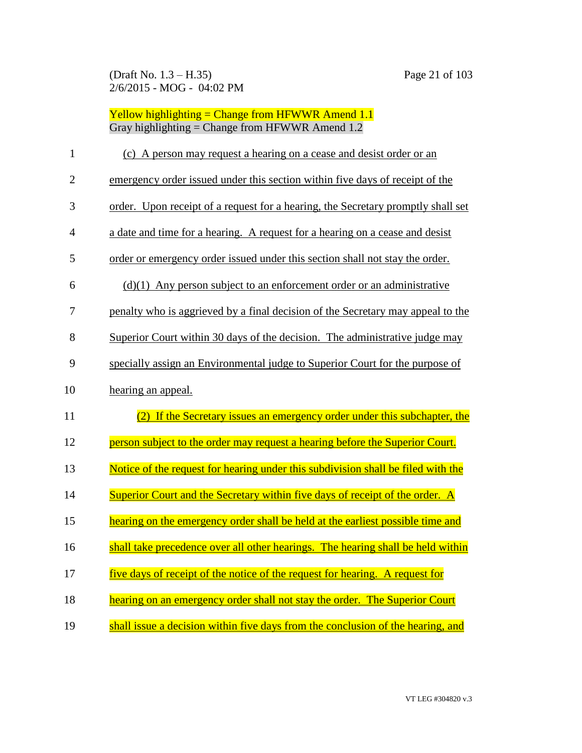| $\mathbf{1}$   | (c) A person may request a hearing on a cease and desist order or an             |
|----------------|----------------------------------------------------------------------------------|
| $\overline{2}$ | emergency order issued under this section within five days of receipt of the     |
| 3              | order. Upon receipt of a request for a hearing, the Secretary promptly shall set |
| 4              | a date and time for a hearing. A request for a hearing on a cease and desist     |
| 5              | order or emergency order issued under this section shall not stay the order.     |
| 6              | $(d)(1)$ Any person subject to an enforcement order or an administrative         |
| 7              | penalty who is aggrieved by a final decision of the Secretary may appeal to the  |
| 8              | Superior Court within 30 days of the decision. The administrative judge may      |
| 9              | specially assign an Environmental judge to Superior Court for the purpose of     |
| 10             | hearing an appeal.                                                               |
| 11             | (2) If the Secretary issues an emergency order under this subchapter, the        |
| 12             | person subject to the order may request a hearing before the Superior Court.     |
| 13             | Notice of the request for hearing under this subdivision shall be filed with the |
| 14             | Superior Court and the Secretary within five days of receipt of the order. A     |
| 15             | hearing on the emergency order shall be held at the earliest possible time and   |
| 16             | shall take precedence over all other hearings. The hearing shall be held within  |
| 17             | five days of receipt of the notice of the request for hearing. A request for     |
| 18             | hearing on an emergency order shall not stay the order. The Superior Court       |
| 19             | shall issue a decision within five days from the conclusion of the hearing, and  |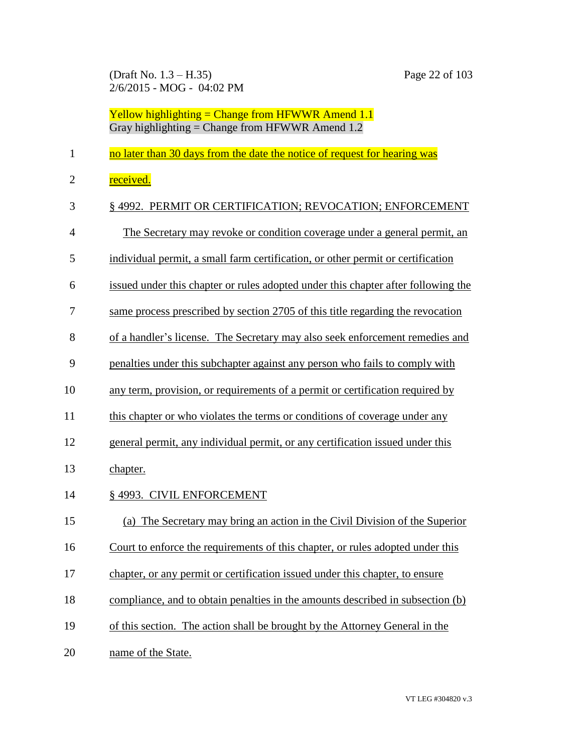(Draft No. 1.3 – H.35) Page 22 of 103 2/6/2015 - MOG - 04:02 PM

- 1 no later than 30 days from the date the notice of request for hearing was
- 2 received.

| 3              | § 4992. PERMIT OR CERTIFICATION; REVOCATION; ENFORCEMENT                          |
|----------------|-----------------------------------------------------------------------------------|
| $\overline{4}$ | The Secretary may revoke or condition coverage under a general permit, an         |
| 5              | individual permit, a small farm certification, or other permit or certification   |
| 6              | issued under this chapter or rules adopted under this chapter after following the |
| $\overline{7}$ | same process prescribed by section 2705 of this title regarding the revocation    |
| 8              | of a handler's license. The Secretary may also seek enforcement remedies and      |
| 9              | penalties under this subchapter against any person who fails to comply with       |
| 10             | any term, provision, or requirements of a permit or certification required by     |
| 11             | this chapter or who violates the terms or conditions of coverage under any        |
| 12             | general permit, any individual permit, or any certification issued under this     |
| 13             | chapter.                                                                          |
| 14             | § 4993. CIVIL ENFORCEMENT                                                         |
| 15             | (a) The Secretary may bring an action in the Civil Division of the Superior       |
| 16             | Court to enforce the requirements of this chapter, or rules adopted under this    |
| 17             | chapter, or any permit or certification issued under this chapter, to ensure      |
| 18             | compliance, and to obtain penalties in the amounts described in subsection (b)    |
| 19             | of this section. The action shall be brought by the Attorney General in the       |
| 20             | name of the State.                                                                |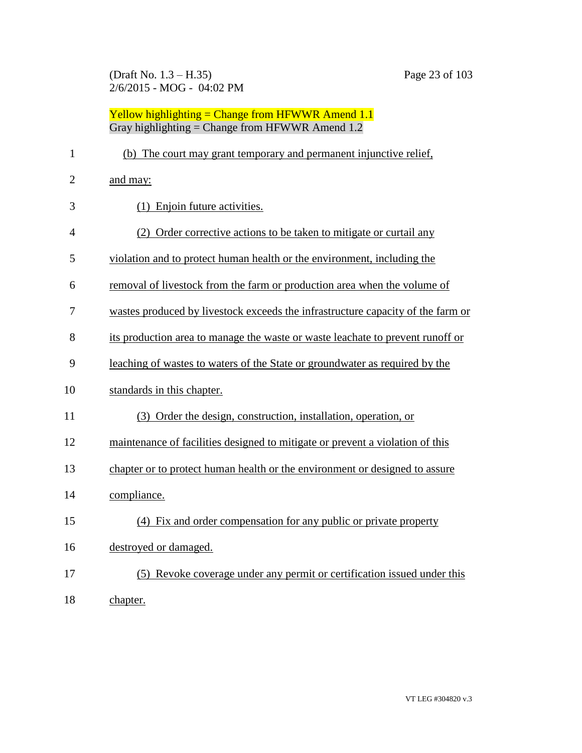(Draft No. 1.3 – H.35) Page 23 of 103 2/6/2015 - MOG - 04:02 PM

| $\mathbf{1}$   | (b) The court may grant temporary and permanent injunctive relief,              |
|----------------|---------------------------------------------------------------------------------|
| $\overline{2}$ | and may:                                                                        |
| 3              | (1) Enjoin future activities.                                                   |
| 4              | (2) Order corrective actions to be taken to mitigate or curtail any             |
| 5              | violation and to protect human health or the environment, including the         |
| 6              | removal of livestock from the farm or production area when the volume of        |
| 7              | wastes produced by livestock exceeds the infrastructure capacity of the farm or |
| 8              | its production area to manage the waste or waste leachate to prevent runoff or  |
| 9              | leaching of wastes to waters of the State or groundwater as required by the     |
| 10             | standards in this chapter.                                                      |
| 11             | (3) Order the design, construction, installation, operation, or                 |
| 12             | maintenance of facilities designed to mitigate or prevent a violation of this   |
| 13             | chapter or to protect human health or the environment or designed to assure     |
| 14             | compliance.                                                                     |
| 15             | (4) Fix and order compensation for any public or private property               |
| 16             | destroyed or damaged.                                                           |
| 17             | (5) Revoke coverage under any permit or certification issued under this         |
| 18             | chapter.                                                                        |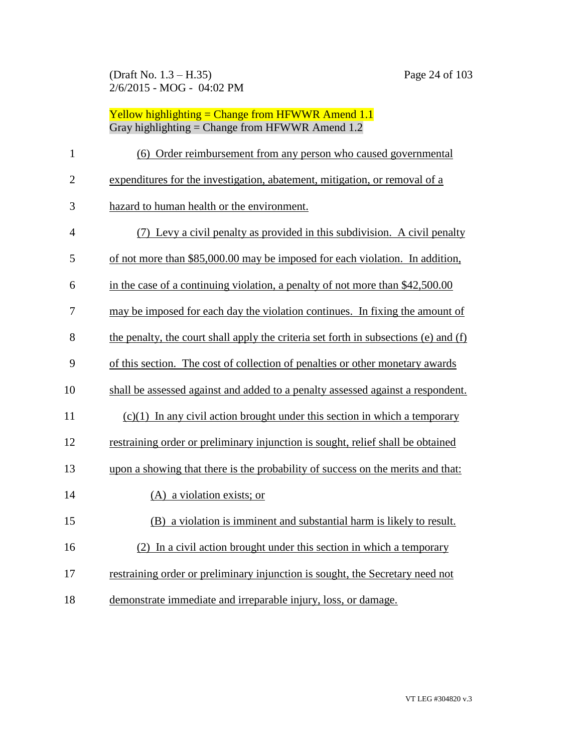| $\mathbf{1}$   | (6) Order reimbursement from any person who caused governmental                      |
|----------------|--------------------------------------------------------------------------------------|
| $\overline{2}$ | expenditures for the investigation, abatement, mitigation, or removal of a           |
| 3              | hazard to human health or the environment.                                           |
| 4              | (7) Levy a civil penalty as provided in this subdivision. A civil penalty            |
| 5              | of not more than \$85,000.00 may be imposed for each violation. In addition,         |
| 6              | in the case of a continuing violation, a penalty of not more than \$42,500.00        |
| 7              | may be imposed for each day the violation continues. In fixing the amount of         |
| 8              | the penalty, the court shall apply the criteria set forth in subsections (e) and (f) |
| 9              | of this section. The cost of collection of penalties or other monetary awards        |
| 10             | shall be assessed against and added to a penalty assessed against a respondent.      |
| 11             | $(c)(1)$ In any civil action brought under this section in which a temporary         |
| 12             | restraining order or preliminary injunction is sought, relief shall be obtained      |
| 13             | upon a showing that there is the probability of success on the merits and that:      |
| 14             | (A) a violation exists; or                                                           |
| 15             | (B) a violation is imminent and substantial harm is likely to result.                |
| 16             | (2) In a civil action brought under this section in which a temporary                |
| 17             | restraining order or preliminary injunction is sought, the Secretary need not        |
| 18             | demonstrate immediate and irreparable injury, loss, or damage.                       |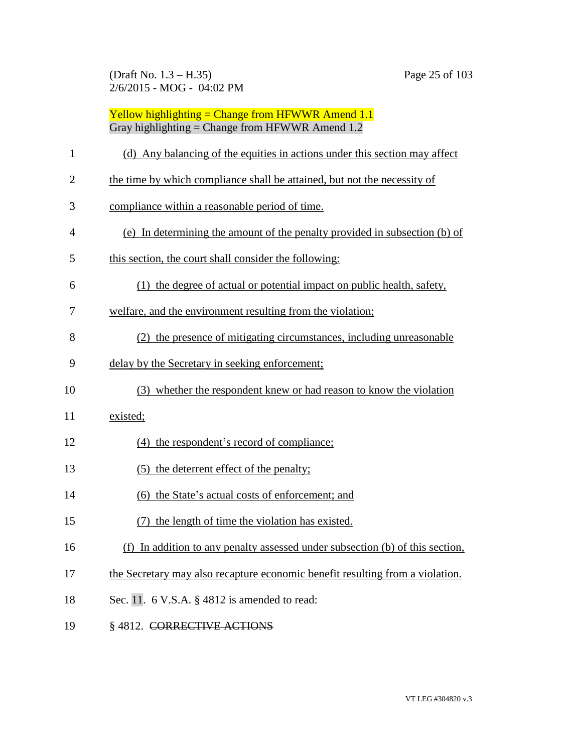(Draft No. 1.3 – H.35) Page 25 of 103 2/6/2015 - MOG - 04:02 PM

| $\mathbf{1}$   | (d) Any balancing of the equities in actions under this section may affect    |
|----------------|-------------------------------------------------------------------------------|
| $\overline{2}$ | the time by which compliance shall be attained, but not the necessity of      |
| 3              | compliance within a reasonable period of time.                                |
| 4              | (e) In determining the amount of the penalty provided in subsection (b) of    |
| 5              | this section, the court shall consider the following:                         |
| 6              | (1) the degree of actual or potential impact on public health, safety,        |
| 7              | welfare, and the environment resulting from the violation;                    |
| 8              | (2) the presence of mitigating circumstances, including unreasonable          |
| 9              | delay by the Secretary in seeking enforcement;                                |
| 10             | (3) whether the respondent knew or had reason to know the violation           |
| 11             | existed;                                                                      |
| 12             | (4) the respondent's record of compliance;                                    |
| 13             | (5) the deterrent effect of the penalty;                                      |
| 14             | (6) the State's actual costs of enforcement; and                              |
| 15             | (7) the length of time the violation has existed.                             |
| 16             | (f) In addition to any penalty assessed under subsection (b) of this section, |
| 17             | the Secretary may also recapture economic benefit resulting from a violation. |
| 18             | Sec. 11. $6$ V.S.A. $\S$ 4812 is amended to read:                             |
| 19             | §4812. CORRECTIVE ACTIONS                                                     |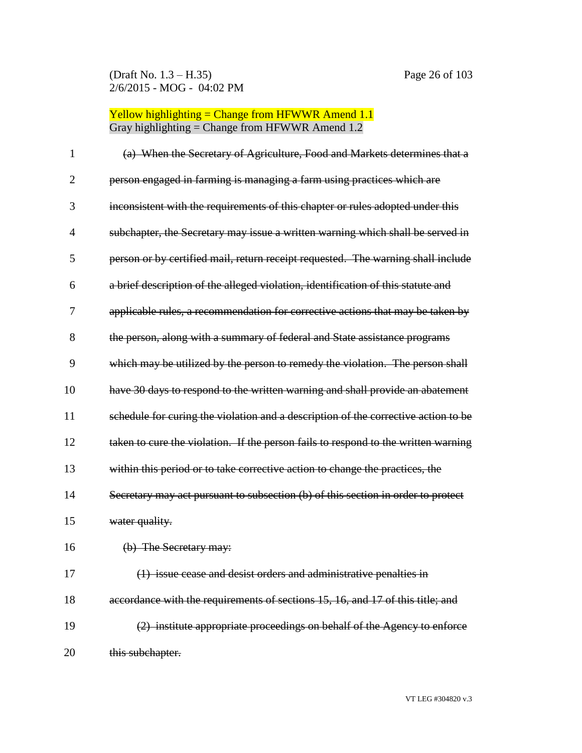| 1              | (a) When the Secretary of Agriculture, Food and Markets determines that a          |
|----------------|------------------------------------------------------------------------------------|
| $\overline{2}$ | person engaged in farming is managing a farm using practices which are             |
| 3              | inconsistent with the requirements of this chapter or rules adopted under this     |
| $\overline{4}$ | subchapter, the Secretary may issue a written warning which shall be served in     |
| 5              | person or by certified mail, return receipt requested. The warning shall include   |
| 6              | a brief description of the alleged violation, identification of this statute and   |
| 7              | applicable rules, a recommendation for corrective actions that may be taken by     |
| 8              | the person, along with a summary of federal and State assistance programs          |
| 9              | which may be utilized by the person to remedy the violation. The person shall      |
| 10             | have 30 days to respond to the written warning and shall provide an abatement      |
| 11             | schedule for curing the violation and a description of the corrective action to be |
| 12             | taken to cure the violation. If the person fails to respond to the written warning |
| 13             | within this period or to take corrective action to change the practices, the       |
| 14             | Secretary may act pursuant to subsection (b) of this section in order to protect   |
| 15             | water quality.                                                                     |
| 16             | (b) The Secretary may:                                                             |
| 17             | (1) issue cease and desist orders and administrative penalties in                  |
| 18             | accordance with the requirements of sections 15, 16, and 17 of this title; and     |
| 19             | (2) institute appropriate proceedings on behalf of the Agency to enforce           |
| 20             | this subchapter.                                                                   |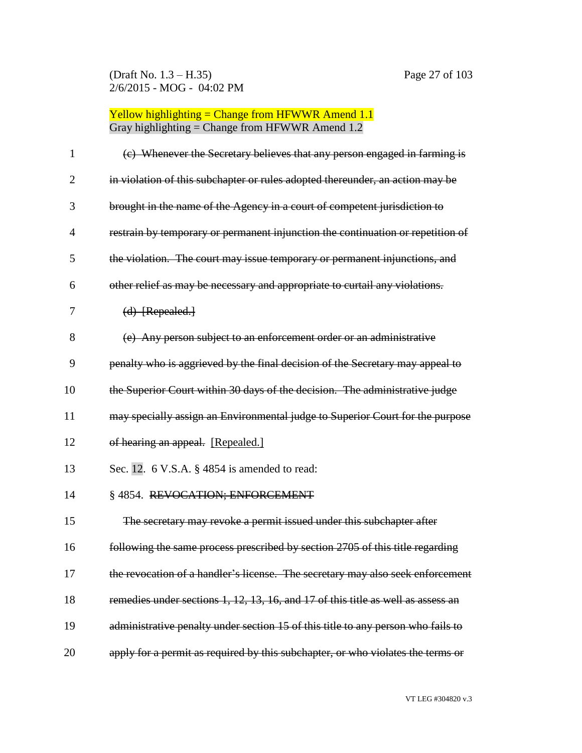(Draft No. 1.3 – H.35) Page 27 of 103 2/6/2015 - MOG - 04:02 PM

| 1              | (c) Whenever the Secretary believes that any person engaged in farming is        |
|----------------|----------------------------------------------------------------------------------|
| $\overline{2}$ | in violation of this subchapter or rules adopted thereunder, an action may be    |
| 3              | brought in the name of the Agency in a court of competent jurisdiction to        |
| $\overline{4}$ | restrain by temporary or permanent injunction the continuation or repetition of  |
| 5              | the violation. The court may issue temporary or permanent injunctions, and       |
| 6              | other relief as may be necessary and appropriate to curtail any violations.      |
| 7              | (d) [Repealed.]                                                                  |
| 8              | (e) Any person subject to an enforcement order or an administrative              |
| 9              | penalty who is aggrieved by the final decision of the Secretary may appeal to    |
| 10             | the Superior Court within 30 days of the decision. The administrative judge      |
| 11             | may specially assign an Environmental judge to Superior Court for the purpose    |
| 12             | of hearing an appeal. [Repealed.]                                                |
| 13             | Sec. 12. 6 V.S.A. § 4854 is amended to read:                                     |
| 14             | §4854. REVOCATION; ENFORCEMENT                                                   |
| 15             | The secretary may revoke a permit issued under this subchapter after             |
| 16             | following the same process prescribed by section 2705 of this title regarding    |
| 17             | the revocation of a handler's license. The secretary may also seek enforcement   |
| 18             | remedies under sections 1, 12, 13, 16, and 17 of this title as well as assess an |
| 19             | administrative penalty under section 15 of this title to any person who fails to |
| 20             | apply for a permit as required by this subchapter, or who violates the terms or  |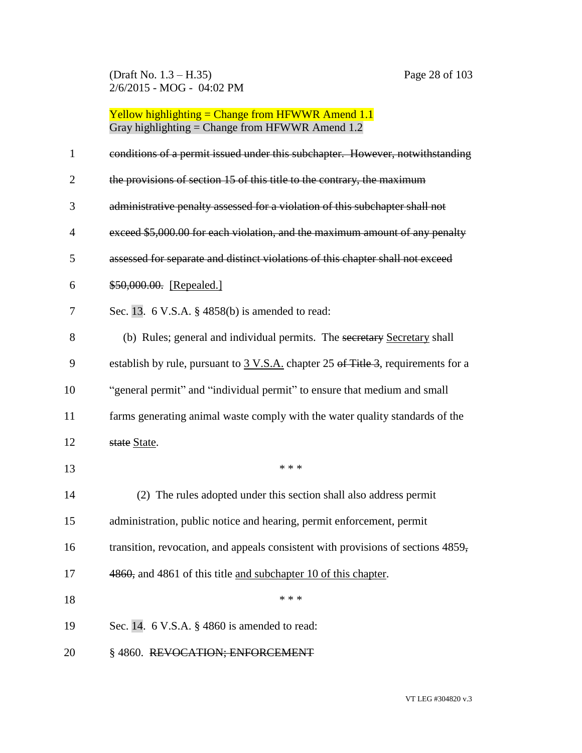(Draft No. 1.3 – H.35) Page 28 of 103 2/6/2015 - MOG - 04:02 PM

| $\mathbf{1}$   | conditions of a permit issued under this subchapter. However, notwithstanding               |
|----------------|---------------------------------------------------------------------------------------------|
| $\overline{2}$ | the provisions of section 15 of this title to the contrary, the maximum                     |
| 3              | administrative penalty assessed for a violation of this subchapter shall not                |
| 4              | exceed \$5,000.00 for each violation, and the maximum amount of any penalty                 |
| 5              | assessed for separate and distinct violations of this chapter shall not exceed              |
| 6              | \$50,000.00. [Repealed.]                                                                    |
| 7              | Sec. 13. $6$ V.S.A. $\S$ 4858(b) is amended to read:                                        |
| 8              | (b) Rules; general and individual permits. The secretary Secretary shall                    |
| 9              | establish by rule, pursuant to $3 \text{ V.S.A.}$ chapter 25 of Title 3, requirements for a |
| 10             | "general permit" and "individual permit" to ensure that medium and small                    |
| 11             | farms generating animal waste comply with the water quality standards of the                |
| 12             | state State.                                                                                |
| 13             | * * *                                                                                       |
| 14             | (2) The rules adopted under this section shall also address permit                          |
| 15             | administration, public notice and hearing, permit enforcement, permit                       |
| 16             | transition, revocation, and appeals consistent with provisions of sections 4859,            |
| 17             | 4860, and 4861 of this title and subchapter 10 of this chapter.                             |
| 18             | * * *                                                                                       |
| 19             | Sec. 14. $6$ V.S.A. $\S$ 4860 is amended to read:                                           |
| 20             | §4860. REVOCATION; ENFOR                                                                    |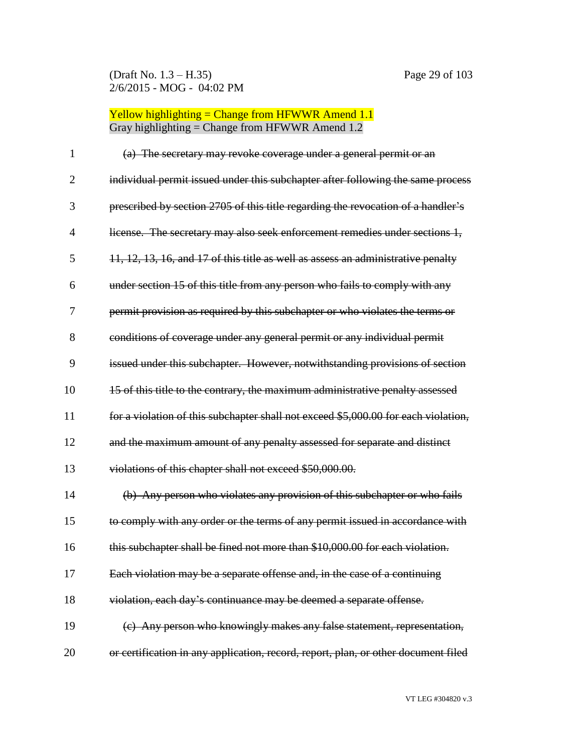| $\mathbf{1}$   | (a) The secretary may revoke coverage under a general permit or an                 |
|----------------|------------------------------------------------------------------------------------|
| $\overline{2}$ | individual permit issued under this subchapter after following the same process    |
| 3              | prescribed by section 2705 of this title regarding the revocation of a handler's   |
| $\overline{4}$ | license. The secretary may also seek enforcement remedies under sections 1,        |
| 5              | 11, 12, 13, 16, and 17 of this title as well as assess an administrative penalty   |
| 6              | under section 15 of this title from any person who fails to comply with any        |
| 7              | permit provision as required by this subchapter or who violates the terms or       |
| 8              | conditions of coverage under any general permit or any individual permit           |
| 9              | issued under this subchapter. However, notwithstanding provisions of section       |
| 10             | 15 of this title to the contrary, the maximum administrative penalty assessed      |
| 11             | for a violation of this subchapter shall not exceed \$5,000.00 for each violation, |
| 12             | and the maximum amount of any penalty assessed for separate and distinct           |
| 13             | violations of this chapter shall not exceed \$50,000.00.                           |
| 14             | (b) Any person who violates any provision of this subchapter or who fails          |
| 15             | to comply with any order or the terms of any permit issued in accordance with      |
| 16             | this subchapter shall be fined not more than \$10,000.00 for each violation.       |
| 17             | Each violation may be a separate offense and, in the case of a continuing          |
| 18             | violation, each day's continuance may be deemed a separate offense.                |
| 19             | (c) Any person who knowingly makes any false statement, representation,            |
| 20             | or certification in any application, record, report, plan, or other document filed |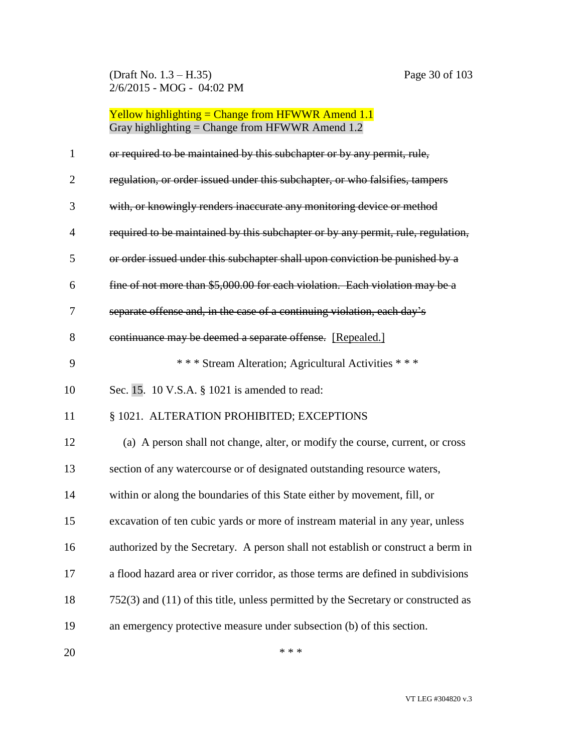(Draft No. 1.3 – H.35) Page 30 of 103 2/6/2015 - MOG - 04:02 PM

Yellow highlighting = Change from HFWWR Amend 1.1 Gray highlighting = Change from HFWWR Amend 1.2

| $\mathbf{1}$   | or required to be maintained by this subchapter or by any permit, rule,                |
|----------------|----------------------------------------------------------------------------------------|
| $\overline{2}$ | regulation, or order issued under this subchapter, or who falsifies, tampers           |
| 3              | with, or knowingly renders inaccurate any monitoring device or method                  |
| 4              | required to be maintained by this subchapter or by any permit, rule, regulation,       |
| 5              | or order issued under this subchapter shall upon conviction be punished by a           |
| 6              | fine of not more than \$5,000.00 for each violation. Each violation may be a           |
| 7              | separate offense and, in the case of a continuing violation, each day's                |
| 8              | continuance may be deemed a separate offense. [Repealed.]                              |
| 9              | *** Stream Alteration; Agricultural Activities ***                                     |
| 10             | Sec. 15. 10 V.S.A. § 1021 is amended to read:                                          |
| 11             | § 1021. ALTERATION PROHIBITED; EXCEPTIONS                                              |
| 12             | (a) A person shall not change, alter, or modify the course, current, or cross          |
| 13             | section of any watercourse or of designated outstanding resource waters,               |
| 14             | within or along the boundaries of this State either by movement, fill, or              |
| 15             | excavation of ten cubic yards or more of instream material in any year, unless         |
| 16             | authorized by the Secretary. A person shall not establish or construct a berm in       |
| 17             | a flood hazard area or river corridor, as those terms are defined in subdivisions      |
| 18             | $752(3)$ and $(11)$ of this title, unless permitted by the Secretary or constructed as |
| 19             | an emergency protective measure under subsection (b) of this section.                  |
|                |                                                                                        |

 $***$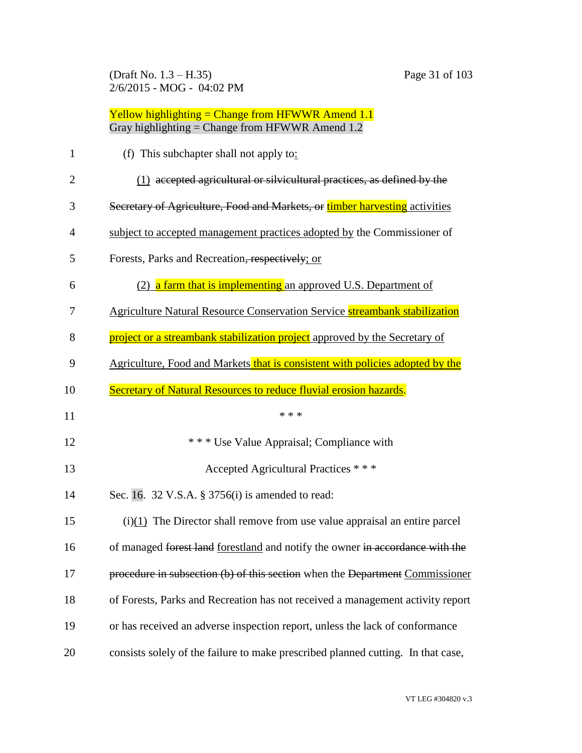(Draft No. 1.3 – H.35) Page 31 of 103 2/6/2015 - MOG - 04:02 PM

| $\mathbf{1}$   | (f) This subchapter shall not apply to:                                           |
|----------------|-----------------------------------------------------------------------------------|
| $\overline{2}$ | (1) accepted agricultural or silvicultural practices, as defined by the           |
| 3              | Secretary of Agriculture, Food and Markets, or timber harvesting activities       |
| 4              | subject to accepted management practices adopted by the Commissioner of           |
| 5              | Forests, Parks and Recreation, respectively; or                                   |
| 6              | (2) a farm that is implementing an approved U.S. Department of                    |
| 7              | <b>Agriculture Natural Resource Conservation Service streambank stabilization</b> |
| 8              | project or a streambank stabilization project approved by the Secretary of        |
| 9              | Agriculture, Food and Markets that is consistent with policies adopted by the     |
| 10             | Secretary of Natural Resources to reduce fluvial erosion hazards.                 |
| 11             | * * *                                                                             |
| 12             | *** Use Value Appraisal; Compliance with                                          |
| 13             | Accepted Agricultural Practices * * *                                             |
| 14             |                                                                                   |
|                | Sec. 16. 32 V.S.A. § 3756(i) is amended to read:                                  |
| 15             | $(i)(1)$ The Director shall remove from use value appraisal an entire parcel      |
| 16             | of managed forest land forestland and notify the owner in accordance with the     |
| 17             | procedure in subsection (b) of this section when the Department Commissioner      |
| 18             | of Forests, Parks and Recreation has not received a management activity report    |
| 19             | or has received an adverse inspection report, unless the lack of conformance      |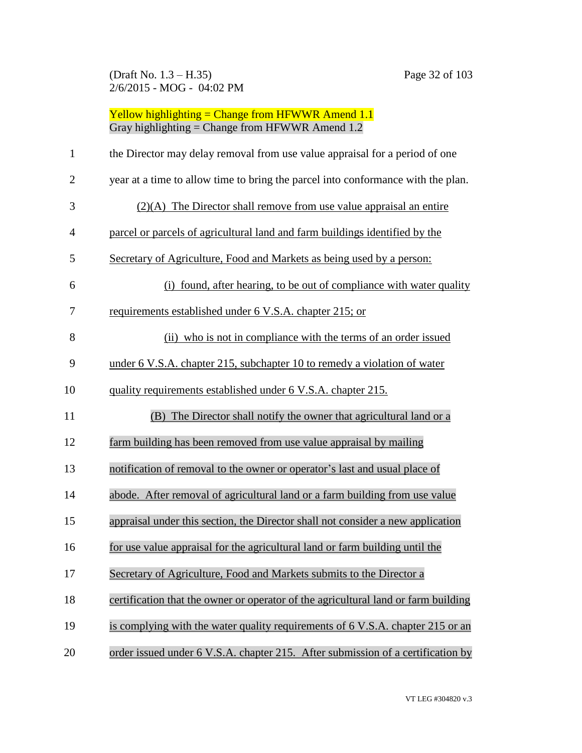(Draft No. 1.3 – H.35) Page 32 of 103 2/6/2015 - MOG - 04:02 PM

| $\mathbf{1}$                                 | the Director may delay removal from use value appraisal for a period of one        |
|----------------------------------------------|------------------------------------------------------------------------------------|
| $\overline{2}$                               | year at a time to allow time to bring the parcel into conformance with the plan.   |
| 3                                            | $(2)(A)$ The Director shall remove from use value appraisal an entire              |
| $\overline{4}$                               | parcel or parcels of agricultural land and farm buildings identified by the        |
| 5                                            | Secretary of Agriculture, Food and Markets as being used by a person:              |
| 6                                            | (i) found, after hearing, to be out of compliance with water quality               |
| 7                                            | requirements established under 6 V.S.A. chapter 215; or                            |
| 8                                            | (ii) who is not in compliance with the terms of an order issued                    |
| 9                                            | under 6 V.S.A. chapter 215, subchapter 10 to remedy a violation of water           |
| 10                                           | quality requirements established under 6 V.S.A. chapter 215.                       |
|                                              |                                                                                    |
|                                              | (B) The Director shall notify the owner that agricultural land or a                |
|                                              | farm building has been removed from use value appraisal by mailing                 |
|                                              | notification of removal to the owner or operator's last and usual place of         |
|                                              | abode. After removal of agricultural land or a farm building from use value        |
|                                              | appraisal under this section, the Director shall not consider a new application    |
|                                              | for use value appraisal for the agricultural land or farm building until the       |
|                                              | Secretary of Agriculture, Food and Markets submits to the Director a               |
| 11<br>12<br>13<br>14<br>15<br>16<br>17<br>18 | certification that the owner or operator of the agricultural land or farm building |
| 19                                           | is complying with the water quality requirements of 6 V.S.A. chapter 215 or an     |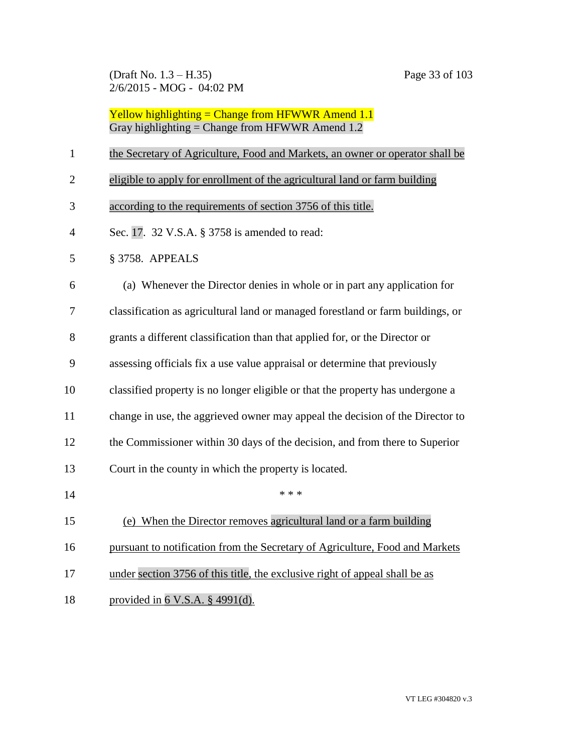(Draft No. 1.3 – H.35) Page 33 of 103 2/6/2015 - MOG - 04:02 PM

| $\mathbf{1}$   | the Secretary of Agriculture, Food and Markets, an owner or operator shall be   |
|----------------|---------------------------------------------------------------------------------|
| $\overline{2}$ | eligible to apply for enrollment of the agricultural land or farm building      |
| 3              | according to the requirements of section 3756 of this title.                    |
| $\overline{4}$ | Sec. 17. 32 V.S.A. § 3758 is amended to read:                                   |
| 5              | § 3758. APPEALS                                                                 |
| 6              | (a) Whenever the Director denies in whole or in part any application for        |
| 7              | classification as agricultural land or managed forestland or farm buildings, or |
| 8              | grants a different classification than that applied for, or the Director or     |
| 9              | assessing officials fix a use value appraisal or determine that previously      |
| 10             | classified property is no longer eligible or that the property has undergone a  |
| 11             | change in use, the aggrieved owner may appeal the decision of the Director to   |
| 12             | the Commissioner within 30 days of the decision, and from there to Superior     |
| 13             | Court in the county in which the property is located.                           |
| 14             | * * *                                                                           |
| 15             | (e) When the Director removes agricultural land or a farm building              |
| 16             | pursuant to notification from the Secretary of Agriculture, Food and Markets    |
| 17             | under section 3756 of this title, the exclusive right of appeal shall be as     |
| 18             | provided in $6$ V.S.A. § 4991(d).                                               |
|                |                                                                                 |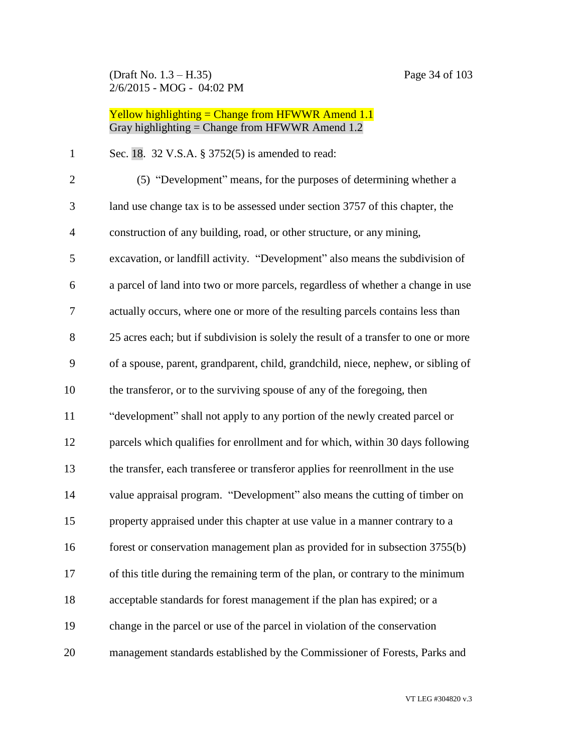(Draft No. 1.3 – H.35) Page 34 of 103 2/6/2015 - MOG - 04:02 PM

## Yellow highlighting = Change from HFWWR Amend 1.1 Gray highlighting = Change from HFWWR Amend 1.2

Sec. 18. 32 V.S.A. § 3752(5) is amended to read:

| $\mathbf{2}$   | (5) "Development" means, for the purposes of determining whether a                  |
|----------------|-------------------------------------------------------------------------------------|
| 3              | land use change tax is to be assessed under section 3757 of this chapter, the       |
| $\overline{4}$ | construction of any building, road, or other structure, or any mining,              |
| 5              | excavation, or landfill activity. "Development" also means the subdivision of       |
| 6              | a parcel of land into two or more parcels, regardless of whether a change in use    |
| $\overline{7}$ | actually occurs, where one or more of the resulting parcels contains less than      |
| 8              | 25 acres each; but if subdivision is solely the result of a transfer to one or more |
| 9              | of a spouse, parent, grandparent, child, grandchild, niece, nephew, or sibling of   |
| 10             | the transferor, or to the surviving spouse of any of the foregoing, then            |
| 11             | "development" shall not apply to any portion of the newly created parcel or         |
| 12             | parcels which qualifies for enrollment and for which, within 30 days following      |
| 13             | the transfer, each transferee or transferor applies for reenrollment in the use     |
| 14             | value appraisal program. "Development" also means the cutting of timber on          |
| 15             | property appraised under this chapter at use value in a manner contrary to a        |
| 16             | forest or conservation management plan as provided for in subsection 3755(b)        |
| 17             | of this title during the remaining term of the plan, or contrary to the minimum     |
| 18             | acceptable standards for forest management if the plan has expired; or a            |
| 19             | change in the parcel or use of the parcel in violation of the conservation          |
| 20             | management standards established by the Commissioner of Forests, Parks and          |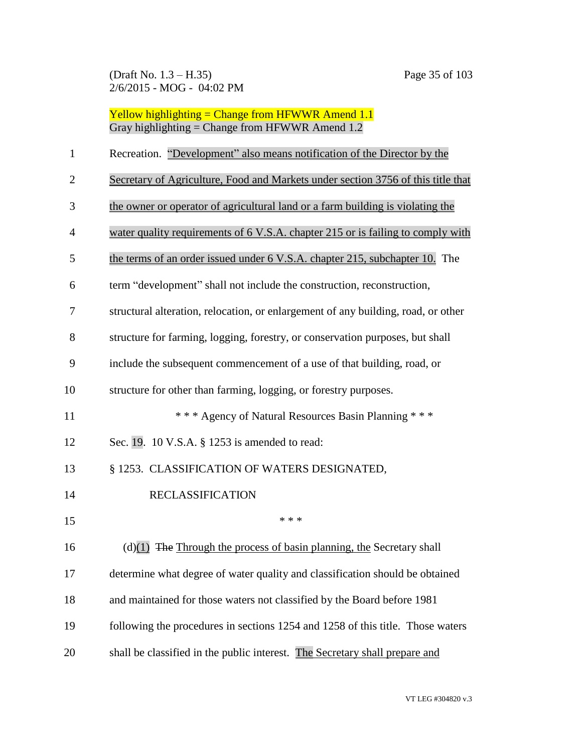(Draft No. 1.3 – H.35) Page 35 of 103 2/6/2015 - MOG - 04:02 PM

Yellow highlighting = Change from HFWWR Amend 1.1 Gray highlighting = Change from HFWWR Amend 1.2

| $\mathbf{1}$   | Recreation. "Development" also means notification of the Director by the          |
|----------------|-----------------------------------------------------------------------------------|
| $\overline{2}$ | Secretary of Agriculture, Food and Markets under section 3756 of this title that  |
| 3              | the owner or operator of agricultural land or a farm building is violating the    |
| 4              | water quality requirements of 6 V.S.A. chapter 215 or is failing to comply with   |
| 5              | the terms of an order issued under 6 V.S.A. chapter 215, subchapter 10. The       |
| 6              | term "development" shall not include the construction, reconstruction,            |
| 7              | structural alteration, relocation, or enlargement of any building, road, or other |
| 8              | structure for farming, logging, forestry, or conservation purposes, but shall     |
| 9              | include the subsequent commencement of a use of that building, road, or           |
| 10             | structure for other than farming, logging, or forestry purposes.                  |
| 11             | *** Agency of Natural Resources Basin Planning ***                                |
| 12             | Sec. 19. 10 V.S.A. § 1253 is amended to read:                                     |
| 13             | § 1253. CLASSIFICATION OF WATERS DESIGNATED,                                      |
| 14             | <b>RECLASSIFICATION</b>                                                           |
| 15             | * * *                                                                             |
| 16             | $(d)(1)$ The Through the process of basin planning, the Secretary shall           |
| 17             | determine what degree of water quality and classification should be obtained      |
| 18             | and maintained for those waters not classified by the Board before 1981           |
| 19             | following the procedures in sections 1254 and 1258 of this title. Those waters    |
| 20             | shall be classified in the public interest. The Secretary shall prepare and       |

VT LEG #304820 v.3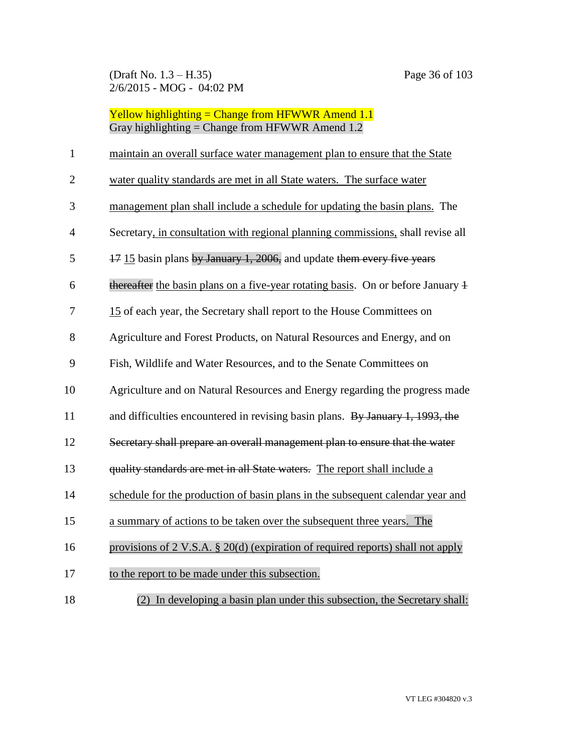| $\mathbf{1}$   | maintain an overall surface water management plan to ensure that the State                 |
|----------------|--------------------------------------------------------------------------------------------|
| $\mathbf{2}$   | water quality standards are met in all State waters. The surface water                     |
| 3              | management plan shall include a schedule for updating the basin plans. The                 |
| $\overline{4}$ | Secretary, in consultation with regional planning commissions, shall revise all            |
| 5              | 17 15 basin plans by January 1, 2006, and update them every five years                     |
| 6              | thereafter the basin plans on a five-year rotating basis. On or before January 4           |
| 7              | 15 of each year, the Secretary shall report to the House Committees on                     |
| 8              | Agriculture and Forest Products, on Natural Resources and Energy, and on                   |
| 9              | Fish, Wildlife and Water Resources, and to the Senate Committees on                        |
| 10             | Agriculture and on Natural Resources and Energy regarding the progress made                |
| 11             | and difficulties encountered in revising basin plans. By January 1, 1993, the              |
| 12             | Secretary shall prepare an overall management plan to ensure that the water                |
| 13             | quality standards are met in all State waters. The report shall include a                  |
| 14             | schedule for the production of basin plans in the subsequent calendar year and             |
| 15             | a summary of actions to be taken over the subsequent three years. The                      |
| 16             | provisions of $2 \text{ V.S.A. } § 20(d)$ (expiration of required reports) shall not apply |
| 17             | to the report to be made under this subsection.                                            |
| 18             | (2) In developing a basin plan under this subsection, the Secretary shall:                 |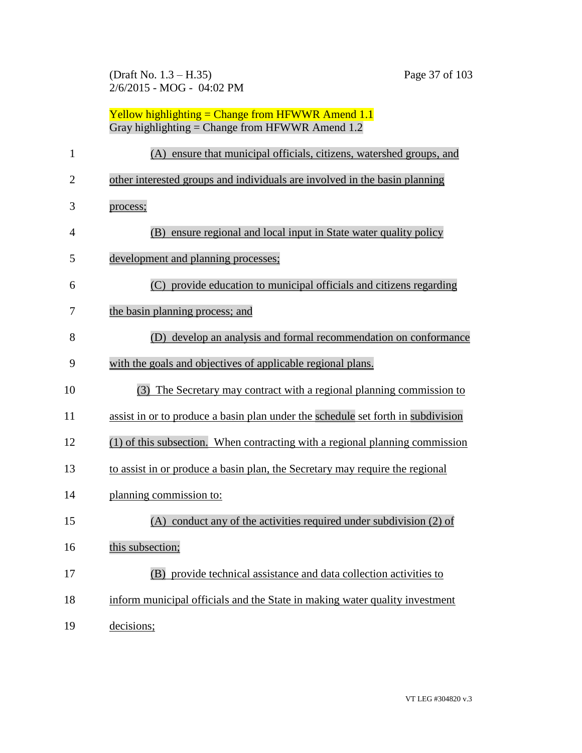(Draft No. 1.3 – H.35) Page 37 of 103 2/6/2015 - MOG - 04:02 PM

| $\mathbf{1}$   | (A) ensure that municipal officials, citizens, watershed groups, and             |
|----------------|----------------------------------------------------------------------------------|
| $\overline{2}$ | other interested groups and individuals are involved in the basin planning       |
| 3              | process;                                                                         |
| $\overline{4}$ | (B) ensure regional and local input in State water quality policy                |
| 5              | development and planning processes;                                              |
| 6              | (C) provide education to municipal officials and citizens regarding              |
| 7              | the basin planning process; and                                                  |
| 8              | develop an analysis and formal recommendation on conformance<br>(D)              |
| 9              | with the goals and objectives of applicable regional plans.                      |
| 10             | (3) The Secretary may contract with a regional planning commission to            |
| 11             | assist in or to produce a basin plan under the schedule set forth in subdivision |
| 12             | (1) of this subsection. When contracting with a regional planning commission     |
| 13             | to assist in or produce a basin plan, the Secretary may require the regional     |
| 14             | planning commission to:                                                          |
| 15             | (A) conduct any of the activities required under subdivision (2) of              |
| 16             | this subsection;                                                                 |
| 17             | (B) provide technical assistance and data collection activities to               |
| 18             | inform municipal officials and the State in making water quality investment      |
| 19             | decisions;                                                                       |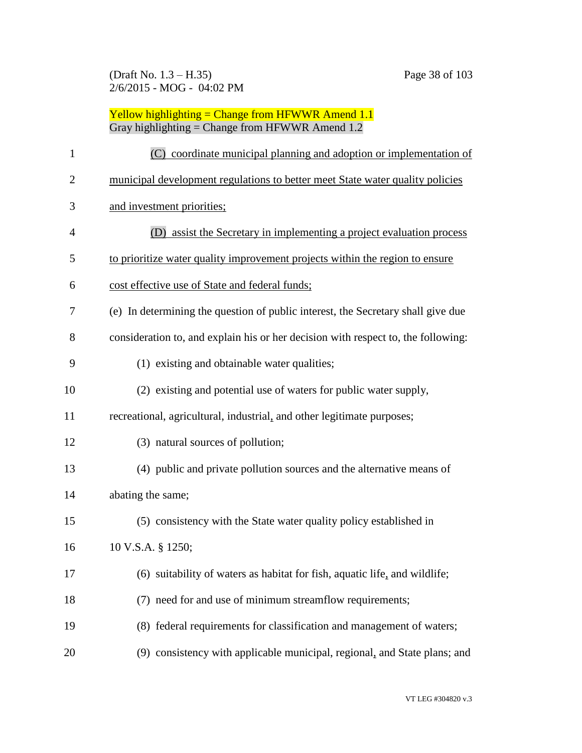| $\mathbf{1}$   | (C) coordinate municipal planning and adoption or implementation of               |
|----------------|-----------------------------------------------------------------------------------|
| $\overline{2}$ | municipal development regulations to better meet State water quality policies     |
| 3              | and investment priorities;                                                        |
| 4              | (D) assist the Secretary in implementing a project evaluation process             |
| 5              | to prioritize water quality improvement projects within the region to ensure      |
| 6              | cost effective use of State and federal funds;                                    |
| 7              | (e) In determining the question of public interest, the Secretary shall give due  |
| 8              | consideration to, and explain his or her decision with respect to, the following: |
| 9              | (1) existing and obtainable water qualities;                                      |
| 10             | (2) existing and potential use of waters for public water supply,                 |
| 11             | recreational, agricultural, industrial, and other legitimate purposes;            |
| 12             | (3) natural sources of pollution;                                                 |
| 13             | (4) public and private pollution sources and the alternative means of             |
| 14             | abating the same;                                                                 |
| 15             | (5) consistency with the State water quality policy established in                |
| 16             | 10 V.S.A. § 1250;                                                                 |
| 17             | (6) suitability of waters as habitat for fish, aquatic life, and wildlife;        |
| 18             | (7) need for and use of minimum streamflow requirements;                          |
| 19             | (8) federal requirements for classification and management of waters;             |
| 20             | (9) consistency with applicable municipal, regional, and State plans; and         |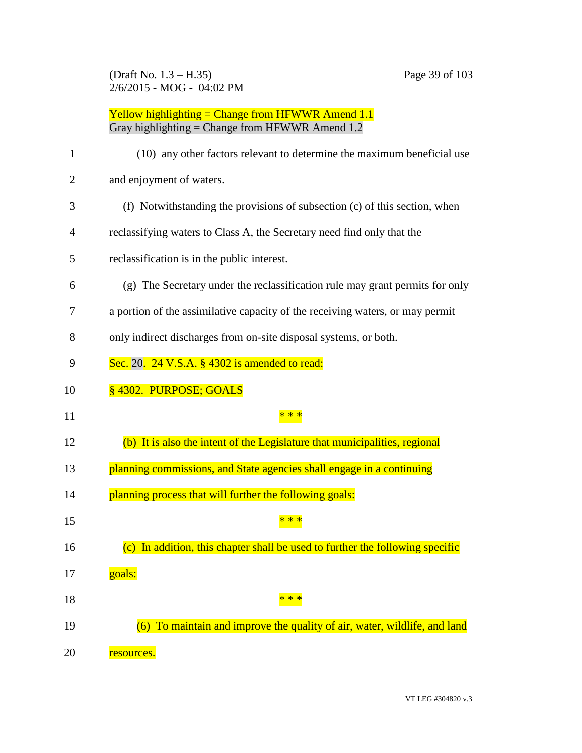(Draft No. 1.3 – H.35) Page 39 of 103 2/6/2015 - MOG - 04:02 PM

| 1              | (10) any other factors relevant to determine the maximum beneficial use          |
|----------------|----------------------------------------------------------------------------------|
| $\overline{2}$ | and enjoyment of waters.                                                         |
| 3              | (f) Notwithstanding the provisions of subsection (c) of this section, when       |
| 4              | reclassifying waters to Class A, the Secretary need find only that the           |
| 5              | reclassification is in the public interest.                                      |
| 6              | (g) The Secretary under the reclassification rule may grant permits for only     |
| 7              | a portion of the assimilative capacity of the receiving waters, or may permit    |
| 8              | only indirect discharges from on-site disposal systems, or both.                 |
| 9              | Sec. 20. 24 V.S.A. § 4302 is amended to read:                                    |
| 10             | §4302. PURPOSE; GOALS                                                            |
| 11             |                                                                                  |
| 12             | (b) It is also the intent of the Legislature that municipalities, regional       |
| 13             | planning commissions, and State agencies shall engage in a continuing            |
| 14             | planning process that will further the following goals:                          |
| 15             |                                                                                  |
| 16             | In addition, this chapter shall be used to further the following specific<br>(c) |
|                |                                                                                  |
| 17             | goals:                                                                           |
| 18             | * * *                                                                            |
| 19             | (6) To maintain and improve the quality of air, water, wildlife, and land        |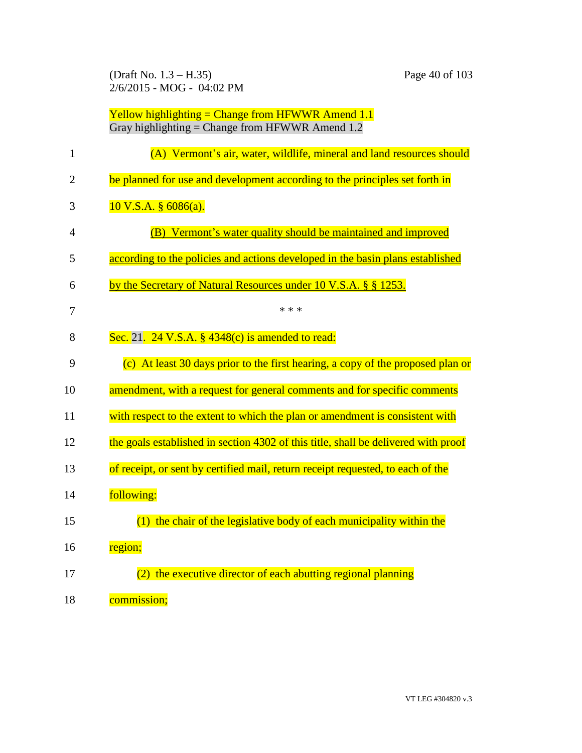(Draft No. 1.3 – H.35) Page 40 of 103 2/6/2015 - MOG - 04:02 PM

| Yellow highlighting = Change from HFWWR Amend $1.1$ |
|-----------------------------------------------------|
| Gray highlighting = Change from HFWWR Amend $1.2$   |

| $\mathbf{1}$   | (A) Vermont's air, water, wildlife, mineral and land resources should              |
|----------------|------------------------------------------------------------------------------------|
| $\overline{2}$ | be planned for use and development according to the principles set forth in        |
| 3              | $10 V.S.A.$ § 6086(a).                                                             |
| 4              | (B) Vermont's water quality should be maintained and improved                      |
| 5              | according to the policies and actions developed in the basin plans established     |
| 6              | by the Secretary of Natural Resources under 10 V.S.A. § § 1253.                    |
| 7              | * * *                                                                              |
| 8              | Sec. 21. 24 V.S.A. $\S$ 4348(c) is amended to read:                                |
| 9              | (c) At least 30 days prior to the first hearing, a copy of the proposed plan or    |
| 10             | amendment, with a request for general comments and for specific comments           |
| 11             | with respect to the extent to which the plan or amendment is consistent with       |
| 12             | the goals established in section 4302 of this title, shall be delivered with proof |
| 13             | of receipt, or sent by certified mail, return receipt requested, to each of the    |
| 14             | following:                                                                         |
| 15             | $(1)$ the chair of the legislative body of each municipality within the            |
| 16             | region;                                                                            |
| 17             | the executive director of each abutting regional planning<br>(2)                   |
| 18             | commission;                                                                        |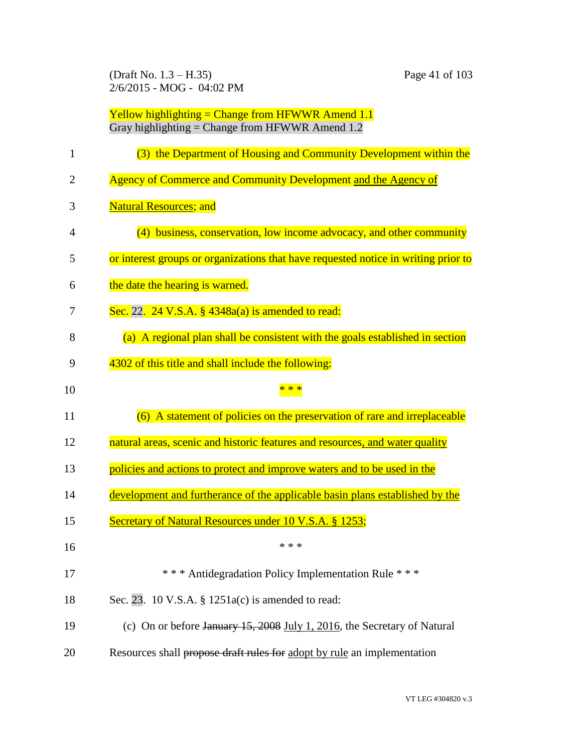(Draft No. 1.3 – H.35) Page 41 of 103 2/6/2015 - MOG - 04:02 PM

| 1              | (3) the Department of Housing and Community Development within the                 |
|----------------|------------------------------------------------------------------------------------|
| $\overline{2}$ | Agency of Commerce and Community Development and the Agency of                     |
| 3              | <b>Natural Resources; and</b>                                                      |
| 4              | (4) business, conservation, low income advocacy, and other community               |
| 5              | or interest groups or organizations that have requested notice in writing prior to |
| 6              | the date the hearing is warned.                                                    |
| 7              | Sec. 22. 24 V.S.A. $\S$ 4348a(a) is amended to read:                               |
| 8              | (a) A regional plan shall be consistent with the goals established in section      |
| 9              | 4302 of this title and shall include the following:                                |
| 10             | * * *                                                                              |
| 11             | (6) A statement of policies on the preservation of rare and irreplaceable          |
| 12             | natural areas, scenic and historic features and resources, and water quality       |
| 13             |                                                                                    |
|                | policies and actions to protect and improve waters and to be used in the           |
| 14             | development and furtherance of the applicable basin plans established by the       |
| 15             | <b>Secretary of Natural Resources under 10 V.S.A. § 1253;</b>                      |
| 16             | * * *                                                                              |
| 17             | *** Antidegradation Policy Implementation Rule ***                                 |
| 18             | Sec. 23. 10 V.S.A. § 1251a(c) is amended to read:                                  |
| 19             | (c) On or before January $15,2008$ July 1, 2016, the Secretary of Natural          |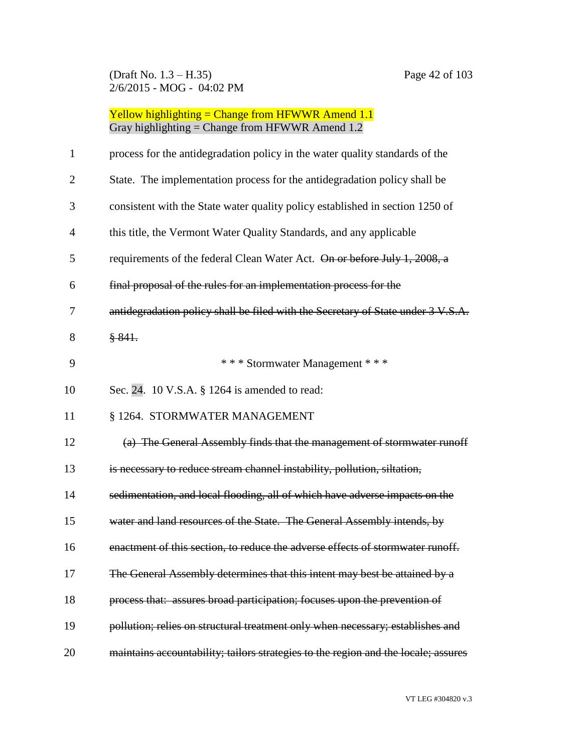(Draft No. 1.3 – H.35) Page 42 of 103 2/6/2015 - MOG - 04:02 PM

| $\mathbf{1}$   | process for the antidegradation policy in the water quality standards of the       |
|----------------|------------------------------------------------------------------------------------|
| $\overline{2}$ | State. The implementation process for the antidegradation policy shall be          |
| 3              | consistent with the State water quality policy established in section 1250 of      |
| $\overline{4}$ | this title, the Vermont Water Quality Standards, and any applicable                |
| 5              | requirements of the federal Clean Water Act. On or before July 1, 2008, a          |
| 6              | final proposal of the rules for an implementation process for the                  |
| 7              | antidegradation policy shall be filed with the Secretary of State under 3 V.S.A.   |
| 8              | \$841.                                                                             |
| 9              | *** Stormwater Management ***                                                      |
| 10             | Sec. 24. 10 V.S.A. § 1264 is amended to read:                                      |
| 11             | § 1264. STORMWATER MANAGEMENT                                                      |
| 12             | (a) The General Assembly finds that the management of stormwater runoff            |
| 13             | is necessary to reduce stream channel instability, pollution, siltation,           |
| 14             | sedimentation, and local flooding, all of which have adverse impacts on the        |
| 15             | water and land resources of the State. The General Assembly intends, by            |
| 16             | enactment of this section, to reduce the adverse effects of stormwater runoff.     |
| 17             | The General Assembly determines that this intent may best be attained by a         |
| 18             | process that: assures broad participation; focuses upon the prevention of          |
| 19             | pollution; relies on structural treatment only when necessary; establishes and     |
| 20             | maintains accountability; tailors strategies to the region and the locale; assures |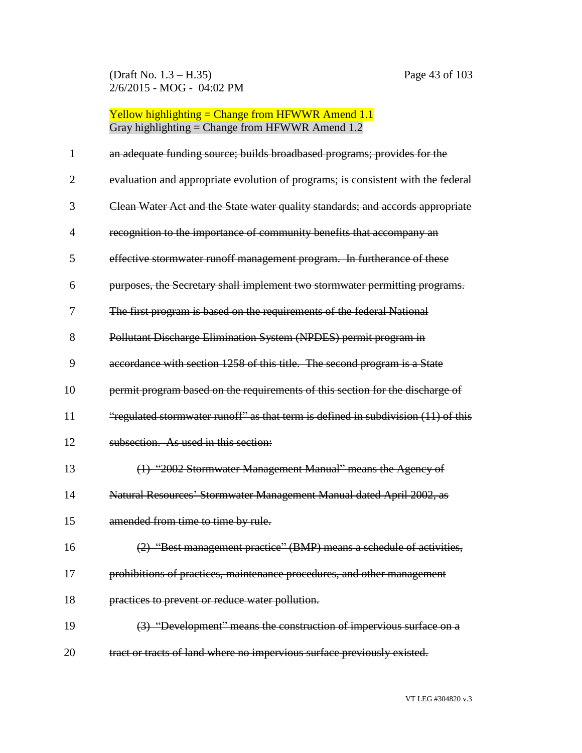(Draft No. 1.3 – H.35) Page 43 of 103 2/6/2015 - MOG - 04:02 PM

| 1              | an adequate funding source; builds broadbased programs; provides for the          |
|----------------|-----------------------------------------------------------------------------------|
| $\overline{2}$ | evaluation and appropriate evolution of programs; is consistent with the federal  |
| 3              | Clean Water Act and the State water quality standards; and accords appropriate    |
| 4              | recognition to the importance of community benefits that accompany an             |
| 5              | effective stormwater runoff management program. In furtherance of these           |
| 6              | purposes, the Secretary shall implement two stormwater permitting programs.       |
| 7              | The first program is based on the requirements of the federal National            |
| 8              | Pollutant Discharge Elimination System (NPDES) permit program in                  |
| 9              | accordance with section 1258 of this title. The second program is a State         |
| 10             | permit program based on the requirements of this section for the discharge of     |
| 11             | "regulated stormwater runoff" as that term is defined in subdivision (11) of this |
| 12             | subsection. As used in this section:                                              |
| 13             | (1) "2002 Stormwater Management Manual" means the Agency of                       |
| 14             | Natural Resources' Stormwater Management Manual dated April 2002, as              |
| 15             | amended from time to time by rule.                                                |
| 16             | (2) "Best management practice" (BMP) means a schedule of activities,              |
| 17             | prohibitions of practices, maintenance procedures, and other management           |
| 18             | practices to prevent or reduce water pollution.                                   |
| 19             | (3) "Development" means the construction of impervious surface on a               |
| 20             | tract or tracts of land where no impervious surface previously existed.           |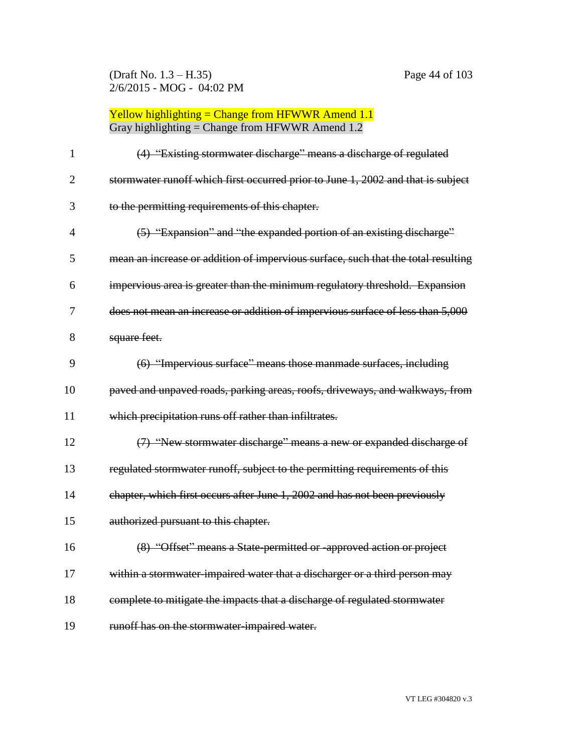(Draft No. 1.3 – H.35) Page 44 of 103 2/6/2015 - MOG - 04:02 PM

| $\mathbf{1}$   | (4) "Existing stormwater discharge" means a discharge of regulated                |
|----------------|-----------------------------------------------------------------------------------|
| $\overline{2}$ | stormwater runoff which first occurred prior to June 1, 2002 and that is subject  |
| 3              | to the permitting requirements of this chapter.                                   |
| $\overline{4}$ | (5) "Expansion" and "the expanded portion of an existing discharge"               |
| 5              | mean an increase or addition of impervious surface, such that the total resulting |
| 6              | impervious area is greater than the minimum regulatory threshold. Expansion       |
| 7              | does not mean an increase or addition of impervious surface of less than 5,000    |
| 8              | square feet.                                                                      |
| 9              | (6) "Impervious surface" means those manmade surfaces, including                  |
| 10             | paved and unpaved roads, parking areas, roofs, driveways, and walkways, from      |
| 11             | which precipitation runs off rather than infiltrates.                             |
| 12             | (7) "New stormwater discharge" means a new or expanded discharge of               |
| 13             | regulated stormwater runoff, subject to the permitting requirements of this       |
| 14             | chapter, which first occurs after June 1, 2002 and has not been previously        |
| 15             | authorized pursuant to this chapter.                                              |
| 16             | (8) "Offset" means a State-permitted or -approved action or project               |
| 17             | within a stormwater impaired water that a discharger or a third person may        |
| 18             | complete to mitigate the impacts that a discharge of regulated stormwater         |
| 19             | runoff has on the stormwater-impaired water.                                      |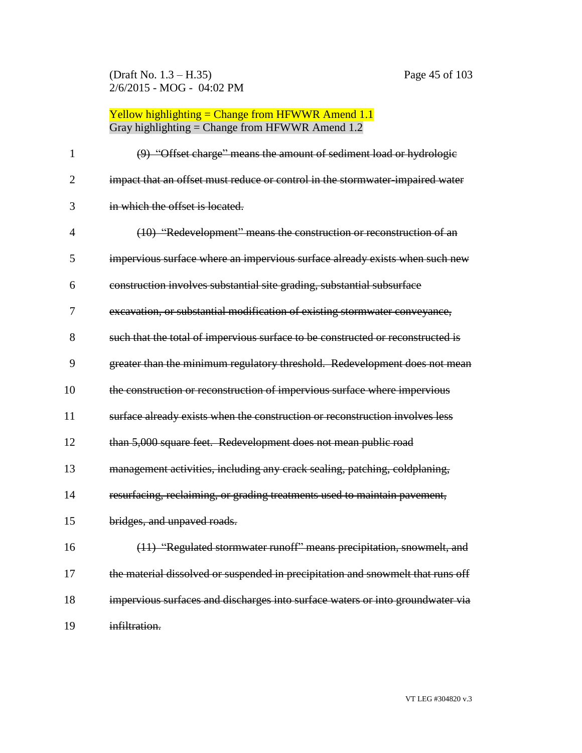(Draft No. 1.3 – H.35) Page 45 of 103 2/6/2015 - MOG - 04:02 PM

| $\mathbf{1}$   | (9) "Offset charge" means the amount of sediment load or hydrologie             |
|----------------|---------------------------------------------------------------------------------|
| $\overline{2}$ | impact that an offset must reduce or control in the stormwater-impaired water   |
| 3              | in which the offset is located.                                                 |
| $\overline{4}$ | (10) "Redevelopment" means the construction or reconstruction of an             |
| 5              | impervious surface where an impervious surface already exists when such new     |
| 6              | construction involves substantial site grading, substantial subsurface          |
| 7              | excavation, or substantial modification of existing stormwater conveyance,      |
| 8              | such that the total of impervious surface to be constructed or reconstructed is |
| 9              | greater than the minimum regulatory threshold. Redevelopment does not mean      |
| 10             | the construction or reconstruction of impervious surface where impervious       |
| 11             | surface already exists when the construction or reconstruction involves less    |
| 12             | than 5,000 square feet. Redevelopment does not mean public road                 |
| 13             | management activities, including any crack sealing, patching, coldplaning,      |
| 14             | resurfacing, reclaiming, or grading treatments used to maintain pavement,       |
| 15             | bridges, and unpaved roads.                                                     |
| 16             | (11) "Regulated stormwater runoff" means precipitation, snowmelt, and           |
| 17             | the material dissolved or suspended in precipitation and snowmelt that runs off |
| 18             | impervious surfaces and discharges into surface waters or into groundwater via  |
| 19             | infiltration.                                                                   |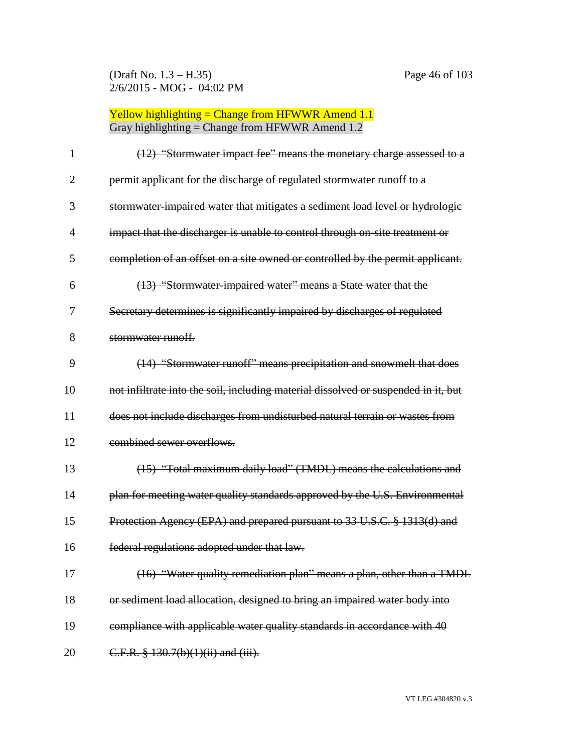(Draft No. 1.3 – H.35) Page 46 of 103 2/6/2015 - MOG - 04:02 PM

| 1              | (12) "Stormwater impact fee" means the monetary charge assessed to a               |
|----------------|------------------------------------------------------------------------------------|
| $\overline{2}$ | permit applicant for the discharge of regulated stormwater runoff to a             |
| 3              | stormwater-impaired water that mitigates a sediment load level or hydrologic       |
| 4              | impact that the discharger is unable to control through on site treatment or       |
| 5              | completion of an offset on a site owned or controlled by the permit applicant.     |
| 6              | (13) "Stormwater-impaired water" means a State water that the                      |
| 7              | Secretary determines is significantly impaired by discharges of regulated          |
| 8              | stormwater runoff.                                                                 |
| 9              | (14) "Stormwater runoff" means precipitation and snowmelt that does                |
| 10             | not infiltrate into the soil, including material dissolved or suspended in it, but |
| 11             | does not include discharges from undisturbed natural terrain or wastes from        |
| 12             | combined sewer overflows.                                                          |
| 13             | (15) "Total maximum daily load" (TMDL) means the calculations and                  |
| 14             | plan for meeting water quality standards approved by the U.S. Environmental        |
| 15             | Protection Agency (EPA) and prepared pursuant to 33 U.S.C. § 1313(d) and           |
| 16             | federal regulations adopted under that law.                                        |
| 17             | (16) "Water quality remediation plan" means a plan, other than a TMDL              |
| 18             | or sediment load allocation, designed to bring an impaired water body into         |
| 19             | compliance with applicable water quality standards in accordance with 40           |
| 20             | C.F.R. § 130.7(b)(1)(ii) and (iii).                                                |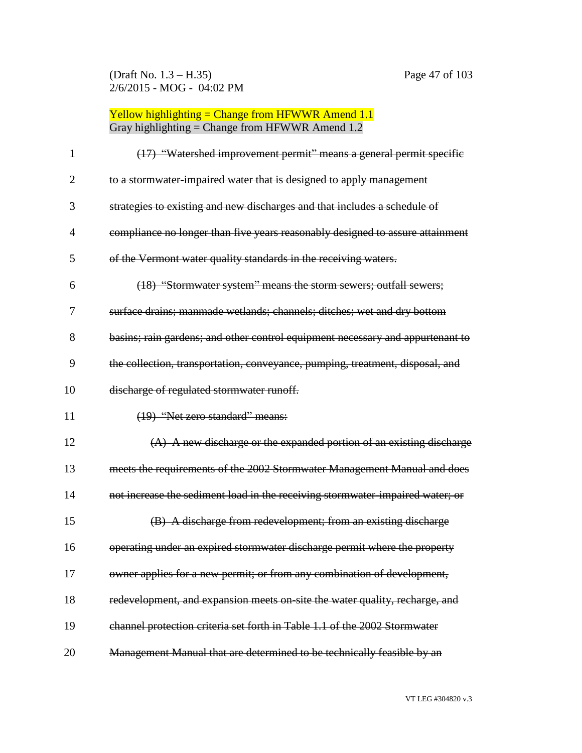(Draft No. 1.3 – H.35) Page 47 of 103 2/6/2015 - MOG - 04:02 PM

# Yellow highlighting = Change from HFWWR Amend 1.1 Gray highlighting = Change from HFWWR Amend 1.2

| 1              | (17) "Watershed improvement permit" means a general permit specific            |
|----------------|--------------------------------------------------------------------------------|
| $\overline{2}$ | to a stormwater impaired water that is designed to apply management            |
| 3              | strategies to existing and new discharges and that includes a schedule of      |
| $\overline{4}$ | compliance no longer than five years reasonably designed to assure attainment  |
| 5              | of the Vermont water quality standards in the receiving waters.                |
| 6              | (18) "Stormwater system" means the storm sewers; outfall sewers;               |
| 7              | surface drains; manmade wetlands; channels; ditches; wet and dry bottom        |
| 8              | basins; rain gardens; and other control equipment necessary and appurtenant to |
| 9              | the collection, transportation, conveyance, pumping, treatment, disposal, and  |
| 10             | discharge of regulated stormwater runoff.                                      |
| 11             | (19) "Net zero standard" means:                                                |
|                |                                                                                |
| 12             | (A) A new discharge or the expanded portion of an existing discharge           |
| 13             | meets the requirements of the 2002 Stormwater Management Manual and does       |
| 14             | not increase the sediment load in the receiving stormwater-impaired water; or  |
| 15             | (B) A discharge from redevelopment; from an existing discharge                 |
| 16             | operating under an expired stormwater discharge permit where the property      |
| 17             | owner applies for a new permit; or from any combination of development,        |
| 18             | redevelopment, and expansion meets on site the water quality, recharge, and    |
| 19             | channel protection criteria set forth in Table 1.1 of the 2002 Stormwater      |

VT LEG #304820 v.3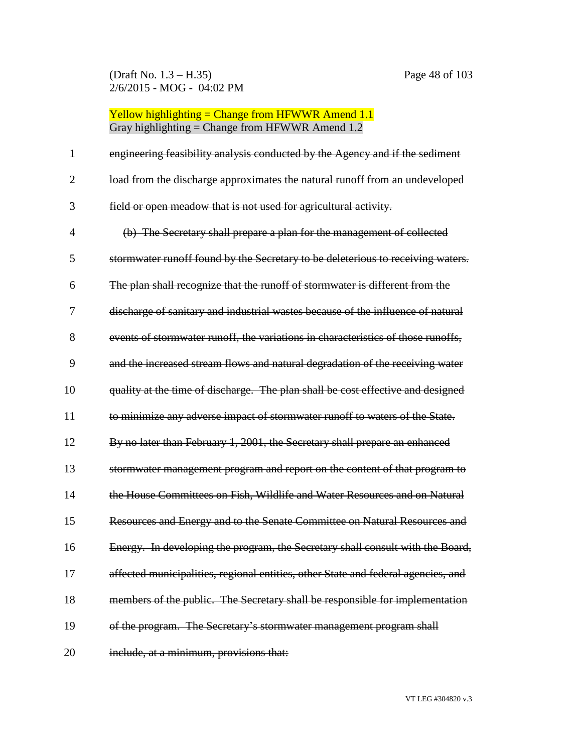(Draft No. 1.3 – H.35) Page 48 of 103 2/6/2015 - MOG - 04:02 PM

| $\mathbf{1}$   | engineering feasibility analysis conducted by the Agency and if the sediment      |
|----------------|-----------------------------------------------------------------------------------|
| $\overline{2}$ | load from the discharge approximates the natural runoff from an undeveloped       |
| 3              | field or open meadow that is not used for agricultural activity.                  |
| $\overline{4}$ | (b) The Secretary shall prepare a plan for the management of collected            |
| 5              | stormwater runoff found by the Secretary to be deleterious to receiving waters.   |
| 6              | The plan shall recognize that the runoff of stormwater is different from the      |
| 7              | discharge of sanitary and industrial wastes because of the influence of natural   |
| 8              | events of stormwater runoff, the variations in characteristics of those runoffs,  |
| 9              | and the increased stream flows and natural degradation of the receiving water     |
| 10             | quality at the time of discharge. The plan shall be cost effective and designed   |
| 11             | to minimize any adverse impact of stormwater runoff to waters of the State.       |
| 12             | By no later than February 1, 2001, the Secretary shall prepare an enhanced        |
| 13             | stormwater management program and report on the content of that program to        |
| 14             | the House Committees on Fish, Wildlife and Water Resources and on Natural         |
| 15             | Resources and Energy and to the Senate Committee on Natural Resources and         |
| 16             | Energy. In developing the program, the Secretary shall consult with the Board,    |
| 17             | affected municipalities, regional entities, other State and federal agencies, and |
| 18             | members of the public. The Secretary shall be responsible for implementation      |
| 19             | of the program. The Secretary's stormwater management program shall               |
| 20             | include, at a minimum, provisions that:                                           |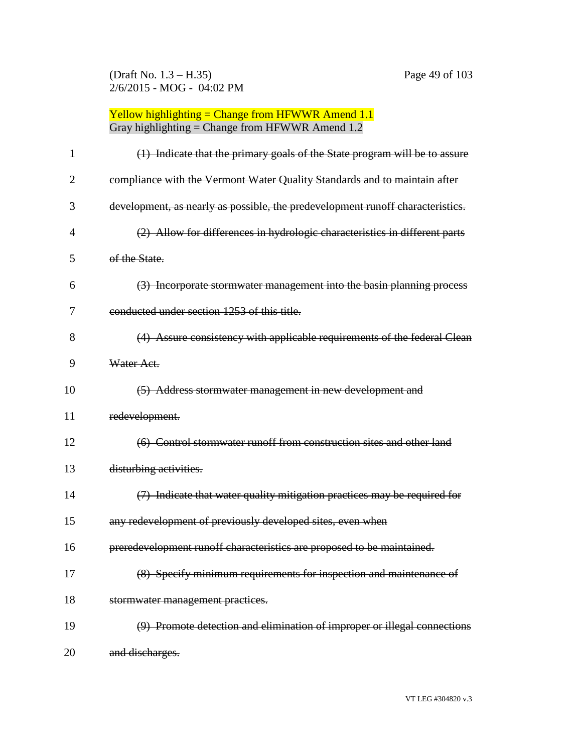(Draft No. 1.3 – H.35) Page 49 of 103 2/6/2015 - MOG - 04:02 PM

| 1              | (1) Indicate that the primary goals of the State program will be to assure     |
|----------------|--------------------------------------------------------------------------------|
| $\overline{2}$ | compliance with the Vermont Water Quality Standards and to maintain after      |
| 3              | development, as nearly as possible, the predevelopment runoff characteristics. |
| 4              | (2) Allow for differences in hydrologic characteristics in different parts     |
| 5              | of the State.                                                                  |
| 6              | (3) Incorporate stormwater management into the basin planning process          |
| 7              | conducted under section 1253 of this title.                                    |
| 8              | (4) Assure consistency with applicable requirements of the federal Clean       |
| 9              | Water Act.                                                                     |
| 10             | (5) Address stormwater management in new development and                       |
| 11             | redevelopment.                                                                 |
| 12             | (6) Control stormwater runoff from construction sites and other land           |
| 13             | disturbing activities.                                                         |
| 14             | (7) Indicate that water quality mitigation practices may be required for       |
| 15             | any redevelopment of previously developed sites, even when                     |
| 16             | preredevelopment runoff characteristics are proposed to be maintained.         |
| 17             | (8) Specify minimum requirements for inspection and maintenance of             |
| 18             | stormwater management practices.                                               |
| 19             | (9) Promote detection and elimination of improper or illegal connections       |
| 20             | and discharges.                                                                |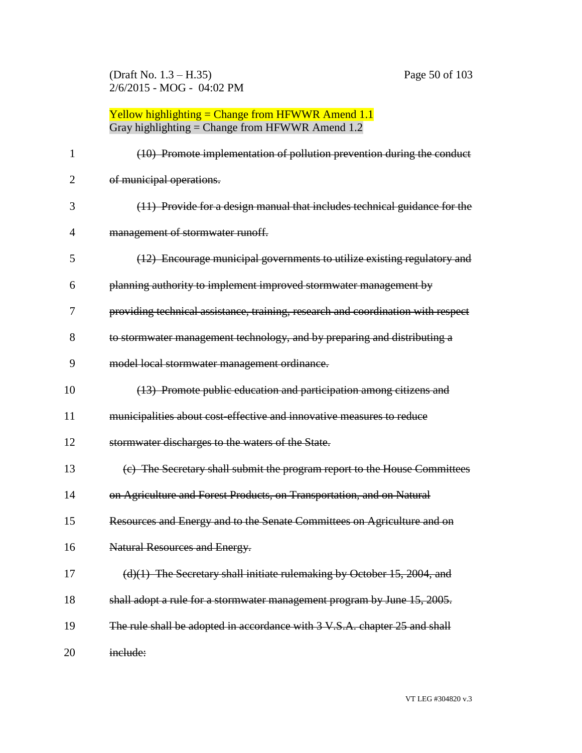(Draft No. 1.3 – H.35) Page 50 of 103 2/6/2015 - MOG - 04:02 PM

| 1  | (10) Promote implementation of pollution prevention during the conduct           |
|----|----------------------------------------------------------------------------------|
| 2  | of municipal operations.                                                         |
| 3  | (11) Provide for a design manual that includes technical guidance for the        |
| 4  | management of stormwater runoff.                                                 |
| 5  | (12) Encourage municipal governments to utilize existing regulatory and          |
| 6  | planning authority to implement improved stormwater management by                |
| 7  | providing technical assistance, training, research and coordination with respect |
| 8  | to stormwater management technology, and by preparing and distributing a         |
| 9  | model local stormwater management ordinance.                                     |
| 10 | (13) Promote public education and participation among citizens and               |
| 11 | municipalities about cost-effective and innovative measures to reduce            |
| 12 | stormwater discharges to the waters of the State.                                |
| 13 | (c) The Secretary shall submit the program report to the House Committees        |
| 14 | on Agriculture and Forest Products, on Transportation, and on Natural            |
| 15 | Resources and Energy and to the Senate Committees on Agriculture and on          |
| 16 | <b>Natural Resources and Energy.</b>                                             |
| 17 | $(d)(1)$ The Secretary shall initiate rulemaking by October 15, 2004, and        |
| 18 | shall adopt a rule for a stormwater management program by June 15, 2005.         |
| 19 | The rule shall be adopted in accordance with 3 V.S.A. chapter 25 and shall       |
| 20 | include:                                                                         |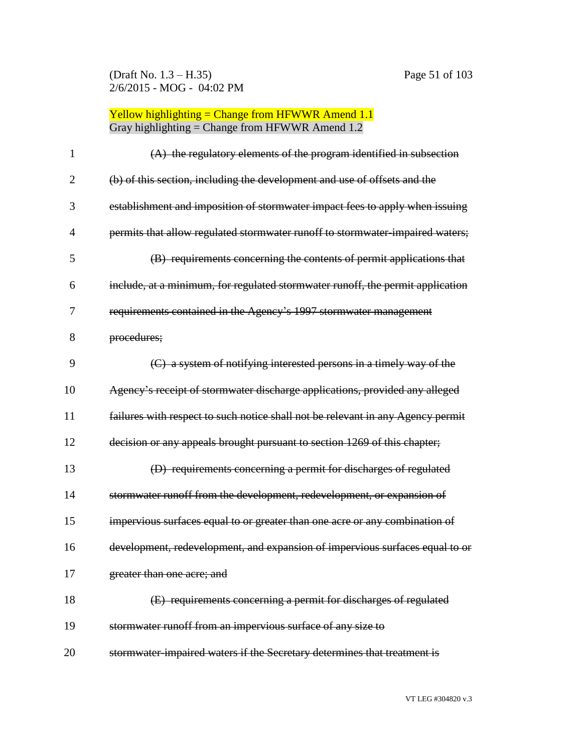(Draft No. 1.3 – H.35) Page 51 of 103 2/6/2015 - MOG - 04:02 PM

| 1              | $(A)$ the regulatory elements of the program identified in subsection           |
|----------------|---------------------------------------------------------------------------------|
| $\overline{2}$ | (b) of this section, including the development and use of offsets and the       |
| 3              | establishment and imposition of stormwater impact fees to apply when issuing    |
| $\overline{4}$ | permits that allow regulated stormwater runoff to stormwater-impaired waters;   |
| 5              | (B) requirements concerning the contents of permit applications that            |
| 6              | include, at a minimum, for regulated stormwater runoff, the permit application  |
| 7              | requirements contained in the Agency's 1997 stormwater management               |
| 8              | procedures;                                                                     |
| 9              | (C) a system of notifying interested persons in a timely way of the             |
| 10             | Agency's receipt of stormwater discharge applications, provided any alleged     |
| 11             | failures with respect to such notice shall not be relevant in any Agency permit |
| 12             | decision or any appeals brought pursuant to section 1269 of this chapter;       |
| 13             | (D) requirements concerning a permit for discharges of regulated                |
| 14             | stormwater runoff from the development, redevelopment, or expansion of          |
| 15             | impervious surfaces equal to or greater than one acre or any combination of     |
| 16             | development, redevelopment, and expansion of impervious surfaces equal to or    |
| 17             | greater than one acre; and                                                      |
| 18             | (E) requirements concerning a permit for discharges of regulated                |
| 19             | stormwater runoff from an impervious surface of any size to                     |
| 20             | stormwater impaired waters if the Secretary determines that treatment is        |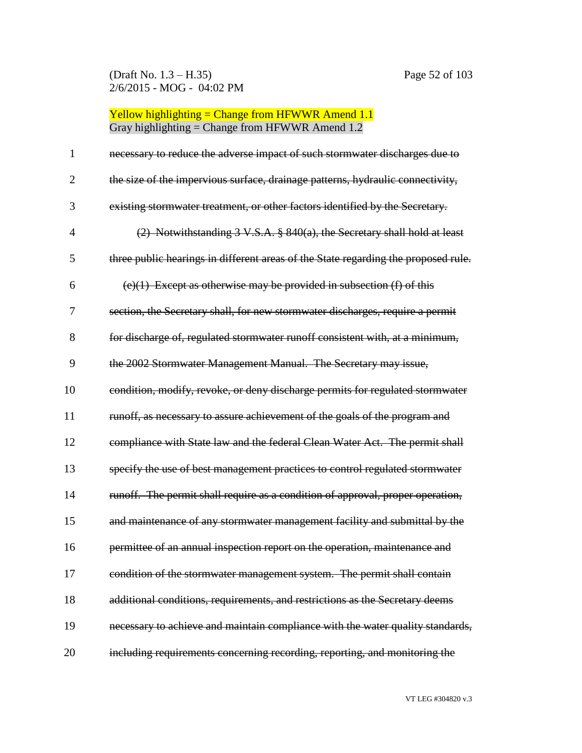(Draft No. 1.3 – H.35) Page 52 of 103 2/6/2015 - MOG - 04:02 PM

# Yellow highlighting = Change from HFWWR Amend 1.1 Gray highlighting = Change from HFWWR Amend 1.2

| 1              | necessary to reduce the adverse impact of such stormwater discharges due to        |
|----------------|------------------------------------------------------------------------------------|
| $\overline{2}$ | the size of the impervious surface, drainage patterns, hydraulic connectivity,     |
| 3              | existing stormwater treatment, or other factors identified by the Secretary.       |
| $\overline{4}$ | (2) Notwithstanding 3 V.S.A. § 840(a), the Secretary shall hold at least           |
| 5              | three public hearings in different areas of the State regarding the proposed rule. |
| 6              | $(e)(1)$ Except as otherwise may be provided in subsection (f) of this             |
| 7              | section, the Secretary shall, for new stormwater discharges, require a permit      |
| 8              | for discharge of, regulated stormwater runoff consistent with, at a minimum,       |
| 9              | the 2002 Stormwater Management Manual. The Secretary may issue,                    |
| 10             | condition, modify, revoke, or deny discharge permits for regulated stormwater      |
| 11             | runoff, as necessary to assure achievement of the goals of the program and         |
| 12             | compliance with State law and the federal Clean Water Act. The permit shall        |
| 13             | specify the use of best management practices to control regulated stormwater       |
| 14             | runoff. The permit shall require as a condition of approval, proper operation,     |
| 15             | and maintenance of any stormwater management facility and submittal by the         |
| 16             | permittee of an annual inspection report on the operation, maintenance and         |
| 17             | condition of the stormwater management system. The permit shall contain            |
| 18             | additional conditions, requirements, and restrictions as the Secretary deems       |
| 19             | necessary to achieve and maintain compliance with the water quality standards,     |
| 20             | including requirements concerning recording, reporting, and monitoring the         |

VT LEG #304820 v.3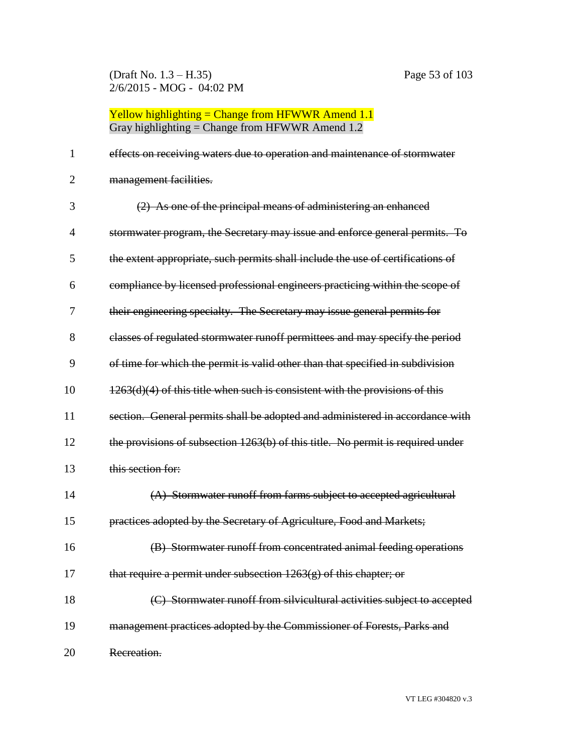(Draft No. 1.3 – H.35) Page 53 of 103 2/6/2015 - MOG - 04:02 PM

#### Yellow highlighting  $=$  Change from HFWWR Amend 1.1 Gray highlighting  $=$  Change from HFWWR Amend 1.2

 effects on receiving waters due to operation and maintenance of stormwater management facilities. (2) As one of the principal means of administering an enhanced stormwater program, the Secretary may issue and enforce general permits. To the extent appropriate, such permits shall include the use of certifications of compliance by licensed professional engineers practicing within the scope of their engineering specialty. The Secretary may issue general permits for classes of regulated stormwater runoff permittees and may specify the period of time for which the permit is valid other than that specified in subdivision  $10 \qquad \qquad 1263(d)(4)$  of this title when such is consistent with the provisions of this 11 section. General permits shall be adopted and administered in accordance with the provisions of subsection 1263(b) of this title. No permit is required under this section for: (A) Stormwater runoff from farms subject to accepted agricultural practices adopted by the Secretary of Agriculture, Food and Markets; (B) Stormwater runoff from concentrated animal feeding operations 17 that require a permit under subsection  $1263(g)$  of this chapter; or **(C)** Stormwater runoff from silvicultural activities subject to accepted 19 management practices adopted by the Commissioner of Forests, Parks and Recreation.

VT LEG #304820 v.3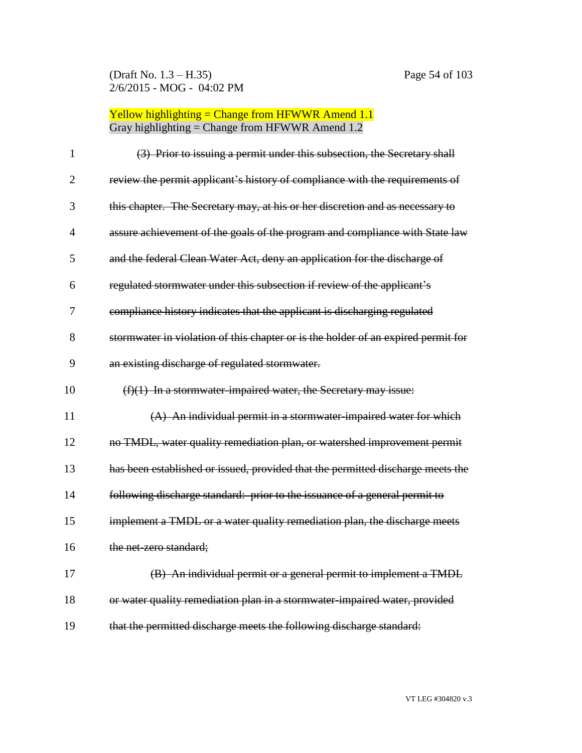(Draft No. 1.3 – H.35) Page 54 of 103 2/6/2015 - MOG - 04:02 PM

| $\mathbf{1}$   | (3) Prior to issuing a permit under this subsection, the Secretary shall          |
|----------------|-----------------------------------------------------------------------------------|
| $\overline{2}$ | review the permit applicant's history of compliance with the requirements of      |
| 3              | this chapter. The Secretary may, at his or her discretion and as necessary to     |
| $\overline{4}$ | assure achievement of the goals of the program and compliance with State law      |
| 5              | and the federal Clean Water Act, deny an application for the discharge of         |
| 6              | regulated stormwater under this subsection if review of the applicant's           |
| 7              | compliance history indicates that the applicant is discharging regulated          |
| 8              | stormwater in violation of this chapter or is the holder of an expired permit for |
| 9              | an existing discharge of regulated stormwater.                                    |
| 10             | $(f)(1)$ In a stormwater-impaired water, the Secretary may issue:                 |
| 11             | $(A)$ An individual permit in a stormwater-impaired water for which               |
| 12             | no TMDL, water quality remediation plan, or watershed improvement permit          |
| 13             | has been established or issued, provided that the permitted discharge meets the   |
| 14             | following discharge standard: prior to the issuance of a general permit to        |
| 15             | implement a TMDL or a water quality remediation plan, the discharge meets         |
| 16             | the net-zero standard:                                                            |
| 17             | (B) An individual permit or a general permit to implement a TMDL                  |
| 18             | or water quality remediation plan in a stormwater-impaired water, provided        |
| 19             | that the permitted discharge meets the following discharge standard:              |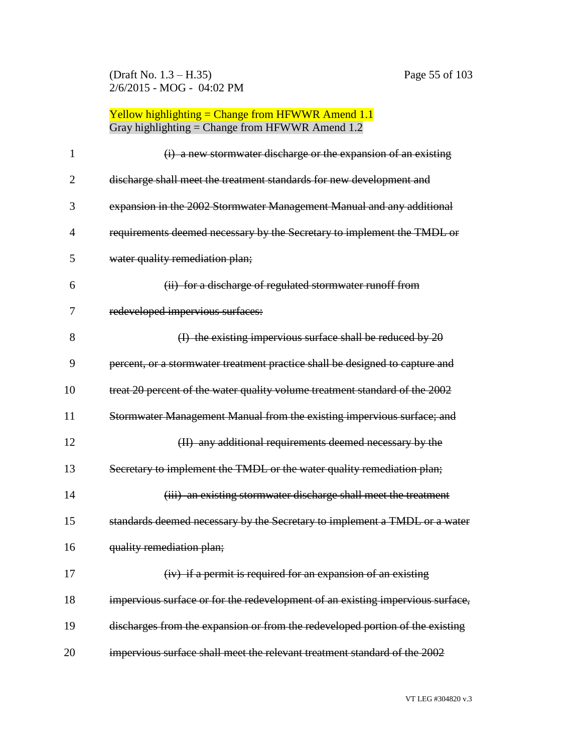(Draft No. 1.3 – H.35) Page 55 of 103 2/6/2015 - MOG - 04:02 PM

| 1              | (i) a new stormwater discharge or the expansion of an existing                 |
|----------------|--------------------------------------------------------------------------------|
| $\overline{2}$ | discharge shall meet the treatment standards for new development and           |
| 3              | expansion in the 2002 Stormwater Management Manual and any additional          |
| $\overline{4}$ | requirements deemed necessary by the Secretary to implement the TMDL or        |
| 5              | water quality remediation plan;                                                |
| 6              | (ii) for a discharge of regulated stormwater runoff from                       |
| 7              | redeveloped impervious surfaces:                                               |
| 8              | (I) the existing impervious surface shall be reduced by $20$                   |
| 9              | percent, or a stormwater treatment practice shall be designed to capture and   |
| 10             | treat 20 percent of the water quality volume treatment standard of the 2002    |
| 11             | Stormwater Management Manual from the existing impervious surface; and         |
| 12             | (II) any additional requirements deemed necessary by the                       |
| 13             | Secretary to implement the TMDL or the water quality remediation plan;         |
| 14             | (iii) an existing stormwater discharge shall meet the treatment                |
| 15             | standards deemed necessary by the Secretary to implement a TMDL or a water     |
| 16             | quality remediation plan;                                                      |
| 17             | (iv) if a permit is required for an expansion of an existing                   |
| 18             | impervious surface or for the redevelopment of an existing impervious surface, |
| 19             | discharges from the expansion or from the redeveloped portion of the existing  |
| 20             | impervious surface shall meet the relevant treatment standard of the 2002      |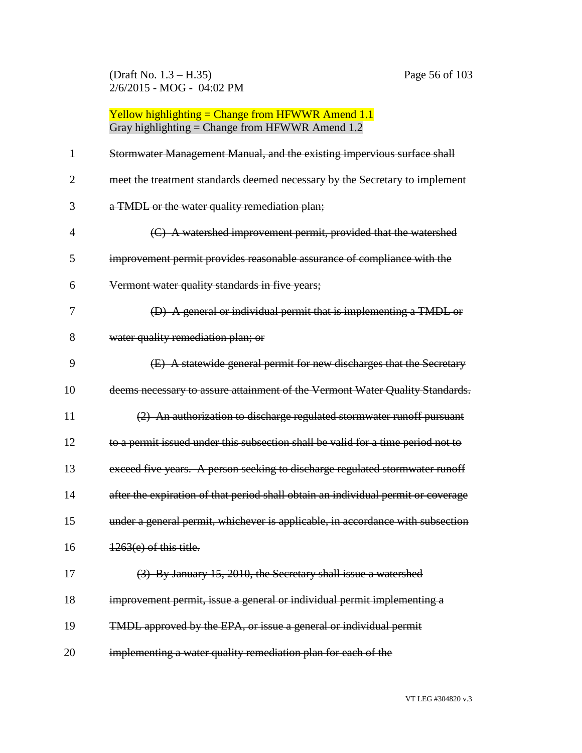(Draft No. 1.3 – H.35) Page 56 of 103 2/6/2015 - MOG - 04:02 PM

| 1              | Stormwater Management Manual, and the existing impervious surface shall           |
|----------------|-----------------------------------------------------------------------------------|
| $\overline{2}$ | meet the treatment standards deemed necessary by the Secretary to implement       |
| 3              | a TMDL or the water quality remediation plan;                                     |
| 4              | (C) A watershed improvement permit, provided that the watershed                   |
| 5              | improvement permit provides reasonable assurance of compliance with the           |
| 6              | Vermont water quality standards in five years;                                    |
| 7              | (D) A general or individual permit that is implementing a TMDL or                 |
| 8              | water quality remediation plan; or                                                |
| 9              | (E) A statewide general permit for new discharges that the Secretary              |
| 10             | deems necessary to assure attainment of the Vermont Water Quality Standards.      |
| 11             | (2) An authorization to discharge regulated stormwater runoff pursuant            |
| 12             | to a permit issued under this subsection shall be valid for a time period not to  |
| 13             | exceed five years. A person seeking to discharge regulated stormwater runoff      |
| 14             | after the expiration of that period shall obtain an individual permit or coverage |
| 15             | under a general permit, whichever is applicable, in accordance with subsection    |
| 16             | 1263(e) of this title.                                                            |
| 17             | (3) By January 15, 2010, the Secretary shall issue a watershed                    |
| 18             | improvement permit, issue a general or individual permit implementing a           |
| 19             | TMDL approved by the EPA, or issue a general or individual permit                 |
| 20             | implementing a water quality remediation plan for each of the                     |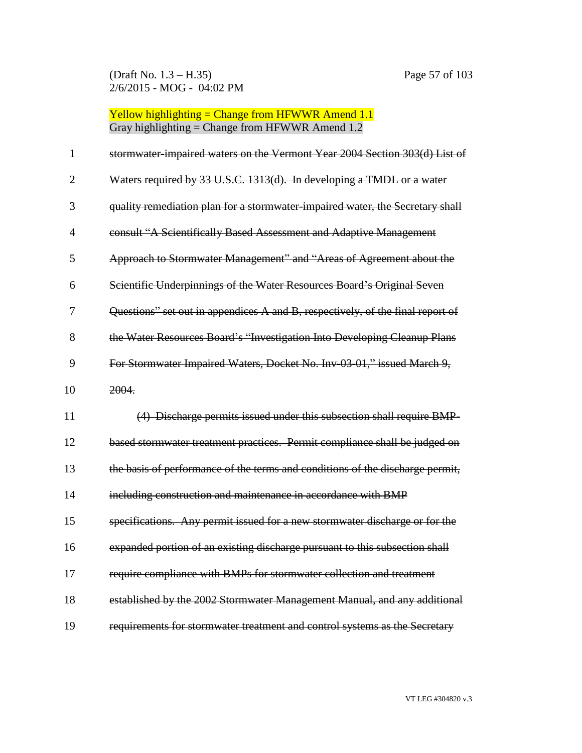(Draft No. 1.3 – H.35) Page 57 of 103 2/6/2015 - MOG - 04:02 PM

| $\mathbf{1}$   | stormwater-impaired waters on the Vermont Year 2004 Section 303(d) List of     |
|----------------|--------------------------------------------------------------------------------|
| $\overline{2}$ | Waters required by 33 U.S.C. 1313(d). In developing a TMDL or a water          |
| 3              | quality remediation plan for a stormwater-impaired water, the Secretary shall  |
| 4              | consult "A Scientifically Based Assessment and Adaptive Management             |
| 5              | Approach to Stormwater Management" and "Areas of Agreement about the           |
| 6              | Scientific Underpinnings of the Water Resources Board's Original Seven         |
| 7              | Questions" set out in appendices A and B, respectively, of the final report of |
| 8              | the Water Resources Board's "Investigation Into Developing Cleanup Plans       |
| 9              | For Stormwater Impaired Waters, Docket No. Inv-03-01," issued March 9,         |
| 10             | 2004.                                                                          |
| 11             | (4) Discharge permits issued under this subsection shall require BMP-          |
| 12             | based stormwater treatment practices. Permit compliance shall be judged on     |
| 13             | the basis of performance of the terms and conditions of the discharge permit,  |
| 14             | including construction and maintenance in accordance with BMP                  |
| 15             | specifications. Any permit issued for a new stormwater discharge or for the    |
| 16             | expanded portion of an existing discharge pursuant to this subsection shall    |
| 17             | require compliance with BMPs for stormwater collection and treatment           |
| 18             | established by the 2002 Stormwater Management Manual, and any additional       |
| 19             | requirements for stormwater treatment and control systems as the Secretary     |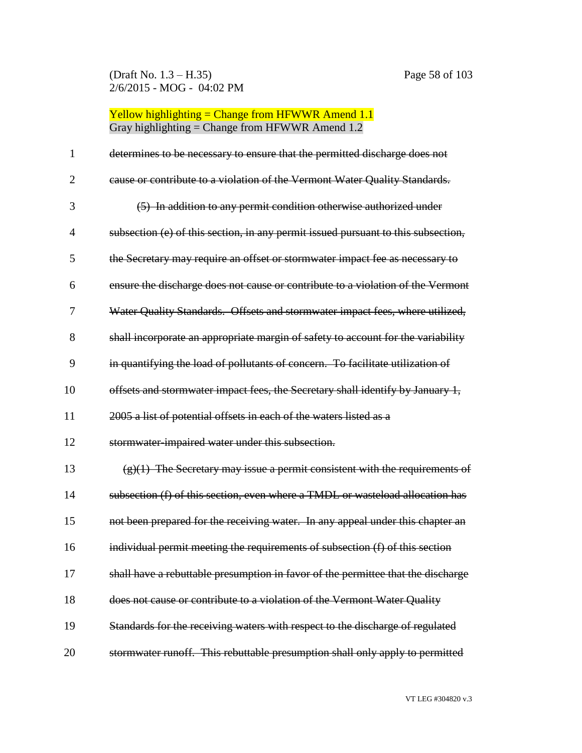(Draft No. 1.3 – H.35) Page 58 of 103 2/6/2015 - MOG - 04:02 PM

| 1              | determines to be necessary to ensure that the permitted discharge does not        |
|----------------|-----------------------------------------------------------------------------------|
| $\overline{2}$ | cause or contribute to a violation of the Vermont Water Quality Standards.        |
| 3              | (5) In addition to any permit condition otherwise authorized under                |
| $\overline{4}$ | subsection (e) of this section, in any permit issued pursuant to this subsection, |
| 5              | the Secretary may require an offset or stormwater impact fee as necessary to      |
| 6              | ensure the discharge does not cause or contribute to a violation of the Vermont   |
| 7              | Water Quality Standards. Offsets and stormwater impact fees, where utilized,      |
| 8              | shall incorporate an appropriate margin of safety to account for the variability  |
| 9              | in quantifying the load of pollutants of concern. To facilitate utilization of    |
| 10             | offsets and stormwater impact fees, the Secretary shall identify by January 1,    |
| 11             | 2005 a list of potential offsets in each of the waters listed as a                |
| 12             | stormwater impaired water under this subsection.                                  |
| 13             | $(g)(1)$ The Secretary may issue a permit consistent with the requirements of     |
| 14             | subsection (f) of this section, even where a TMDL or wasteload allocation has     |
| 15             | not been prepared for the receiving water. In any appeal under this chapter an    |
| 16             | individual permit meeting the requirements of subsection (f) of this section      |
| 17             | shall have a rebuttable presumption in favor of the permittee that the discharge  |
| 18             | does not cause or contribute to a violation of the Vermont Water Quality          |
| 19             | Standards for the receiving waters with respect to the discharge of regulated     |
| 20             | stormwater runoff. This rebuttable presumption shall only apply to permitted      |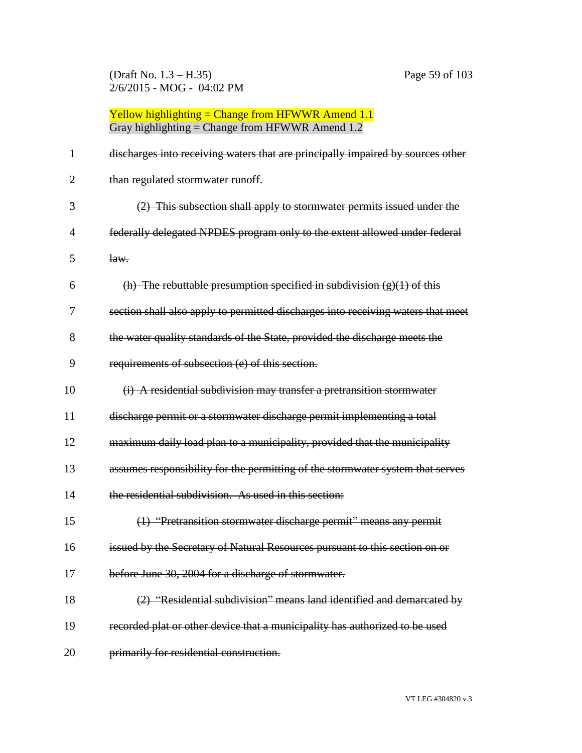(Draft No. 1.3 – H.35) Page 59 of 103 2/6/2015 - MOG - 04:02 PM

Yellow highlighting = Change from HFWWR Amend 1.1 Gray highlighting = Change from HFWWR Amend 1.2

| 1              | discharges into receiving waters that are principally impaired by sources other  |
|----------------|----------------------------------------------------------------------------------|
| $\overline{2}$ | than regulated stormwater runoff.                                                |
| 3              | (2) This subsection shall apply to stormwater permits issued under the           |
| 4              | federally delegated NPDES program only to the extent allowed under federal       |
| 5              | law.                                                                             |
| 6              | (h) The rebuttable presumption specified in subdivision $(g)(1)$ of this         |
| 7              | section shall also apply to permitted discharges into receiving waters that meet |
| 8              | the water quality standards of the State, provided the discharge meets the       |
| 9              | requirements of subsection (e) of this section.                                  |
| 10             | (i) A residential subdivision may transfer a pretransition stormwater            |
| 11             | discharge permit or a stormwater discharge permit implementing a total           |
| 12             | maximum daily load plan to a municipality, provided that the municipality        |
| 13             | assumes responsibility for the permitting of the stormwater system that serves   |
| 14             | the residential subdivision. As used in this section:                            |
| 15             | (1) "Pretransition stormwater discharge permit" means any permit                 |
| 16             | issued by the Secretary of Natural Resources pursuant to this section on or      |
| 17             | before June 30, 2004 for a discharge of stormwater.                              |
| 18             | (2) "Residential subdivision" means land identified and demarcated by            |
| 19             | recorded plat or other device that a municipality has authorized to be used      |
| 20             | primarily for residential construction.                                          |

VT LEG #304820 v.3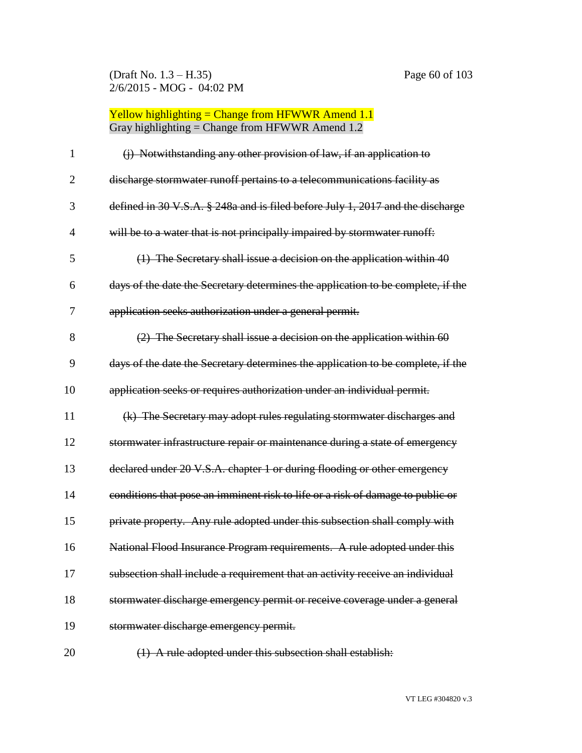(Draft No. 1.3 – H.35) Page 60 of 103 2/6/2015 - MOG - 04:02 PM

| 1              | (j) Notwithstanding any other provision of law, if an application to             |
|----------------|----------------------------------------------------------------------------------|
| $\overline{2}$ | discharge stormwater runoff pertains to a telecommunications facility as         |
| 3              | defined in 30 V.S.A. § 248a and is filed before July 1, 2017 and the discharge   |
| 4              | will be to a water that is not principally impaired by stormwater runoff:        |
| 5              | (1) The Secretary shall issue a decision on the application within 40            |
| 6              | days of the date the Secretary determines the application to be complete, if the |
| 7              | application seeks authorization under a general permit.                          |
| 8              | $(2)$ The Secretary shall issue a decision on the application within 60          |
| 9              | days of the date the Secretary determines the application to be complete, if the |
| 10             | application seeks or requires authorization under an individual permit.          |
| 11             | (k) The Secretary may adopt rules regulating stormwater discharges and           |
| 12             | stormwater infrastructure repair or maintenance during a state of emergency      |
| 13             | declared under 20 V.S.A. chapter 1 or during flooding or other emergency         |
| 14             | conditions that pose an imminent risk to life or a risk of damage to public or   |
| 15             | private property. Any rule adopted under this subsection shall comply with       |
| 16             | National Flood Insurance Program requirements. A rule adopted under this         |
| 17             | subsection shall include a requirement that an activity receive an individual    |
| 18             | stormwater discharge emergency permit or receive coverage under a general        |
| 19             | stormwater discharge emergency permit.                                           |
| 20             | (1) A rule adopted under this subsection shall establish:                        |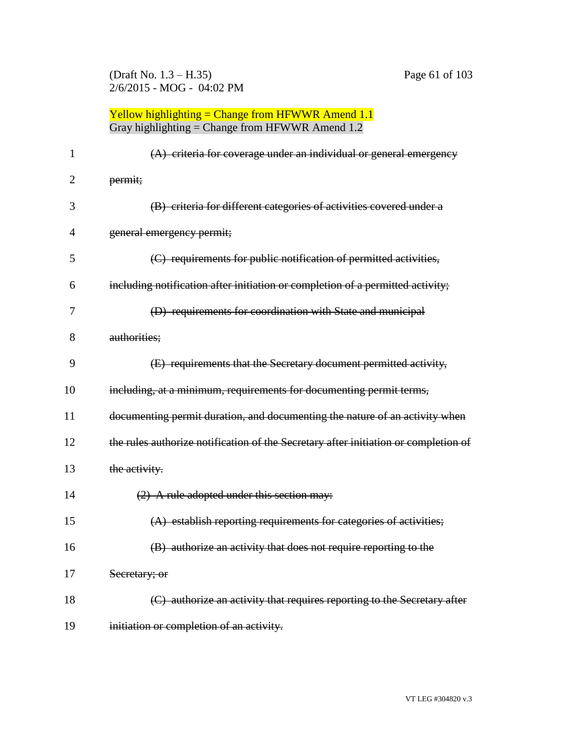(Draft No. 1.3 – H.35) Page 61 of 103 2/6/2015 - MOG - 04:02 PM

| 1              | $(A)$ criteria for coverage under an individual or general emergency                |
|----------------|-------------------------------------------------------------------------------------|
| $\overline{2}$ | permit;                                                                             |
| 3              | (B) criteria for different categories of activities covered under a                 |
| 4              | general emergency permit;                                                           |
| 5              | (C) requirements for public notification of permitted activities,                   |
| 6              | including notification after initiation or completion of a permitted activity;      |
| 7              | (D) requirements for coordination with State and municipal                          |
| 8              | authorities;                                                                        |
| 9              | (E) requirements that the Secretary document permitted activity,                    |
| 10             | including, at a minimum, requirements for documenting permit terms,                 |
| 11             | documenting permit duration, and documenting the nature of an activity when         |
| 12             | the rules authorize notification of the Secretary after initiation or completion of |
| 13             | the activity.                                                                       |
| 14             | $(2)$ A rule adopted under this section may:                                        |
| 15             | (A) establish reporting requirements for categories of activities;                  |
| 16             | (B) authorize an activity that does not require reporting to the                    |
| 17             | Secretary; or                                                                       |
| 18             | (C) authorize an activity that requires reporting to the Secretary after            |
| 19             | initiation or completion of an activity.                                            |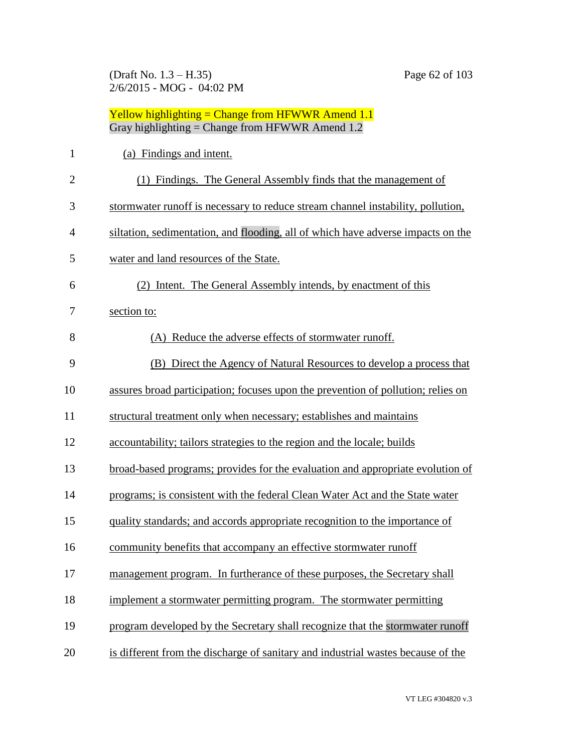(Draft No. 1.3 – H.35) Page 62 of 103 2/6/2015 - MOG - 04:02 PM

Yellow highlighting = Change from HFWWR Amend 1.1

|                | Gray highlighting = Change from HFWWR Amend $1.2$                                |
|----------------|----------------------------------------------------------------------------------|
| $\mathbf{1}$   | (a) Findings and intent.                                                         |
| $\overline{2}$ | (1) Findings. The General Assembly finds that the management of                  |
| 3              | stormwater runoff is necessary to reduce stream channel instability, pollution,  |
| 4              | siltation, sedimentation, and flooding, all of which have adverse impacts on the |
| 5              | water and land resources of the State.                                           |
| 6              | (2) Intent. The General Assembly intends, by enactment of this                   |
| 7              | section to:                                                                      |
| 8              | (A) Reduce the adverse effects of stormwater runoff.                             |
| 9              | (B) Direct the Agency of Natural Resources to develop a process that             |
| 10             | assures broad participation; focuses upon the prevention of pollution; relies on |
| 11             | structural treatment only when necessary; establishes and maintains              |
| 12             | accountability; tailors strategies to the region and the locale; builds          |
| 13             | broad-based programs; provides for the evaluation and appropriate evolution of   |
| 14             | programs; is consistent with the federal Clean Water Act and the State water     |
| 15             | quality standards; and accords appropriate recognition to the importance of      |
| 16             | community benefits that accompany an effective stormwater runoff                 |
| 17             | management program. In furtherance of these purposes, the Secretary shall        |
| 18             | implement a stormwater permitting program. The stormwater permitting             |
| 19             | program developed by the Secretary shall recognize that the stormwater runoff    |
|                |                                                                                  |

is different from the discharge of sanitary and industrial wastes because of the

VT LEG #304820 v.3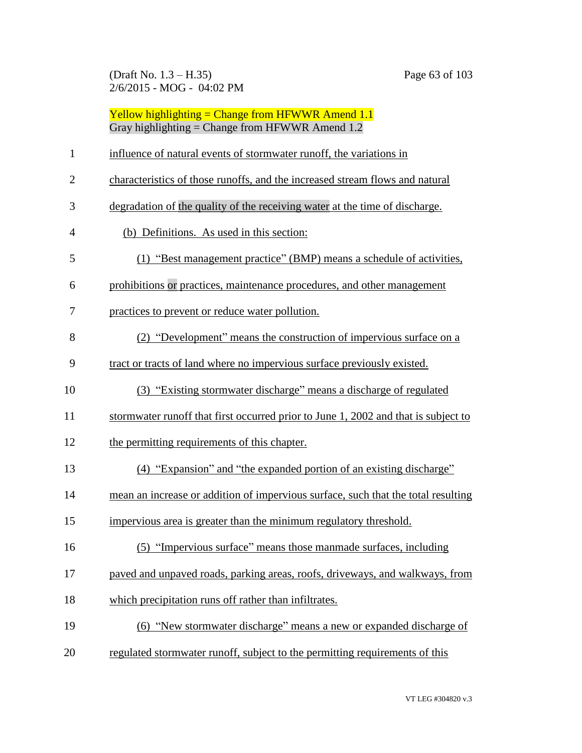(Draft No. 1.3 – H.35) Page 63 of 103 2/6/2015 - MOG - 04:02 PM

|                | Yellow highlighting = Change from HFWWR Amend $1.1$<br>Gray highlighting = Change from HFWWR Amend $1.2$ |
|----------------|----------------------------------------------------------------------------------------------------------|
| $\mathbf{1}$   | influence of natural events of stormwater runoff, the variations in                                      |
| $\overline{2}$ | characteristics of those runoffs, and the increased stream flows and natural                             |
| 3              | degradation of the quality of the receiving water at the time of discharge.                              |
| 4              | (b) Definitions. As used in this section:                                                                |
| 5              | (1) "Best management practice" (BMP) means a schedule of activities,                                     |
| 6              | prohibitions or practices, maintenance procedures, and other management                                  |
| 7              | practices to prevent or reduce water pollution.                                                          |
| 8              | (2) "Development" means the construction of impervious surface on a                                      |
| 9              | tract or tracts of land where no impervious surface previously existed.                                  |
| 10             | (3) "Existing stormwater discharge" means a discharge of regulated                                       |
| 11             | stormwater runoff that first occurred prior to June 1, 2002 and that is subject to                       |
| 12             | the permitting requirements of this chapter.                                                             |
| 13             | (4) "Expansion" and "the expanded portion of an existing discharge"                                      |
| 14             | mean an increase or addition of impervious surface, such that the total resulting                        |
| 15             | impervious area is greater than the minimum regulatory threshold.                                        |
| 16             | (5) "Impervious surface" means those manmade surfaces, including                                         |
| 17             | paved and unpaved roads, parking areas, roofs, driveways, and walkways, from                             |
| 18             | which precipitation runs off rather than infiltrates.                                                    |
| 19             | (6) "New stormwater discharge" means a new or expanded discharge of                                      |
| 20             | regulated stormwater runoff, subject to the permitting requirements of this                              |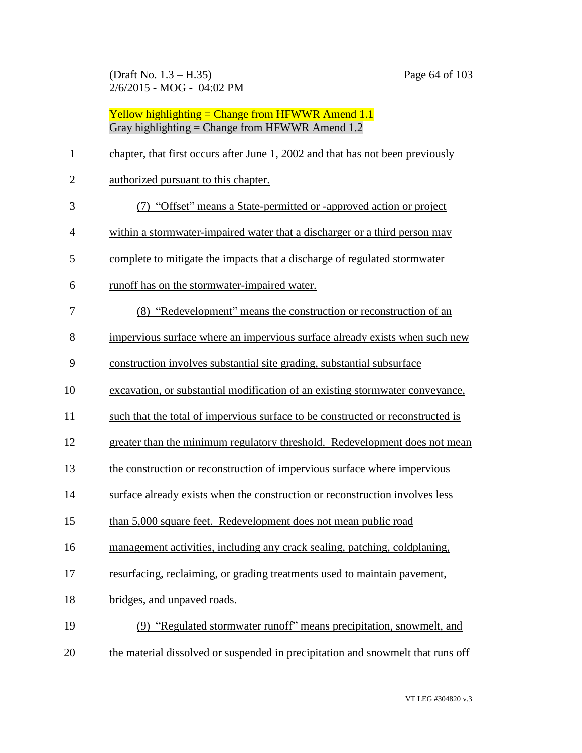(Draft No. 1.3 – H.35) Page 64 of 103 2/6/2015 - MOG - 04:02 PM

Yellow highlighting = Change from HFWWR Amend 1.1 Gray highlighting = Change from HFWWR Amend 1.2

| $\mathbf{1}$   | chapter, that first occurs after June 1, 2002 and that has not been previously  |
|----------------|---------------------------------------------------------------------------------|
| $\mathbf{2}$   | authorized pursuant to this chapter.                                            |
| 3              | (7) "Offset" means a State-permitted or -approved action or project             |
| $\overline{4}$ | within a stormwater-impaired water that a discharger or a third person may      |
| 5              | complete to mitigate the impacts that a discharge of regulated stormwater       |
| 6              | runoff has on the stormwater-impaired water.                                    |
| 7              | (8) "Redevelopment" means the construction or reconstruction of an              |
| 8              | impervious surface where an impervious surface already exists when such new     |
| 9              | construction involves substantial site grading, substantial subsurface          |
| 10             | excavation, or substantial modification of an existing stormwater conveyance,   |
| 11             | such that the total of impervious surface to be constructed or reconstructed is |
| 12             | greater than the minimum regulatory threshold. Redevelopment does not mean      |
| 13             | the construction or reconstruction of impervious surface where impervious       |
| 14             | surface already exists when the construction or reconstruction involves less    |
| 15             | than 5,000 square feet. Redevelopment does not mean public road                 |
| 16             | management activities, including any crack sealing, patching, coldplaning,      |
| 17             | resurfacing, reclaiming, or grading treatments used to maintain pavement,       |
| 18             | bridges, and unpaved roads.                                                     |
| 19             | (9) "Regulated stormwater runoff" means precipitation, snowmelt, and            |
| 20             | the material dissolved or suspended in precipitation and snowmelt that runs off |
|                |                                                                                 |

VT LEG #304820 v.3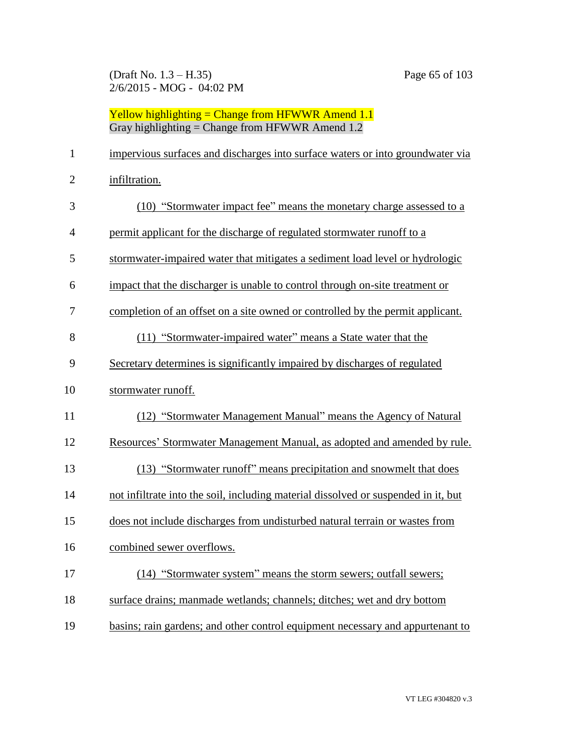(Draft No. 1.3 – H.35) Page 65 of 103 2/6/2015 - MOG - 04:02 PM

| $\mathbf{1}$   | impervious surfaces and discharges into surface waters or into groundwater via     |
|----------------|------------------------------------------------------------------------------------|
| $\overline{2}$ | infiltration.                                                                      |
| 3              | (10) "Stormwater impact fee" means the monetary charge assessed to a               |
| $\overline{4}$ | permit applicant for the discharge of regulated stormwater runoff to a             |
| 5              | stormwater-impaired water that mitigates a sediment load level or hydrologic       |
| 6              | impact that the discharger is unable to control through on-site treatment or       |
| 7              | completion of an offset on a site owned or controlled by the permit applicant.     |
| 8              | (11) "Stormwater-impaired water" means a State water that the                      |
| 9              | Secretary determines is significantly impaired by discharges of regulated          |
| 10             | stormwater runoff.                                                                 |
| 11             | (12) "Stormwater Management Manual" means the Agency of Natural                    |
| 12             | Resources' Stormwater Management Manual, as adopted and amended by rule.           |
| 13             | (13) "Stormwater runoff" means precipitation and snowmelt that does                |
| 14             | not infiltrate into the soil, including material dissolved or suspended in it, but |
| 15             | does not include discharges from undisturbed natural terrain or wastes from        |
| 16             | combined sewer overflows.                                                          |
| 17             | (14) "Stormwater system" means the storm sewers; outfall sewers;                   |
| 18             | surface drains; manmade wetlands; channels; ditches; wet and dry bottom            |
| 19             | basins; rain gardens; and other control equipment necessary and appurtenant to     |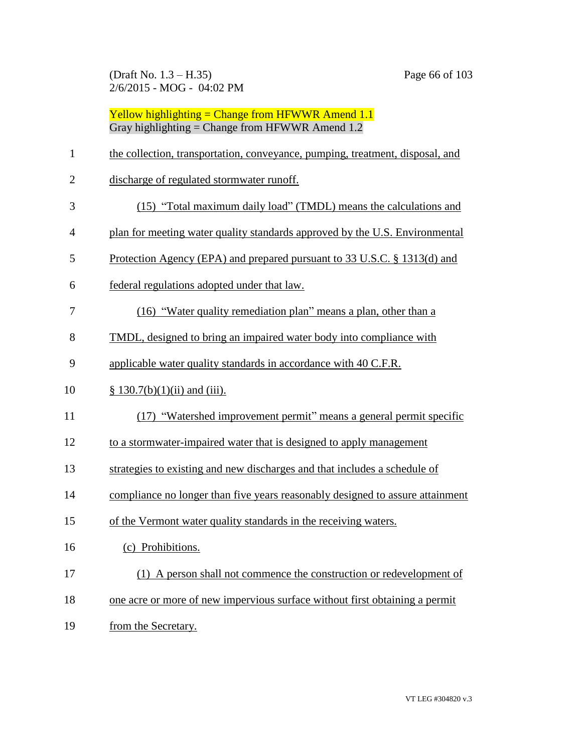(Draft No. 1.3 – H.35) Page 66 of 103 2/6/2015 - MOG - 04:02 PM

| $\mathbf{1}$   | the collection, transportation, conveyance, pumping, treatment, disposal, and |
|----------------|-------------------------------------------------------------------------------|
| $\overline{2}$ | discharge of regulated stormwater runoff.                                     |
| 3              | (15) "Total maximum daily load" (TMDL) means the calculations and             |
| $\overline{4}$ | plan for meeting water quality standards approved by the U.S. Environmental   |
| 5              | Protection Agency (EPA) and prepared pursuant to 33 U.S.C. § 1313(d) and      |
| 6              | federal regulations adopted under that law.                                   |
| 7              | (16) "Water quality remediation plan" means a plan, other than a              |
| 8              | TMDL, designed to bring an impaired water body into compliance with           |
| 9              | applicable water quality standards in accordance with 40 C.F.R.               |
| 10             | $§ 130.7(b)(1)(ii)$ and (iii).                                                |
| 11             | (17) "Watershed improvement permit" means a general permit specific           |
| 12             | to a stormwater-impaired water that is designed to apply management           |
| 13             | strategies to existing and new discharges and that includes a schedule of     |
| 14             | compliance no longer than five years reasonably designed to assure attainment |
| 15             | of the Vermont water quality standards in the receiving waters.               |
| 16             | (c) Prohibitions.                                                             |
| 17             | (1) A person shall not commence the construction or redevelopment of          |
| 18             | one acre or more of new impervious surface without first obtaining a permit   |
| 19             | from the Secretary.                                                           |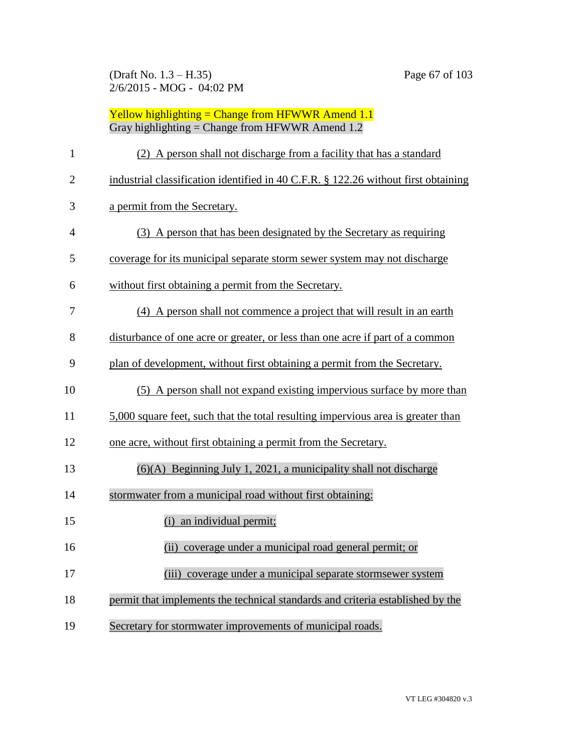| $\mathbf{1}$   | (2) A person shall not discharge from a facility that has a standard               |
|----------------|------------------------------------------------------------------------------------|
| $\overline{2}$ | industrial classification identified in 40 C.F.R. § 122.26 without first obtaining |
| 3              | a permit from the Secretary.                                                       |
| $\overline{4}$ | (3) A person that has been designated by the Secretary as requiring                |
| 5              | coverage for its municipal separate storm sewer system may not discharge           |
| 6              | without first obtaining a permit from the Secretary.                               |
| 7              | (4) A person shall not commence a project that will result in an earth             |
| 8              | disturbance of one acre or greater, or less than one acre if part of a common      |
| 9              | plan of development, without first obtaining a permit from the Secretary.          |
| 10             | (5) A person shall not expand existing impervious surface by more than             |
| 11             | 5,000 square feet, such that the total resulting impervious area is greater than   |
| 12             | one acre, without first obtaining a permit from the Secretary.                     |
| 13             | $(6)(A)$ Beginning July 1, 2021, a municipality shall not discharge                |
| 14             | stormwater from a municipal road without first obtaining:                          |
| 15             | (i) an individual permit;                                                          |
| 16             | (ii) coverage under a municipal road general permit; or                            |
| 17             | (iii) coverage under a municipal separate stormsewer system                        |
| 18             | permit that implements the technical standards and criteria established by the     |
| 19             | Secretary for stormwater improvements of municipal roads.                          |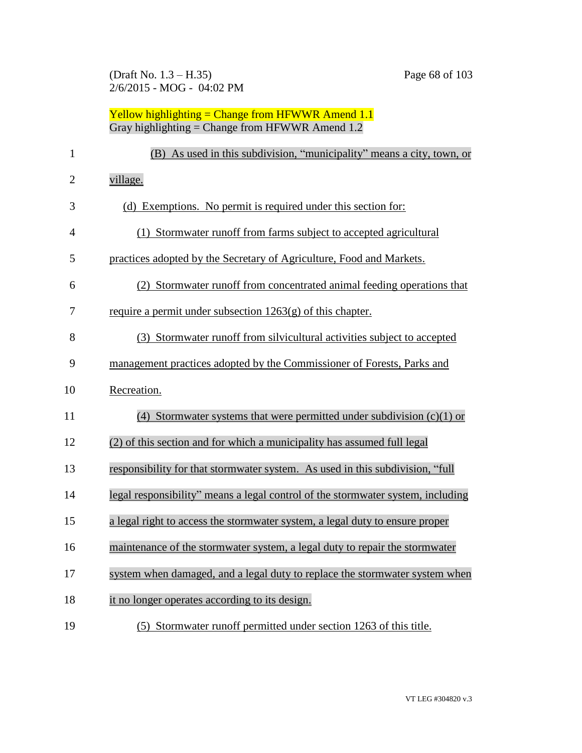| $\mathbf{1}$   | (B) As used in this subdivision, "municipality" means a city, town, or          |
|----------------|---------------------------------------------------------------------------------|
| $\overline{2}$ | village.                                                                        |
| 3              | (d) Exemptions. No permit is required under this section for:                   |
| 4              | (1) Stormwater runoff from farms subject to accepted agricultural               |
| 5              | practices adopted by the Secretary of Agriculture, Food and Markets.            |
| 6              | (2) Stormwater runoff from concentrated animal feeding operations that          |
| 7              | require a permit under subsection $1263(g)$ of this chapter.                    |
| 8              | (3) Stormwater runoff from silvicultural activities subject to accepted         |
| 9              | management practices adopted by the Commissioner of Forests, Parks and          |
| 10             | Recreation.                                                                     |
| 11             | (4) Stormwater systems that were permitted under subdivision $(c)(1)$ or        |
| 12             | (2) of this section and for which a municipality has assumed full legal         |
| 13             | responsibility for that stormwater system. As used in this subdivision, "full   |
| 14             | legal responsibility" means a legal control of the stormwater system, including |
| 15             | a legal right to access the stormwater system, a legal duty to ensure proper    |
| 16             | maintenance of the stormwater system, a legal duty to repair the stormwater     |
| 17             | system when damaged, and a legal duty to replace the stormwater system when     |
| 18             | it no longer operates according to its design.                                  |
| 19             | (5) Stormwater runoff permitted under section 1263 of this title.               |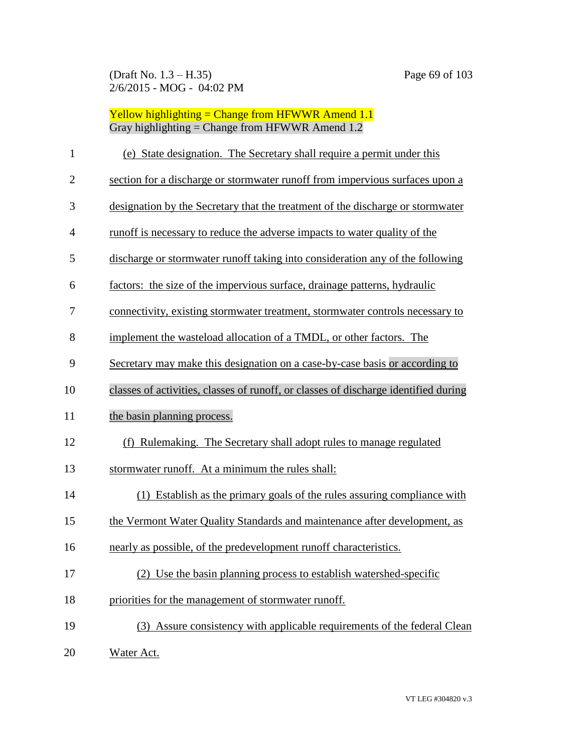(Draft No. 1.3 – H.35) Page 69 of 103 2/6/2015 - MOG - 04:02 PM

| $\mathbf{1}$   | (e) State designation. The Secretary shall require a permit under this              |
|----------------|-------------------------------------------------------------------------------------|
| $\overline{2}$ | section for a discharge or stormwater runoff from impervious surfaces upon a        |
| 3              | designation by the Secretary that the treatment of the discharge or stormwater      |
| 4              | runoff is necessary to reduce the adverse impacts to water quality of the           |
| 5              | discharge or stormwater runoff taking into consideration any of the following       |
| 6              | factors: the size of the impervious surface, drainage patterns, hydraulic           |
| 7              | connectivity, existing stormwater treatment, stormwater controls necessary to       |
| 8              | implement the wasteload allocation of a TMDL, or other factors. The                 |
| 9              | Secretary may make this designation on a case-by-case basis or according to         |
| 10             | classes of activities, classes of runoff, or classes of discharge identified during |
| 11             | the basin planning process.                                                         |
| 12             | (f) Rulemaking. The Secretary shall adopt rules to manage regulated                 |
| 13             | stormwater runoff. At a minimum the rules shall:                                    |
| 14             | (1) Establish as the primary goals of the rules assuring compliance with            |
| 15             | the Vermont Water Quality Standards and maintenance after development, as           |
| 16             | nearly as possible, of the predevelopment runoff characteristics.                   |
| 17             | (2) Use the basin planning process to establish watershed-specific                  |
| 18             | priorities for the management of stormwater runoff.                                 |
| 19             | (3) Assure consistency with applicable requirements of the federal Clean            |
| 20             | Water Act.                                                                          |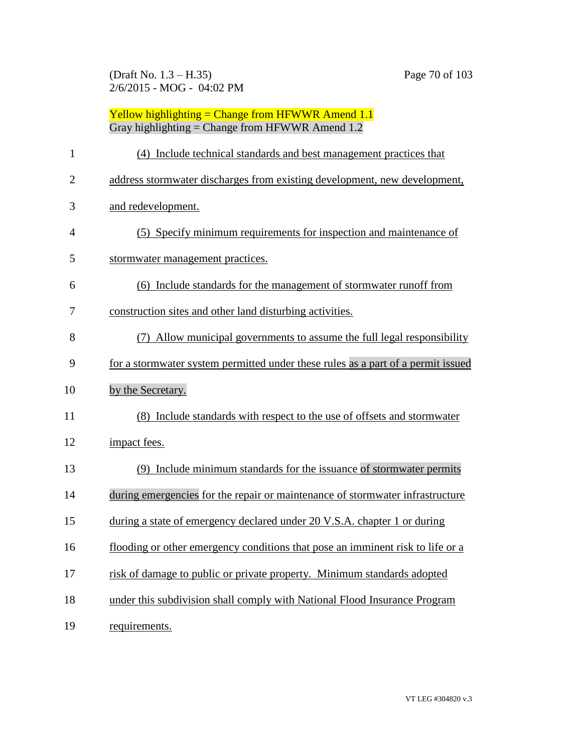(Draft No. 1.3 – H.35) Page 70 of 103 2/6/2015 - MOG - 04:02 PM

| $\mathbf{1}$   | (4) Include technical standards and best management practices that               |
|----------------|----------------------------------------------------------------------------------|
| $\overline{2}$ | address stormwater discharges from existing development, new development,        |
| 3              | and redevelopment.                                                               |
| $\overline{4}$ | (5) Specify minimum requirements for inspection and maintenance of               |
| 5              | stormwater management practices.                                                 |
| 6              | (6) Include standards for the management of stormwater runoff from               |
| 7              | construction sites and other land disturbing activities.                         |
| 8              | (7) Allow municipal governments to assume the full legal responsibility          |
| 9              | for a stormwater system permitted under these rules as a part of a permit issued |
| 10             | by the Secretary.                                                                |
| 11             | (8) Include standards with respect to the use of offsets and stormwater          |
| 12             | impact fees.                                                                     |
| 13             | (9) Include minimum standards for the issuance of stormwater permits             |
| 14             | during emergencies for the repair or maintenance of stormwater infrastructure    |
| 15             | during a state of emergency declared under 20 V.S.A. chapter 1 or during         |
| 16             | flooding or other emergency conditions that pose an imminent risk to life or a   |
| 17             | risk of damage to public or private property. Minimum standards adopted          |
| 18             | under this subdivision shall comply with National Flood Insurance Program        |
| 19             | requirements.                                                                    |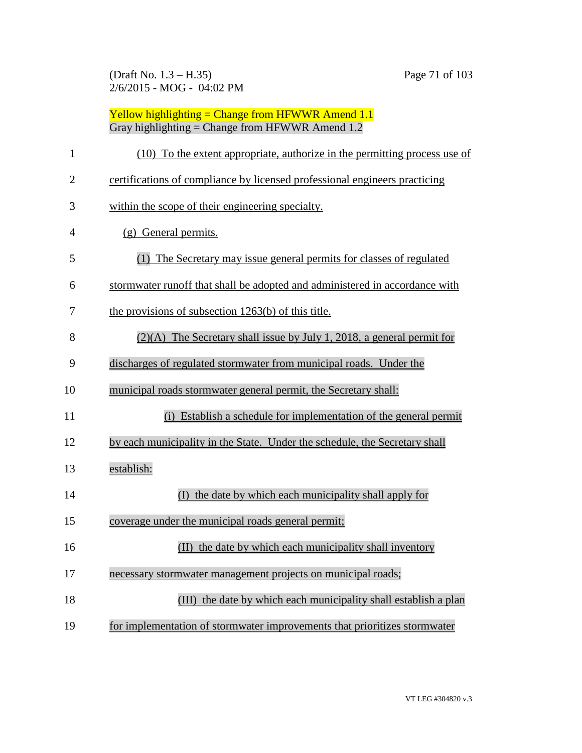(Draft No. 1.3 – H.35) Page 71 of 103 2/6/2015 - MOG - 04:02 PM

| $\mathbf{1}$   | (10) To the extent appropriate, authorize in the permitting process use of  |
|----------------|-----------------------------------------------------------------------------|
| $\overline{2}$ | certifications of compliance by licensed professional engineers practicing  |
| 3              | within the scope of their engineering specialty.                            |
| $\overline{4}$ | (g) General permits.                                                        |
| 5              | (1) The Secretary may issue general permits for classes of regulated        |
| 6              | stormwater runoff that shall be adopted and administered in accordance with |
| 7              | the provisions of subsection $1263(b)$ of this title.                       |
| 8              | $(2)(A)$ The Secretary shall issue by July 1, 2018, a general permit for    |
| 9              | discharges of regulated stormwater from municipal roads. Under the          |
| 10             | municipal roads stormwater general permit, the Secretary shall:             |
| 11             | (i) Establish a schedule for implementation of the general permit           |
| 12             | by each municipality in the State. Under the schedule, the Secretary shall  |
| 13             | establish:                                                                  |
| 14             | (I) the date by which each municipality shall apply for                     |
| 15             | coverage under the municipal roads general permit;                          |
| 16             | (II) the date by which each municipality shall inventory                    |
| 17             | necessary stormwater management projects on municipal roads;                |
| 18             | (III) the date by which each municipality shall establish a plan            |
| 19             | for implementation of stormwater improvements that prioritizes stormwater   |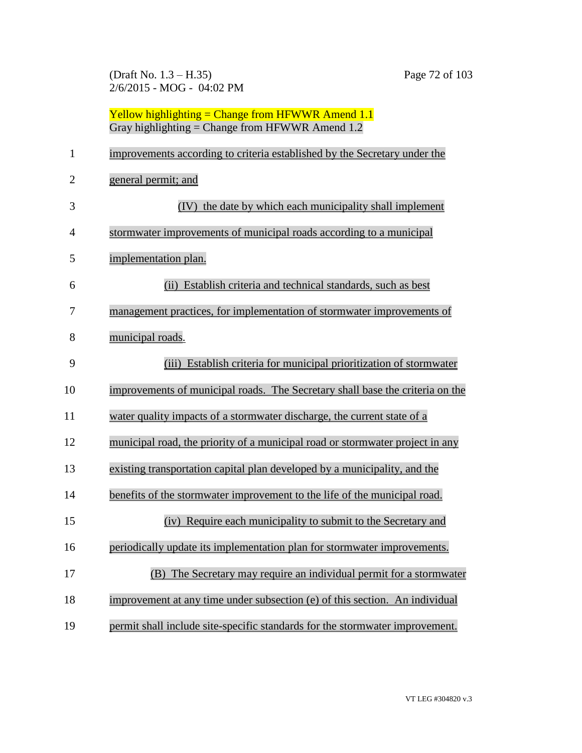(Draft No. 1.3 – H.35) Page 72 of 103 2/6/2015 - MOG - 04:02 PM

|              | Yellow highlighting = Change from HFWWR Amend $1.1$<br>Gray highlighting = Change from HFWWR Amend $1.2$ |
|--------------|----------------------------------------------------------------------------------------------------------|
| $\mathbf{1}$ | improvements according to criteria established by the Secretary under the                                |
| 2            | general permit; and                                                                                      |
| 3            | (IV) the date by which each municipality shall implement                                                 |
| 4            | stormwater improvements of municipal roads according to a municipal                                      |
| 5            | implementation plan.                                                                                     |
| 6            | (ii) Establish criteria and technical standards, such as best                                            |
| 7            | management practices, for implementation of stormwater improvements of                                   |
| 8            | municipal roads.                                                                                         |
| 9            | (iii) Establish criteria for municipal prioritization of stormwater                                      |
| 10           | improvements of municipal roads. The Secretary shall base the criteria on the                            |
| 11           | water quality impacts of a stormwater discharge, the current state of a                                  |
| 12           | municipal road, the priority of a municipal road or stormwater project in any                            |
| 13           | existing transportation capital plan developed by a municipality, and the                                |
| 14           | benefits of the stormwater improvement to the life of the municipal road.                                |
| 15           | (iv) Require each municipality to submit to the Secretary and                                            |
| 16           | periodically update its implementation plan for stormwater improvements.                                 |
| 17           | The Secretary may require an individual permit for a stormwater<br>(B)                                   |
| 18           | improvement at any time under subsection (e) of this section. An individual                              |
| 19           | permit shall include site-specific standards for the stormwater improvement.                             |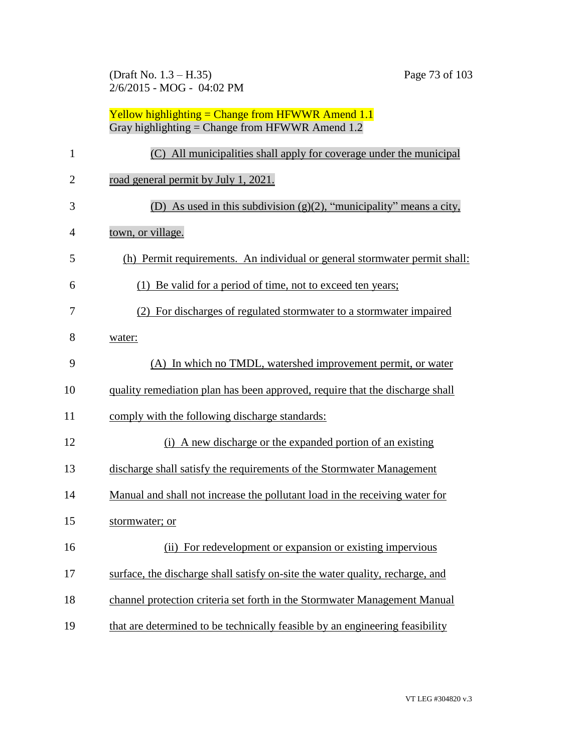(Draft No. 1.3 – H.35) Page 73 of 103 2/6/2015 - MOG - 04:02 PM

| $\mathbf{1}$   | (C) All municipalities shall apply for coverage under the municipal           |
|----------------|-------------------------------------------------------------------------------|
| $\overline{2}$ | road general permit by July 1, 2021.                                          |
| 3              | (D) As used in this subdivision $(g)(2)$ , "municipality" means a city,       |
| $\overline{4}$ | town, or village.                                                             |
| 5              | (h) Permit requirements. An individual or general stormwater permit shall:    |
| 6              | (1) Be valid for a period of time, not to exceed ten years;                   |
| 7              | (2) For discharges of regulated stormwater to a stormwater impaired           |
| 8              | water:                                                                        |
| 9              | (A) In which no TMDL, watershed improvement permit, or water                  |
| 10             | quality remediation plan has been approved, require that the discharge shall  |
| 11             | comply with the following discharge standards:                                |
| 12             | (i) A new discharge or the expanded portion of an existing                    |
| 13             | discharge shall satisfy the requirements of the Stormwater Management         |
| 14             | Manual and shall not increase the pollutant load in the receiving water for   |
| 15             | stormwater; or                                                                |
| 16             | (ii) For redevelopment or expansion or existing impervious                    |
| 17             | surface, the discharge shall satisfy on-site the water quality, recharge, and |
| 18             | channel protection criteria set forth in the Stormwater Management Manual     |
| 19             | that are determined to be technically feasible by an engineering feasibility  |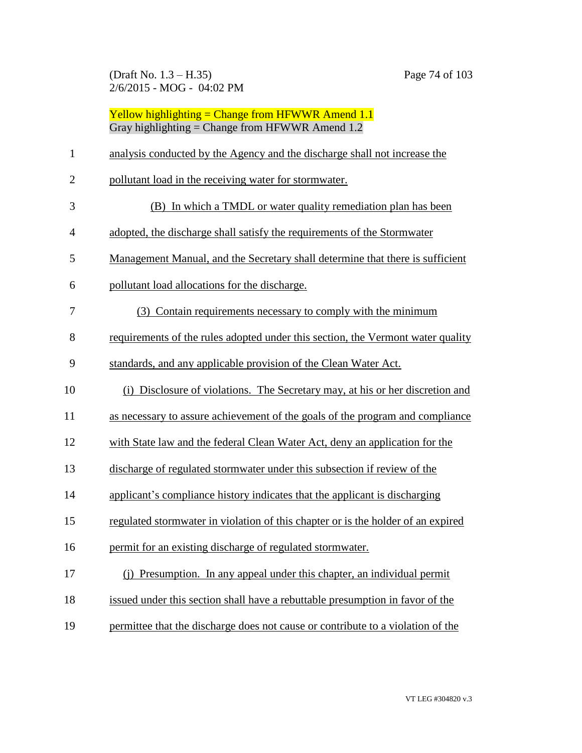(Draft No. 1.3 – H.35) Page 74 of 103 2/6/2015 - MOG - 04:02 PM

|                | Yellow highlighting = Change from HFWWR Amend $1.1$<br>Gray highlighting = Change from HFWWR Amend $1.2$ |
|----------------|----------------------------------------------------------------------------------------------------------|
| $\mathbf{1}$   | analysis conducted by the Agency and the discharge shall not increase the                                |
| $\overline{2}$ | pollutant load in the receiving water for stormwater.                                                    |
| 3              | (B) In which a TMDL or water quality remediation plan has been                                           |
| 4              | adopted, the discharge shall satisfy the requirements of the Stormwater                                  |
| 5              | Management Manual, and the Secretary shall determine that there is sufficient                            |
| 6              | pollutant load allocations for the discharge.                                                            |
| 7              | (3) Contain requirements necessary to comply with the minimum                                            |
| 8              | requirements of the rules adopted under this section, the Vermont water quality                          |
| 9              | standards, and any applicable provision of the Clean Water Act.                                          |
| 10             | (i) Disclosure of violations. The Secretary may, at his or her discretion and                            |
| 11             | as necessary to assure achievement of the goals of the program and compliance                            |
| 12             | with State law and the federal Clean Water Act, deny an application for the                              |
| 13             | discharge of regulated stormwater under this subsection if review of the                                 |
| 14             | applicant's compliance history indicates that the applicant is discharging                               |
| 15             | regulated stormwater in violation of this chapter or is the holder of an expired                         |
| 16             | permit for an existing discharge of regulated stormwater.                                                |
| 17             | (j) Presumption. In any appeal under this chapter, an individual permit                                  |
| 18             | issued under this section shall have a rebuttable presumption in favor of the                            |
| 19             | permittee that the discharge does not cause or contribute to a violation of the                          |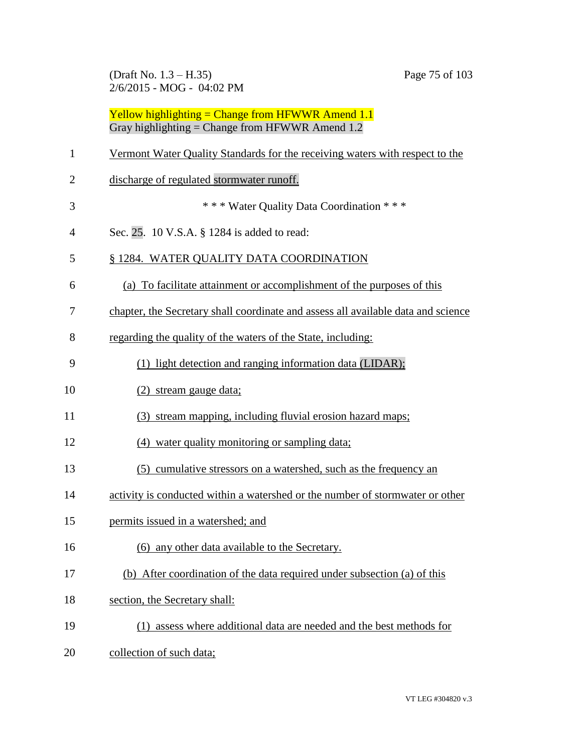(Draft No. 1.3 – H.35) Page 75 of 103 2/6/2015 - MOG - 04:02 PM

| $\mathbf{1}$   | Vermont Water Quality Standards for the receiving waters with respect to the      |
|----------------|-----------------------------------------------------------------------------------|
| $\overline{2}$ | discharge of regulated stormwater runoff.                                         |
| 3              | *** Water Quality Data Coordination ***                                           |
| $\overline{4}$ | Sec. 25. 10 V.S.A. § 1284 is added to read:                                       |
| 5              | § 1284. WATER QUALITY DATA COORDINATION                                           |
| 6              | (a) To facilitate attainment or accomplishment of the purposes of this            |
| 7              | chapter, the Secretary shall coordinate and assess all available data and science |
| 8              | regarding the quality of the waters of the State, including:                      |
| 9              | (1) light detection and ranging information data (LIDAR);                         |
| 10             | (2) stream gauge data;                                                            |
| 11             | (3) stream mapping, including fluvial erosion hazard maps;                        |
| 12             | (4) water quality monitoring or sampling data;                                    |
| 13             | (5) cumulative stressors on a watershed, such as the frequency an                 |
| 14             | activity is conducted within a watershed or the number of stormwater or other     |
| 15             | permits issued in a watershed; and                                                |
| 16             | (6) any other data available to the Secretary.                                    |
| 17             | (b) After coordination of the data required under subsection (a) of this          |
| 18             | section, the Secretary shall:                                                     |
| 19             | (1) assess where additional data are needed and the best methods for              |
| 20             | collection of such data;                                                          |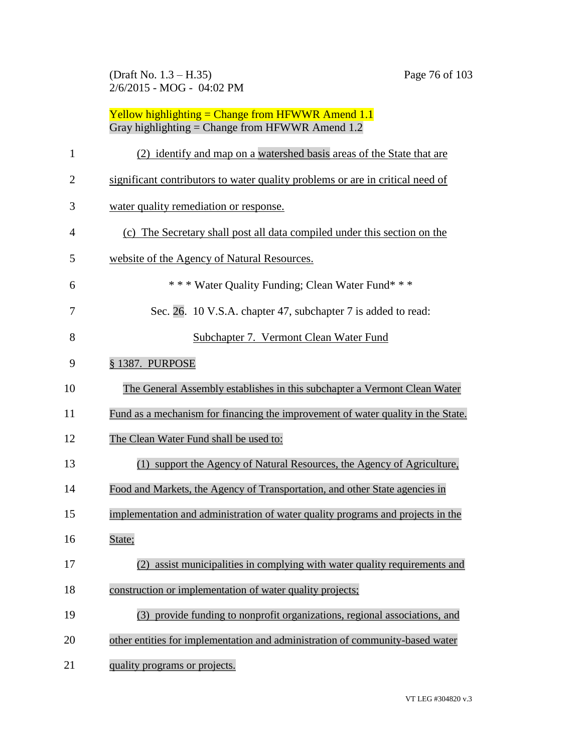(Draft No. 1.3 – H.35) Page 76 of 103 2/6/2015 - MOG - 04:02 PM

| $\mathbf{1}$   | (2) identify and map on a watershed basis areas of the State that are            |
|----------------|----------------------------------------------------------------------------------|
| $\overline{c}$ | significant contributors to water quality problems or are in critical need of    |
| 3              | water quality remediation or response.                                           |
| 4              | (c) The Secretary shall post all data compiled under this section on the         |
| 5              | website of the Agency of Natural Resources.                                      |
| 6              | *** Water Quality Funding; Clean Water Fund***                                   |
| 7              | Sec. 26. 10 V.S.A. chapter 47, subchapter 7 is added to read:                    |
| 8              | Subchapter 7. Vermont Clean Water Fund                                           |
| 9              | § 1387. PURPOSE                                                                  |
| 10             | The General Assembly establishes in this subchapter a Vermont Clean Water        |
| 11             | Fund as a mechanism for financing the improvement of water quality in the State. |
| 12             | The Clean Water Fund shall be used to:                                           |
| 13             | (1) support the Agency of Natural Resources, the Agency of Agriculture,          |
| 14             | Food and Markets, the Agency of Transportation, and other State agencies in      |
| 15             | implementation and administration of water quality programs and projects in the  |
| 16             | State;                                                                           |
| 17             | (2) assist municipalities in complying with water quality requirements and       |
| 18             | construction or implementation of water quality projects;                        |
| 19             | (3) provide funding to nonprofit organizations, regional associations, and       |
| 20             | other entities for implementation and administration of community-based water    |
| 21             | quality programs or projects.                                                    |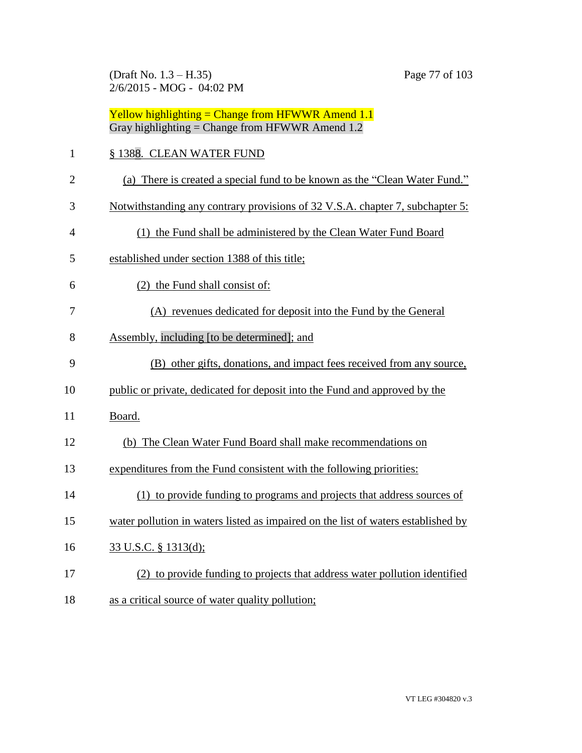(Draft No. 1.3 – H.35) Page 77 of 103 2/6/2015 - MOG - 04:02 PM

|                | Yellow highlighting = Change from HFWWR Amend $1.1$<br>Gray highlighting = Change from HFWWR Amend $1.2$ |
|----------------|----------------------------------------------------------------------------------------------------------|
| $\mathbf{1}$   | § 1388. CLEAN WATER FUND                                                                                 |
| $\overline{2}$ | (a) There is created a special fund to be known as the "Clean Water Fund."                               |
| 3              | Notwithstanding any contrary provisions of 32 V.S.A. chapter 7, subchapter 5:                            |
| 4              | (1) the Fund shall be administered by the Clean Water Fund Board                                         |
| 5              | established under section 1388 of this title;                                                            |
| 6              | (2) the Fund shall consist of:                                                                           |
| 7              | (A) revenues dedicated for deposit into the Fund by the General                                          |
| 8              | Assembly, including [to be determined]; and                                                              |
| 9              | (B) other gifts, donations, and impact fees received from any source,                                    |
| 10             | public or private, dedicated for deposit into the Fund and approved by the                               |
| 11             | Board.                                                                                                   |
| 12             | (b) The Clean Water Fund Board shall make recommendations on                                             |
| 13             | expenditures from the Fund consistent with the following priorities:                                     |
| 14             | (1) to provide funding to programs and projects that address sources of                                  |
| 15             | water pollution in waters listed as impaired on the list of waters established by                        |
| 16             | 33 U.S.C. § 1313(d);                                                                                     |
| 17             | (2) to provide funding to projects that address water pollution identified                               |
| 18             | as a critical source of water quality pollution;                                                         |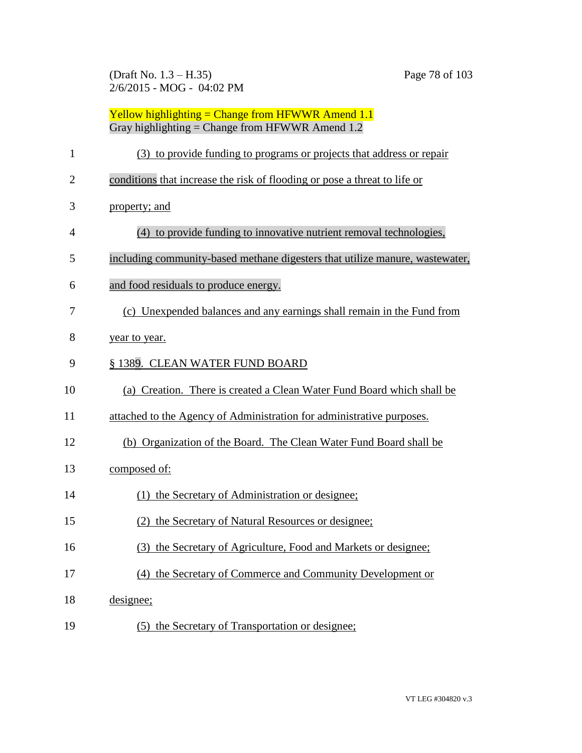(Draft No. 1.3 – H.35) Page 78 of 103 2/6/2015 - MOG - 04:02 PM

| Yellow highlighting = Change from HFWWR Amend $1.1$ |
|-----------------------------------------------------|
| Gray highlighting = Change from HFWWR Amend $1.2$   |

| $\mathbf{1}$   | (3) to provide funding to programs or projects that address or repair        |
|----------------|------------------------------------------------------------------------------|
| $\overline{2}$ | conditions that increase the risk of flooding or pose a threat to life or    |
| 3              | property; and                                                                |
| $\overline{4}$ | (4) to provide funding to innovative nutrient removal technologies,          |
| 5              | including community-based methane digesters that utilize manure, wastewater, |
| 6              | and food residuals to produce energy.                                        |
| 7              | (c) Unexpended balances and any earnings shall remain in the Fund from       |
| 8              | year to year.                                                                |
| 9              | § 1389. CLEAN WATER FUND BOARD                                               |
| 10             | (a) Creation. There is created a Clean Water Fund Board which shall be       |
| 11             | attached to the Agency of Administration for administrative purposes.        |
| 12             | (b) Organization of the Board. The Clean Water Fund Board shall be           |
| 13             | composed of:                                                                 |
| 14             | (1) the Secretary of Administration or designee;                             |
| 15             | (2) the Secretary of Natural Resources or designee;                          |
| 16             | (3) the Secretary of Agriculture, Food and Markets or designee;              |
| 17             | (4) the Secretary of Commerce and Community Development or                   |
| 18             | designee;                                                                    |
| 19             | (5) the Secretary of Transportation or designee;                             |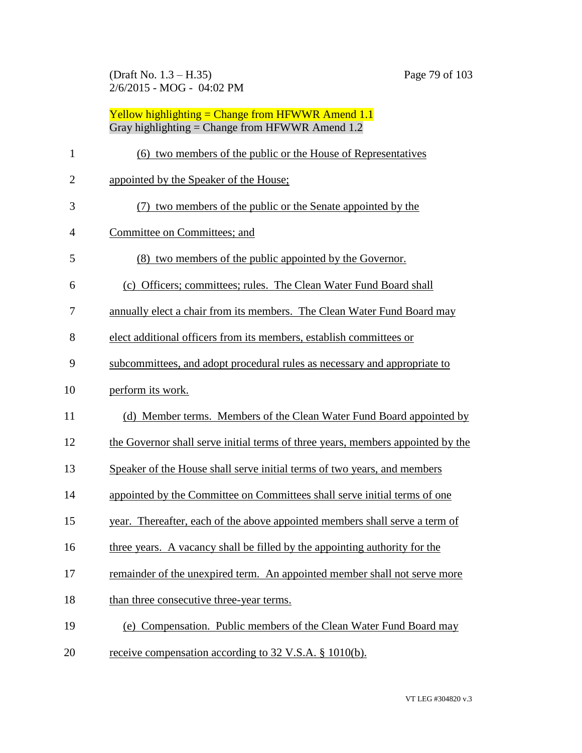(Draft No. 1.3 – H.35) Page 79 of 103 2/6/2015 - MOG - 04:02 PM

| <b>Yellow highlighting = Change from HFWWR Amend 1.1</b> |
|----------------------------------------------------------|
| Gray highlighting = Change from HFWWR Amend $1.2$        |

| 1              | (6) two members of the public or the House of Representatives                   |
|----------------|---------------------------------------------------------------------------------|
| $\overline{2}$ | appointed by the Speaker of the House;                                          |
| 3              | (7) two members of the public or the Senate appointed by the                    |
| 4              | Committee on Committees; and                                                    |
| 5              | (8) two members of the public appointed by the Governor.                        |
| 6              | (c) Officers; committees; rules. The Clean Water Fund Board shall               |
| 7              | annually elect a chair from its members. The Clean Water Fund Board may         |
| 8              | elect additional officers from its members, establish committees or             |
| 9              | subcommittees, and adopt procedural rules as necessary and appropriate to       |
| 10             | perform its work.                                                               |
| 11             | (d) Member terms. Members of the Clean Water Fund Board appointed by            |
| 12             | the Governor shall serve initial terms of three years, members appointed by the |
| 13             | Speaker of the House shall serve initial terms of two years, and members        |
| 14             | appointed by the Committee on Committees shall serve initial terms of one       |
| 15             | year. Thereafter, each of the above appointed members shall serve a term of     |
| 16             | three years. A vacancy shall be filled by the appointing authority for the      |
| 17             | remainder of the unexpired term. An appointed member shall not serve more       |
| 18             | than three consecutive three-year terms.                                        |
| 19             | (e) Compensation. Public members of the Clean Water Fund Board may              |
| 20             | receive compensation according to 32 V.S.A. § 1010(b).                          |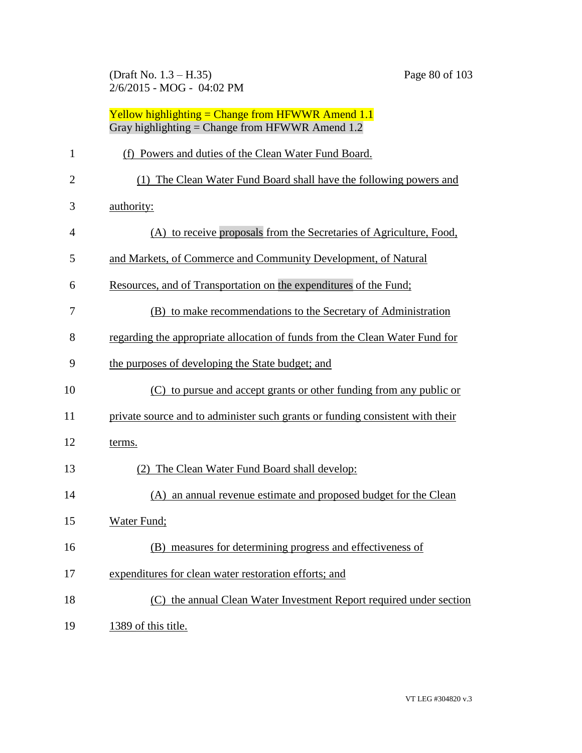(Draft No. 1.3 – H.35) Page 80 of 103 2/6/2015 - MOG - 04:02 PM

|                | Yellow highlighting = Change from HFWWR Amend $1.1$<br>Gray highlighting = Change from HFWWR Amend 1.2 |
|----------------|--------------------------------------------------------------------------------------------------------|
| 1              | (f) Powers and duties of the Clean Water Fund Board.                                                   |
| $\overline{2}$ | (1) The Clean Water Fund Board shall have the following powers and                                     |
| 3              | authority:                                                                                             |
| 4              | (A) to receive proposals from the Secretaries of Agriculture, Food,                                    |
| 5              | and Markets, of Commerce and Community Development, of Natural                                         |
| 6              | Resources, and of Transportation on the expenditures of the Fund;                                      |
| 7              | (B) to make recommendations to the Secretary of Administration                                         |
| 8              | regarding the appropriate allocation of funds from the Clean Water Fund for                            |
| 9              | the purposes of developing the State budget; and                                                       |
| 10             | (C) to pursue and accept grants or other funding from any public or                                    |
| 11             | private source and to administer such grants or funding consistent with their                          |
| 12             | terms.                                                                                                 |
| 13             | (2) The Clean Water Fund Board shall develop:                                                          |
| 14             | (A) an annual revenue estimate and proposed budget for the Clean                                       |
| 15             | Water Fund;                                                                                            |
| 16             | (B) measures for determining progress and effectiveness of                                             |
| 17             | expenditures for clean water restoration efforts; and                                                  |
| 18             | (C) the annual Clean Water Investment Report required under section                                    |
| 19             | 1389 of this title.                                                                                    |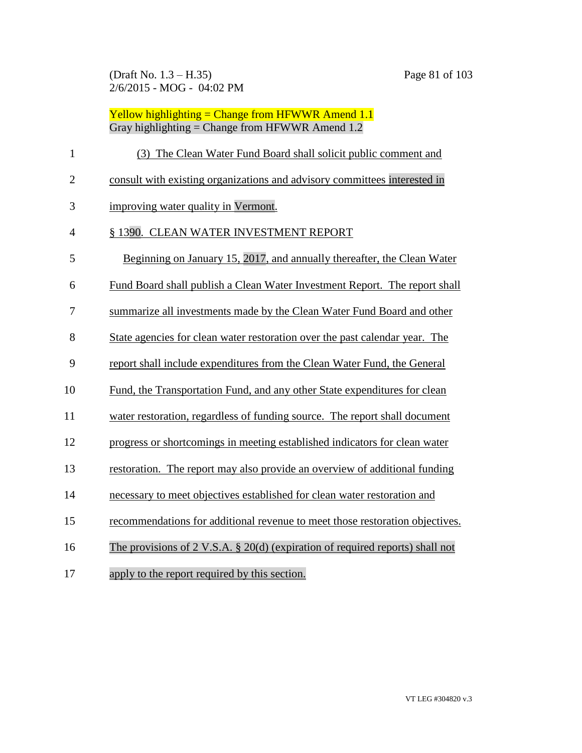#### Yellow highlighting = Change from HFWWR Amend 1.1 Gray highlighting = Change from HFWWR Amend 1.2

| $\mathbf{1}$   | (3) The Clean Water Fund Board shall solicit public comment and               |
|----------------|-------------------------------------------------------------------------------|
| $\overline{2}$ | consult with existing organizations and advisory committees interested in     |
| 3              | improving water quality in Vermont.                                           |
| 4              | § 1390. CLEAN WATER INVESTMENT REPORT                                         |
| 5              | Beginning on January 15, 2017, and annually thereafter, the Clean Water       |
| 6              | Fund Board shall publish a Clean Water Investment Report. The report shall    |
| 7              | summarize all investments made by the Clean Water Fund Board and other        |
| 8              | State agencies for clean water restoration over the past calendar year. The   |
| 9              | report shall include expenditures from the Clean Water Fund, the General      |
| 10             | Fund, the Transportation Fund, and any other State expenditures for clean     |
| 11             | water restoration, regardless of funding source. The report shall document    |
| 12             | progress or shortcomings in meeting established indicators for clean water    |
| 13             | restoration. The report may also provide an overview of additional funding    |
| 14             | necessary to meet objectives established for clean water restoration and      |
| 15             | recommendations for additional revenue to meet those restoration objectives.  |
| 16             | The provisions of 2 V.S.A. § 20(d) (expiration of required reports) shall not |
|                |                                                                               |

apply to the report required by this section.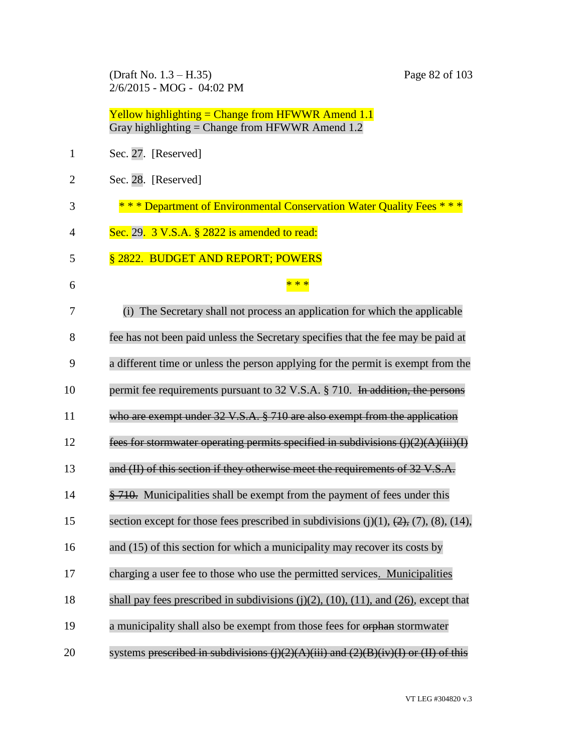(Draft No. 1.3 – H.35) Page 82 of 103 2/6/2015 - MOG - 04:02 PM

|              | Yellow highlighting = Change from HFWWR Amend $1.1$<br>Gray highlighting = Change from HFWWR Amend $1.2$ |
|--------------|----------------------------------------------------------------------------------------------------------|
| $\mathbf{1}$ | Sec. 27. [Reserved]                                                                                      |
| 2            | Sec. 28. [Reserved]                                                                                      |
| 3            | * * * Department of Environmental Conservation Water Quality Fees * * *                                  |
| 4            | Sec. 29. 3 V.S.A. § 2822 is amended to read:                                                             |
| 5            | § 2822. BUDGET AND REPORT; POWERS                                                                        |
| 6            | $**$                                                                                                     |
| 7            | (i) The Secretary shall not process an application for which the applicable                              |
| 8            | fee has not been paid unless the Secretary specifies that the fee may be paid at                         |
| 9            | a different time or unless the person applying for the permit is exempt from the                         |
| 10           | permit fee requirements pursuant to 32 V.S.A. § 710. In addition, the persons                            |
| 11           | who are exempt under $32 \text{ V.S.A. }$ $\frac{8}{9}$ 710 are also exempt from the application         |
| 12           | fees for stormwater operating permits specified in subdivisions $(i)(2)(A)(iii)(I)$                      |
| 13           | and (II) of this section if they otherwise meet the requirements of 32 V.S.A.                            |
| 14           | § 710. Municipalities shall be exempt from the payment of fees under this                                |
| 15           | section except for those fees prescribed in subdivisions $(j)(1)$ , $(2)$ , $(7)$ , $(8)$ , $(14)$ ,     |
| 16           | and (15) of this section for which a municipality may recover its costs by                               |
| 17           | charging a user fee to those who use the permitted services. Municipalities                              |
| 18           | shall pay fees prescribed in subdivisions $(j)(2)$ , $(10)$ , $(11)$ , and $(26)$ , except that          |
| 19           | a municipality shall also be exempt from those fees for orphan stormwater                                |
| 20           | systems prescribed in subdivisions $(i)(2)(A)(iii)$ and $(2)(B)(iv)(I)$ or $(II)$ of this                |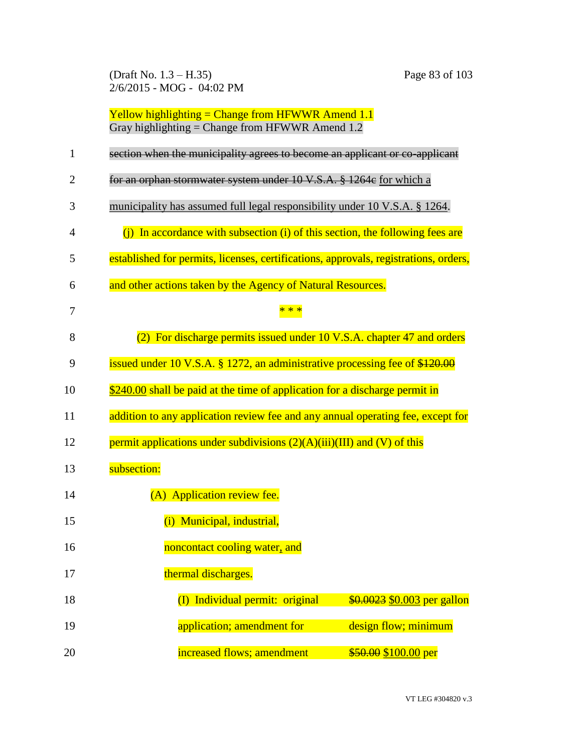(Draft No. 1.3 – H.35) Page 83 of 103 2/6/2015 - MOG - 04:02 PM

| $\mathbf{1}$   | section when the municipality agrees to become an applicant or co-applicant          |
|----------------|--------------------------------------------------------------------------------------|
| $\overline{2}$ | for an orphan stormwater system under 10 V.S.A. § 1264e for which a                  |
| 3              | municipality has assumed full legal responsibility under 10 V.S.A. § 1264.           |
| 4              | In accordance with subsection (i) of this section, the following fees are<br>(i)     |
| 5              | established for permits, licenses, certifications, approvals, registrations, orders, |
| 6              | and other actions taken by the Agency of Natural Resources.                          |
| 7              |                                                                                      |
| 8              | (2) For discharge permits issued under 10 V.S.A. chapter 47 and orders               |
| 9              | issued under 10 V.S.A. § 1272, an administrative processing fee of \$120.00          |
| 10             | \$240.00 shall be paid at the time of application for a discharge permit in          |
| 11             | addition to any application review fee and any annual operating fee, except for      |
| 12             | permit applications under subdivisions $(2)(A)(iii)(III)$ and $(V)$ of this          |
| 13             | subsection:                                                                          |
| 14             | (A) Application review fee.                                                          |
| 15             | (i) Municipal, industrial,                                                           |
| 16             | noncontact cooling water, and                                                        |
| 17             | thermal discharges.                                                                  |
| 18             | (I) Individual permit: original<br>\$0.0023 \$0.003 per gallon                       |
| 19             | design flow; minimum<br>application; amendment for                                   |
| 20             | increased flows; amendment<br>\$50.00 \$100.00 per                                   |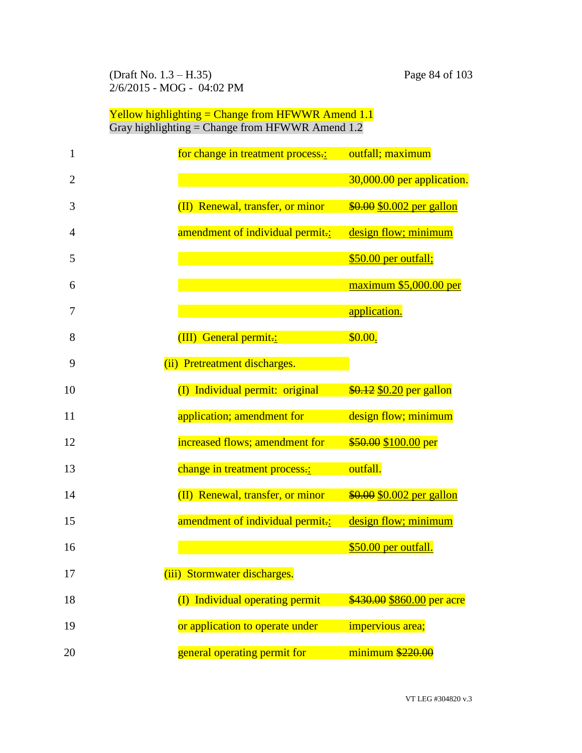(Draft No. 1.3 – H.35) Page 84 of 103 2/6/2015 - MOG - 04:02 PM

| 1  | for change in treatment process.: | outfall; maximum           |
|----|-----------------------------------|----------------------------|
| 2  |                                   | 30,000.00 per application. |
| 3  | (II) Renewal, transfer, or minor  | \$0.00 \$0.002 per gallon  |
| 4  | amendment of individual permit.:  | design flow; minimum       |
| 5  |                                   | \$50.00 per outfall;       |
| 6  |                                   | $maximum$ \$5,000.00 per   |
| 7  |                                   | application.               |
| 8  | (III) General permit.:            | \$0.00.                    |
| 9  | (ii) Pretreatment discharges.     |                            |
| 10 | (I) Individual permit: original   | \$0.12 \$0.20 per gallon   |
| 11 | application; amendment for        | design flow; minimum       |
| 12 | increased flows; amendment for    | \$50.00 \$100.00 per       |
| 13 | change in treatment process.:     | outfall.                   |
| 14 | (II) Renewal, transfer, or minor  | \$0.00 \$0.002 per gallon  |
| 15 | amendment of individual permit-:  | design flow; minimum       |
| 16 |                                   | \$50.00 per outfall.       |
|    |                                   |                            |
| 17 | (iii) Stormwater discharges.      |                            |
| 18 | (I) Individual operating permit   | \$430.00 \$860.00 per acre |
| 19 | or application to operate under   | impervious area;           |
| 20 | general operating permit for      | $minimum$ \$220.00         |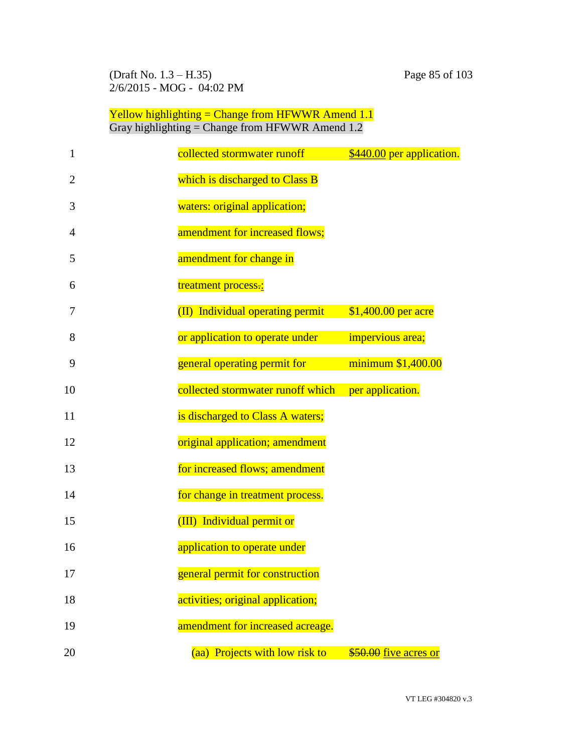(Draft No. 1.3 – H.35) Page 85 of 103 2/6/2015 - MOG - 04:02 PM

| 1              | collected stormwater runoff       | \$440.00 per application. |
|----------------|-----------------------------------|---------------------------|
| $\overline{2}$ | which is discharged to Class B    |                           |
| 3              | waters: original application;     |                           |
| 4              | amendment for increased flows;    |                           |
| 5              | amendment for change in           |                           |
| 6              | treatment process.:               |                           |
| 7              | (II) Individual operating permit  | \$1,400.00 per acre       |
| 8              | or application to operate under   | impervious area;          |
| 9              | general operating permit for      | minimum \$1,400.00        |
| 10             | collected stormwater runoff which | per application.          |
| 11             | is discharged to Class A waters;  |                           |
| 12             | original application; amendment   |                           |
| 13             | for increased flows; amendment    |                           |
| 14             | for change in treatment process.  |                           |
| 15             | (III) Individual permit or        |                           |
| 16             | application to operate under      |                           |
| 17             | general permit for construction   |                           |
| 18             | activities; original application; |                           |
| 19             | amendment for increased acreage.  |                           |
| 20             | (aa) Projects with low risk to    | \$50.00 five acres or     |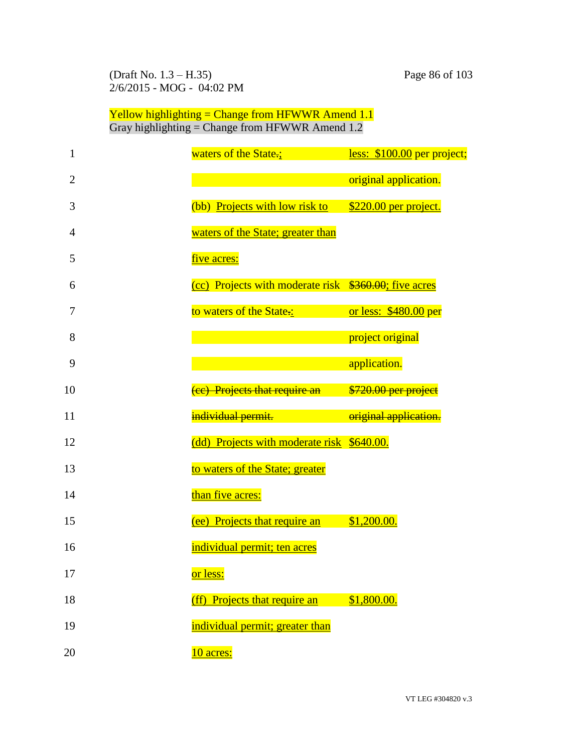| 1              | waters of the State.;                                 | less: \$100.00 per project; |
|----------------|-------------------------------------------------------|-----------------------------|
| $\overline{2}$ |                                                       | original application.       |
| 3              | (bb) Projects with low risk to                        | \$220.00 per project.       |
| $\overline{4}$ | waters of the State; greater than                     |                             |
| 5              | five acres:                                           |                             |
| 6              | (cc) Projects with moderate risk \$360.00; five acres |                             |
| 7              | to waters of the State.:                              | or less: \$480.00 per       |
| 8              |                                                       | project original            |
| 9              |                                                       | application.                |
| 10             | (ee) Projects that require an                         | \$720.00 per project        |
| 11             | individual permit.                                    | original application.       |
| 12             | (dd) Projects with moderate risk \$640.00.            |                             |
| 13             | to waters of the State; greater                       |                             |
| 14             | than five acres:                                      |                             |
| 15             | (ee) Projects that require an                         | \$1,200.00.                 |
| 16             | individual permit; ten acres                          |                             |
| 17             | or less:                                              |                             |
| 18             | (ff) Projects that require an                         | \$1,800.00.                 |
| 19             | individual permit; greater than                       |                             |
| 20             | 10 acres:                                             |                             |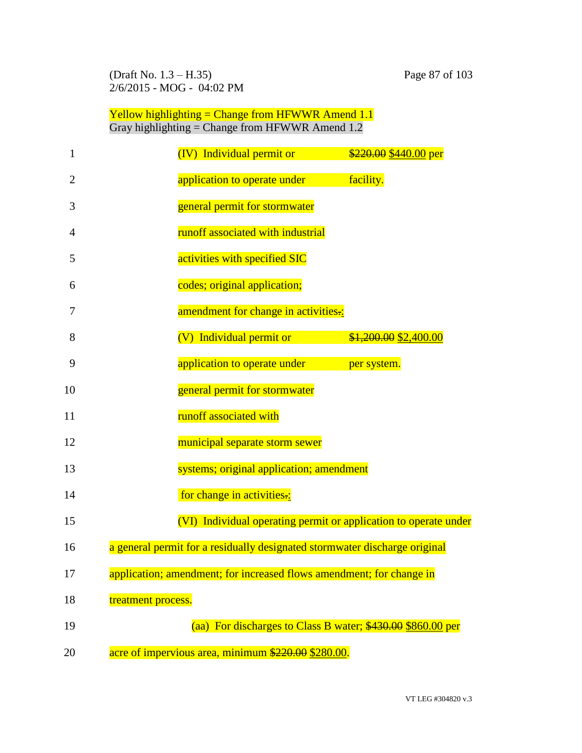(Draft No. 1.3 – H.35) Page 87 of 103 2/6/2015 - MOG - 04:02 PM

| $\mathbf{1}$   | (IV) Individual permit or<br>\$220.00 \$440.00 per                         |
|----------------|----------------------------------------------------------------------------|
| $\overline{2}$ | application to operate under<br>facility.                                  |
| 3              | general permit for stormwater                                              |
| 4              | runoff associated with industrial                                          |
| 5              | activities with specified SIC                                              |
| 6              | codes; original application;                                               |
| 7              | amendment for change in activities.:                                       |
| 8              | (V) Individual permit or<br>\$1,200.00 \$2,400.00                          |
| 9              | application to operate under<br>per system.                                |
| 10             | general permit for stormwater                                              |
| 11             | runoff associated with                                                     |
| 12             | municipal separate storm sewer                                             |
| 13             | systems; original application; amendment                                   |
| 14             | for change in activities.:                                                 |
| 15             | (VI) Individual operating permit or application to operate under           |
| 16             | a general permit for a residually designated stormwater discharge original |
| 17             | application; amendment; for increased flows amendment; for change in       |
| 18             | treatment process.                                                         |
| 19             | (aa) For discharges to Class B water; \$430.00 \$860.00 per                |
| 20             | acre of impervious area, minimum \$220.00 \$280.00.                        |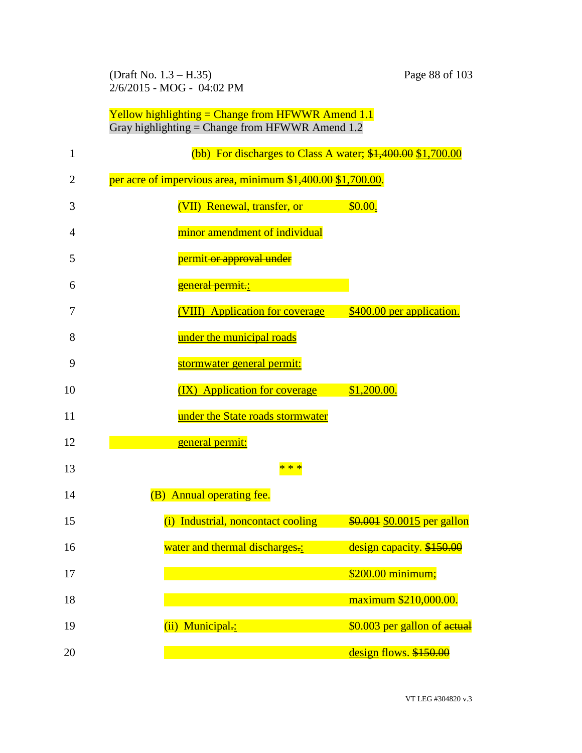(Draft No. 1.3 – H.35) Page 88 of 103 2/6/2015 - MOG - 04:02 PM

| $\mathbf{1}$ | (bb) For discharges to Class A water; $$1,400.00$ \$1,700.00 |                              |
|--------------|--------------------------------------------------------------|------------------------------|
| 2            | per acre of impervious area, minimum \$1,400.00 \$1,700.00.  |                              |
| 3            | (VII) Renewal, transfer, or                                  | \$0.00.                      |
| 4            | minor amendment of individual                                |                              |
| 5            | permit-or approval under                                     |                              |
| 6            | general permit.:                                             |                              |
| 7            | (VIII) Application for coverage                              | \$400.00 per application.    |
| 8            | under the municipal roads                                    |                              |
| 9            | stormwater general permit:                                   |                              |
| 10           | (IX) Application for coverage                                | \$1,200.00.                  |
| 11           | under the State roads stormwater                             |                              |
| 12           | general permit:                                              |                              |
| 13           | * * *                                                        |                              |
| 14           | (B) Annual operating fee.                                    |                              |
| 15           | (i) Industrial, noncontact cooling                           | \$0.001 \$0.0015 per gallon  |
| 16           | water and thermal discharges.:                               | design capacity. \$150.00    |
| 17           |                                                              | \$200.00 minimum;            |
| 18           |                                                              | maximum \$210,000.00.        |
| 19           | (ii) Municipal.:                                             | \$0.003 per gallon of actual |
| 20           |                                                              | design flows. \$150.00       |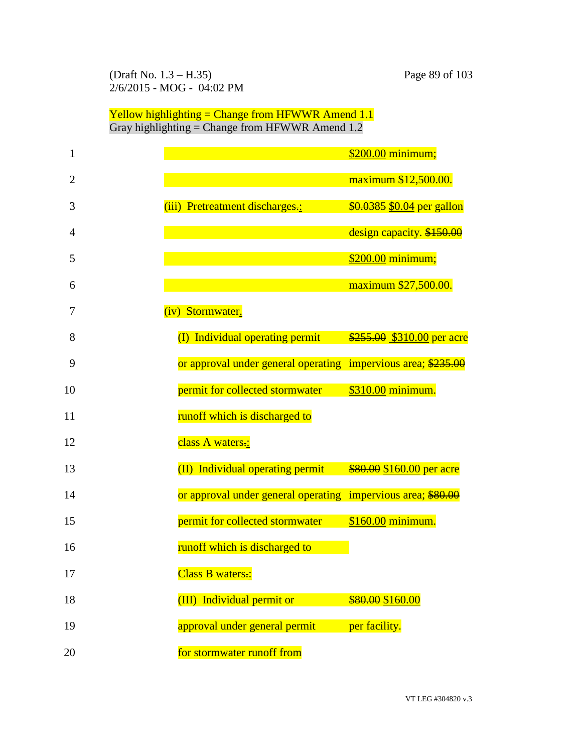#### (Draft No. 1.3 – H.35) Page 89 of 103 2/6/2015 - MOG - 04:02 PM

| 1              |                                                               | \$200.00 minimum;          |
|----------------|---------------------------------------------------------------|----------------------------|
| $\overline{2}$ |                                                               | maximum \$12,500.00.       |
| 3              | (iii) Pretreatment discharges-:                               | \$0.0385 \$0.04 per gallon |
| 4              |                                                               | design capacity. \$150.00  |
| 5              |                                                               | \$200.00 minimum;          |
| 6              |                                                               | maximum \$27,500.00.       |
| 7              | (iv) Stormwater.                                              |                            |
| 8              | (I) Individual operating permit                               | \$255.00 \$310.00 per acre |
| 9              | or approval under general operating impervious area; \$235.00 |                            |
| 10             | permit for collected stormwater                               | \$310.00 minimum.          |
| 11             | runoff which is discharged to                                 |                            |
| 12             | class A waters.:                                              |                            |
| 13             | (II) Individual operating permit                              | \$80.00 \$160.00 per acre  |
| 14             | or approval under general operating impervious area; \$80.00  |                            |
| 15             | permit for collected stormwater                               | \$160.00 minimum.          |
| 16             | runoff which is discharged to                                 |                            |
| 17             | Class B waters.:                                              |                            |
| 18             | (III) Individual permit or                                    | \$80.00 \$160.00           |
| 19             | approval under general permit                                 | per facility.              |
| 20             | for stormwater runoff from                                    |                            |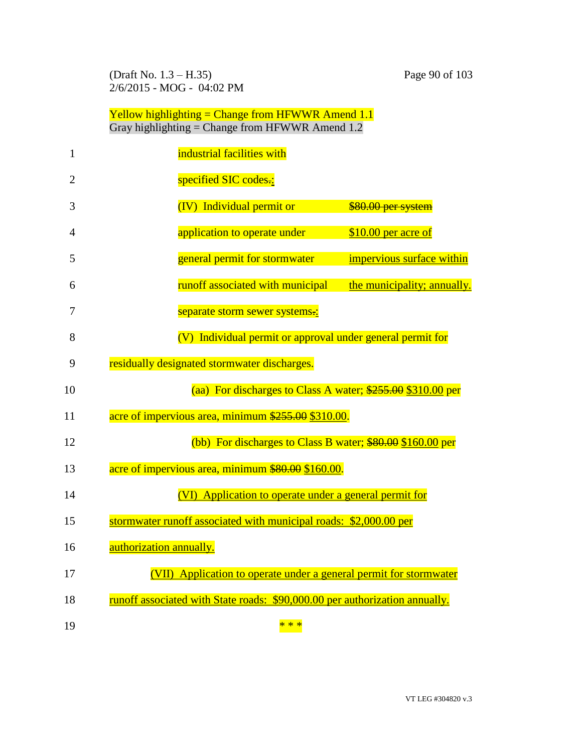(Draft No. 1.3 – H.35) Page 90 of 103 2/6/2015 - MOG - 04:02 PM

| 1              | industrial facilities with                                                  |
|----------------|-----------------------------------------------------------------------------|
| $\overline{2}$ | specified SIC codes.:                                                       |
| 3              | (IV) Individual permit or<br>\$80.00 per system                             |
| 4              | application to operate under<br>\$10.00 per acre of                         |
| 5              | general permit for stormwater<br>impervious surface within                  |
| 6              | runoff associated with municipal<br>the municipality; annually.             |
| 7              | separate storm sewer systems.:                                              |
| 8              | (V) Individual permit or approval under general permit for                  |
| 9              | residually designated stormwater discharges.                                |
| 10             | (aa) For discharges to Class A water; \$255.00 \$310.00 per                 |
| 11             | acre of impervious area, minimum \$255.00 \$310.00.                         |
| 12             | (bb) For discharges to Class B water; \$80.00 \$160.00 per                  |
| 13             | acre of impervious area, minimum \$80.00 \$160.00.                          |
| 14             | (VI) Application to operate under a general permit for                      |
| 15             | stormwater runoff associated with municipal roads: \$2,000.00 per           |
| 16             | authorization annually.                                                     |
| 17             | (VII) Application to operate under a general permit for stormwater          |
| 18             | runoff associated with State roads: \$90,000.00 per authorization annually. |
| 19             | * * *                                                                       |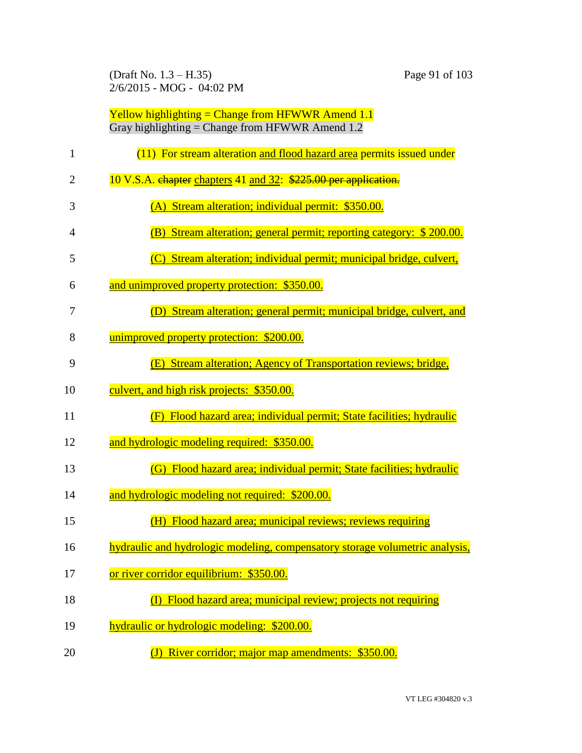(Draft No. 1.3 – H.35) Page 91 of 103 2/6/2015 - MOG - 04:02 PM

| 1  | (11) For stream alteration and flood hazard area permits issued under        |
|----|------------------------------------------------------------------------------|
| 2  | 10 V.S.A. chapter chapters 41 and 32: \$225.00 per application.              |
| 3  | (A) Stream alteration; individual permit: \$350.00.                          |
| 4  | Stream alteration; general permit; reporting category: \$200.00.<br>(B)      |
| 5  | (C) Stream alteration; individual permit; municipal bridge, culvert,         |
| 6  | and unimproved property protection: \$350.00.                                |
| 7  | (D) Stream alteration; general permit; municipal bridge, culvert, and        |
| 8  | unimproved property protection: \$200.00.                                    |
| 9  | (E) Stream alteration; Agency of Transportation reviews; bridge,             |
| 10 | culvert, and high risk projects: \$350.00.                                   |
| 11 | (F) Flood hazard area; individual permit; State facilities; hydraulic        |
| 12 | and hydrologic modeling required: \$350.00.                                  |
| 13 | (G) Flood hazard area; individual permit; State facilities; hydraulic        |
| 14 | and hydrologic modeling not required: \$200.00.                              |
| 15 | (H) Flood hazard area; municipal reviews; reviews requiring                  |
| 16 | hydraulic and hydrologic modeling, compensatory storage volumetric analysis, |
| 17 | or river corridor equilibrium: \$350.00.                                     |
| 18 | Flood hazard area; municipal review; projects not requiring                  |
| 19 | hydraulic or hydrologic modeling: \$200.00.                                  |
| 20 | River corridor; major map amendments: \$350.00.                              |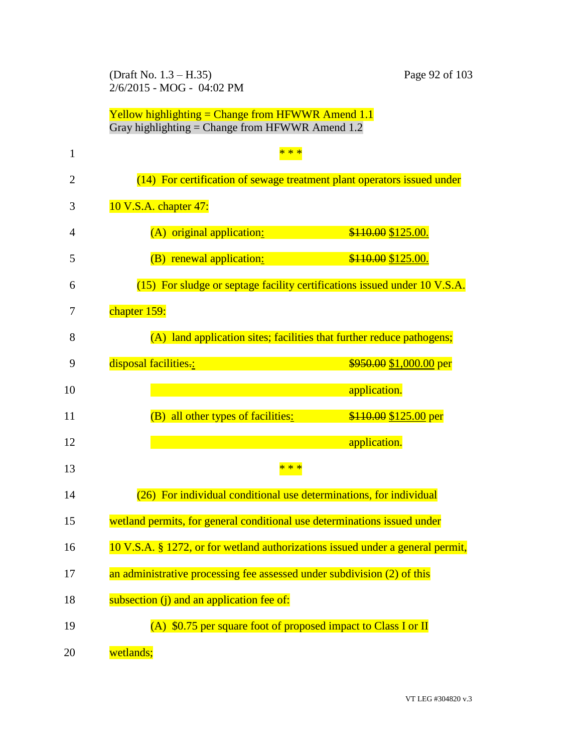(Draft No. 1.3 – H.35) Page 92 of 103 2/6/2015 - MOG - 04:02 PM

| 1              | $* *$                                                                          |
|----------------|--------------------------------------------------------------------------------|
| $\overline{2}$ | (14) For certification of sewage treatment plant operators issued under        |
| 3              | 10 V.S.A. chapter 47:                                                          |
| 4              | (A) original application:<br>\$110.00 \$125.00.                                |
| 5              | (B) renewal application:<br>\$110.00 \$125.00.                                 |
| 6              | (15) For sludge or septage facility certifications issued under 10 V.S.A.      |
| 7              | chapter 159:                                                                   |
| 8              | (A) land application sites; facilities that further reduce pathogens;          |
| 9              | disposal facilities.:<br>$$950.00 $1,000.00$ per                               |
| 10             | application.                                                                   |
| 11             | (B) all other types of facilities:<br>\$110.00 \$125.00 per                    |
| 12             | application.                                                                   |
| 13             | * * *                                                                          |
| 14             | (26) For individual conditional use determinations, for individual             |
| 15             | wetland permits, for general conditional use determinations issued under       |
| 16             | 10 V.S.A. § 1272, or for wetland authorizations issued under a general permit, |
| 17             | an administrative processing fee assessed under subdivision (2) of this        |
| 18             | subsection (j) and an application fee of:                                      |
| 19             | (A) \$0.75 per square foot of proposed impact to Class I or II                 |
| 20             | wetlands;                                                                      |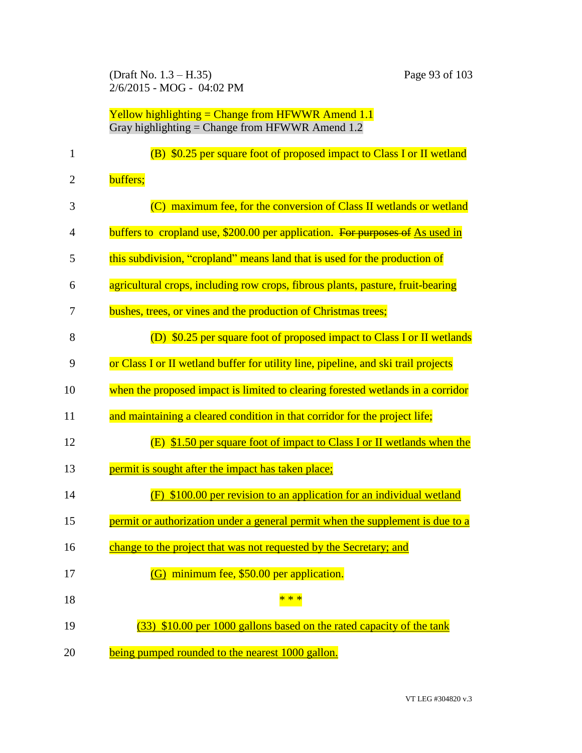(Draft No. 1.3 – H.35) Page 93 of 103 2/6/2015 - MOG - 04:02 PM

| $\mathbf{1}$   | (B) \$0.25 per square foot of proposed impact to Class I or II wetland             |
|----------------|------------------------------------------------------------------------------------|
| $\overline{c}$ | buffers;                                                                           |
| 3              | (C) maximum fee, for the conversion of Class II wetlands or wetland                |
| 4              | buffers to cropland use, \$200.00 per application. For purposes of As used in      |
| 5              | this subdivision, "cropland" means land that is used for the production of         |
| 6              | agricultural crops, including row crops, fibrous plants, pasture, fruit-bearing    |
| 7              | bushes, trees, or vines and the production of Christmas trees;                     |
| 8              | (D) \$0.25 per square foot of proposed impact to Class I or II wetlands            |
| 9              | or Class I or II wetland buffer for utility line, pipeline, and ski trail projects |
| 10             | when the proposed impact is limited to clearing forested wetlands in a corridor    |
| 11             | and maintaining a cleared condition in that corridor for the project life;         |
| 12             | (E) \$1.50 per square foot of impact to Class I or II wetlands when the            |
| 13             | permit is sought after the impact has taken place;                                 |
| 14             | \$100.00 per revision to an application for an individual wetland<br>(F)           |
| 15             | permit or authorization under a general permit when the supplement is due to a     |
| 16             | change to the project that was not requested by the Secretary; and                 |
| 17             | (G) minimum fee, \$50.00 per application.                                          |
| 18             | * * *                                                                              |
| 19             | (33) \$10.00 per 1000 gallons based on the rated capacity of the tank              |
| 20             | being pumped rounded to the nearest 1000 gallon.                                   |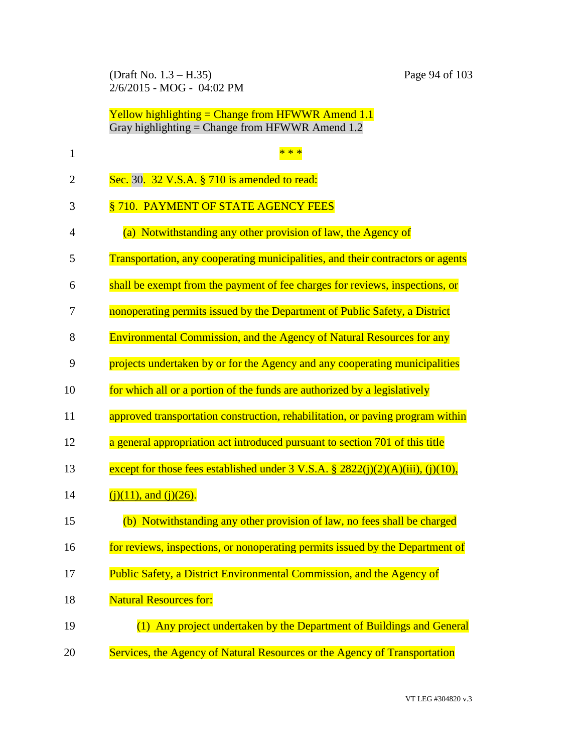(Draft No. 1.3 – H.35) Page 94 of 103 2/6/2015 - MOG - 04:02 PM

| $\mathbf{1}$   |                                                                                              |
|----------------|----------------------------------------------------------------------------------------------|
| $\overline{2}$ | Sec. 30. 32 V.S.A. § 710 is amended to read:                                                 |
| 3              | §710. PAYMENT OF STATE AGENCY FEES                                                           |
| 4              | (a) Notwithstanding any other provision of law, the Agency of                                |
| 5              | Transportation, any cooperating municipalities, and their contractors or agents              |
| 6              | shall be exempt from the payment of fee charges for reviews, inspections, or                 |
| 7              | nonoperating permits issued by the Department of Public Safety, a District                   |
| 8              | <b>Environmental Commission, and the Agency of Natural Resources for any</b>                 |
| 9              | projects undertaken by or for the Agency and any cooperating municipalities                  |
| 10             | for which all or a portion of the funds are authorized by a legislatively                    |
| 11             | approved transportation construction, rehabilitation, or paving program within               |
| 12             | a general appropriation act introduced pursuant to section 701 of this title                 |
| 13             | except for those fees established under $3 \text{ V.S.A.}$ $\S 2822(i)(2)(A)(iii), (i)(10),$ |
| 14             | $(i)(11)$ , and $(i)(26)$ .                                                                  |
| 15             | (b) Notwithstanding any other provision of law, no fees shall be charged                     |
| 16             | for reviews, inspections, or nonoperating permits issued by the Department of                |
| 17             | Public Safety, a District Environmental Commission, and the Agency of                        |
| 18             | <b>Natural Resources for:</b>                                                                |
| 19             | (1) Any project undertaken by the Department of Buildings and General                        |
| 20             | Services, the Agency of Natural Resources or the Agency of Transportation                    |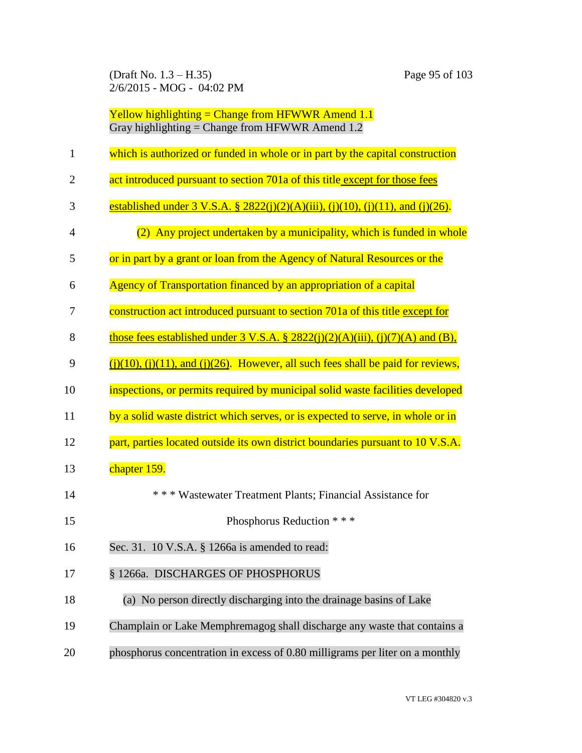(Draft No. 1.3 – H.35) Page 95 of 103 2/6/2015 - MOG - 04:02 PM

| 1              | which is authorized or funded in whole or in part by the capital construction             |
|----------------|-------------------------------------------------------------------------------------------|
| $\overline{2}$ | act introduced pursuant to section 701a of this title except for those fees               |
| 3              | established under 3 V.S.A. § 2822(j)(2)(A)(iii), (j)(10), (j)(11), and (j)(26).           |
| $\overline{4}$ | (2) Any project undertaken by a municipality, which is funded in whole                    |
| 5              | or in part by a grant or loan from the Agency of Natural Resources or the                 |
| 6              | Agency of Transportation financed by an appropriation of a capital                        |
| 7              | construction act introduced pursuant to section 701a of this title except for             |
| 8              | those fees established under $3$ V.S.A. § 2822(j)(2)(A)(iii), (j)(7)(A) and (B),          |
| 9              | $(i)(10)$ , $(i)(11)$ , and $(i)(26)$ . However, all such fees shall be paid for reviews, |
| 10             | inspections, or permits required by municipal solid waste facilities developed            |
| 11             | by a solid waste district which serves, or is expected to serve, in whole or in           |
| 12             | part, parties located outside its own district boundaries pursuant to 10 V.S.A.           |
| 13             | chapter 159.                                                                              |
| 14             | *** Wastewater Treatment Plants; Financial Assistance for                                 |
| 15             | Phosphorus Reduction * * *                                                                |
| 16             | Sec. 31. 10 V.S.A. § 1266a is amended to read:                                            |
| 17             | § 1266a. DISCHARGES OF PHOSPHORUS                                                         |
| 18             | (a) No person directly discharging into the drainage basins of Lake                       |
| 19             | Champlain or Lake Memphremagog shall discharge any waste that contains a                  |
| 20             | phosphorus concentration in excess of 0.80 milligrams per liter on a monthly              |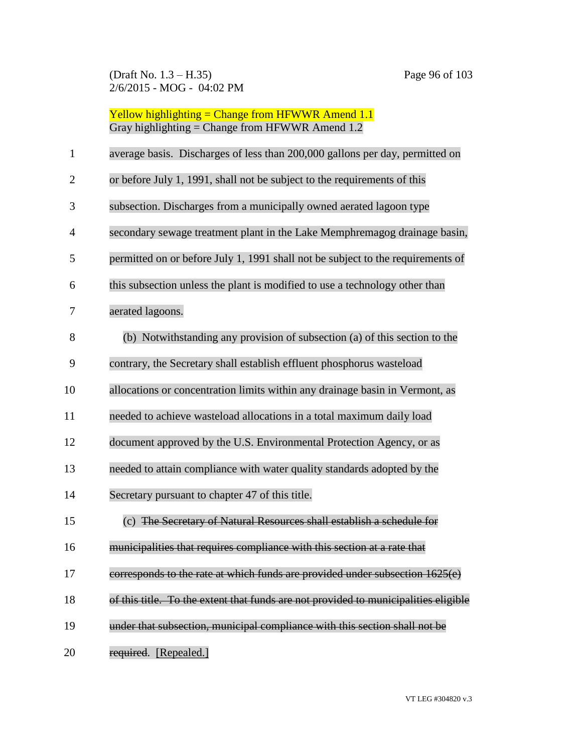(Draft No. 1.3 – H.35) Page 96 of 103 2/6/2015 - MOG - 04:02 PM

| <b>Yellow highlighting = Change from HFWWR Amend 1.1</b> |
|----------------------------------------------------------|
| Gray highlighting = Change from HFWWR Amend $1.2$        |

| 1  | average basis. Discharges of less than 200,000 gallons per day, permitted on        |
|----|-------------------------------------------------------------------------------------|
| 2  | or before July 1, 1991, shall not be subject to the requirements of this            |
| 3  | subsection. Discharges from a municipally owned aerated lagoon type                 |
| 4  | secondary sewage treatment plant in the Lake Memphremagog drainage basin,           |
| 5  | permitted on or before July 1, 1991 shall not be subject to the requirements of     |
| 6  | this subsection unless the plant is modified to use a technology other than         |
| 7  | aerated lagoons.                                                                    |
| 8  | (b) Notwithstanding any provision of subsection (a) of this section to the          |
| 9  | contrary, the Secretary shall establish effluent phosphorus wasteload               |
| 10 | allocations or concentration limits within any drainage basin in Vermont, as        |
| 11 | needed to achieve wasteload allocations in a total maximum daily load               |
| 12 | document approved by the U.S. Environmental Protection Agency, or as                |
| 13 | needed to attain compliance with water quality standards adopted by the             |
| 14 | Secretary pursuant to chapter 47 of this title.                                     |
| 15 | (c) The Secretary of Natural Resources shall establish a schedule for               |
| 16 | municipalities that requires compliance with this section at a rate that            |
| 17 | corresponds to the rate at which funds are provided under subsection 1625(e)        |
| 18 | of this title. To the extent that funds are not provided to municipalities eligible |
| 19 | under that subsection, municipal compliance with this section shall not be          |
| 20 | required. [Repealed.]                                                               |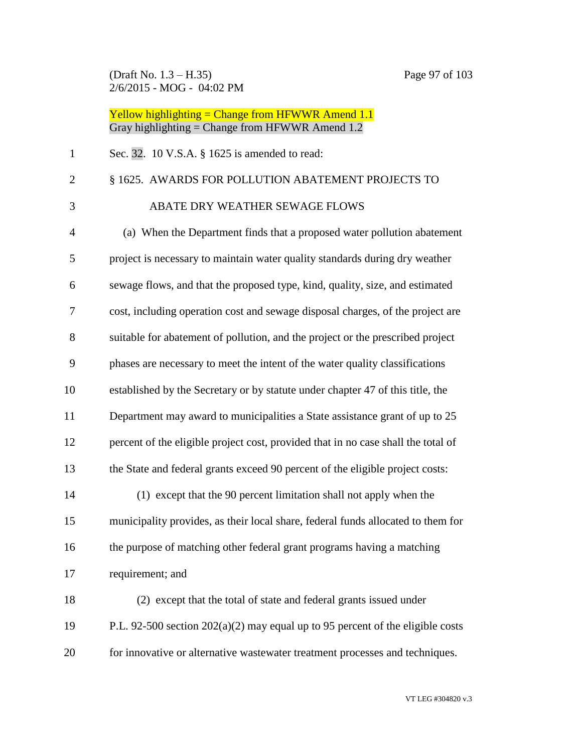(Draft No. 1.3 – H.35) Page 97 of 103 2/6/2015 - MOG - 04:02 PM

# Yellow highlighting = Change from HFWWR Amend 1.1 Gray highlighting = Change from HFWWR Amend 1.2

| $\mathbf{1}$ | Sec. 32. 10 V.S.A. § 1625 is amended to read:                                     |
|--------------|-----------------------------------------------------------------------------------|
| $\mathbf{2}$ | § 1625. AWARDS FOR POLLUTION ABATEMENT PROJECTS TO                                |
| 3            | ABATE DRY WEATHER SEWAGE FLOWS                                                    |
| 4            | (a) When the Department finds that a proposed water pollution abatement           |
| 5            | project is necessary to maintain water quality standards during dry weather       |
| 6            | sewage flows, and that the proposed type, kind, quality, size, and estimated      |
| 7            | cost, including operation cost and sewage disposal charges, of the project are    |
| 8            | suitable for abatement of pollution, and the project or the prescribed project    |
| 9            | phases are necessary to meet the intent of the water quality classifications      |
| 10           | established by the Secretary or by statute under chapter 47 of this title, the    |
| 11           | Department may award to municipalities a State assistance grant of up to 25       |
| 12           | percent of the eligible project cost, provided that in no case shall the total of |
| 13           | the State and federal grants exceed 90 percent of the eligible project costs:     |
| 14           | (1) except that the 90 percent limitation shall not apply when the                |
| 15           | municipality provides, as their local share, federal funds allocated to them for  |
| 16           | the purpose of matching other federal grant programs having a matching            |
| 17           | requirement; and                                                                  |
| 18           | (2) except that the total of state and federal grants issued under                |
| 19           | P.L. 92-500 section $202(a)(2)$ may equal up to 95 percent of the eligible costs  |
| 20           | for innovative or alternative wastewater treatment processes and techniques.      |

VT LEG #304820 v.3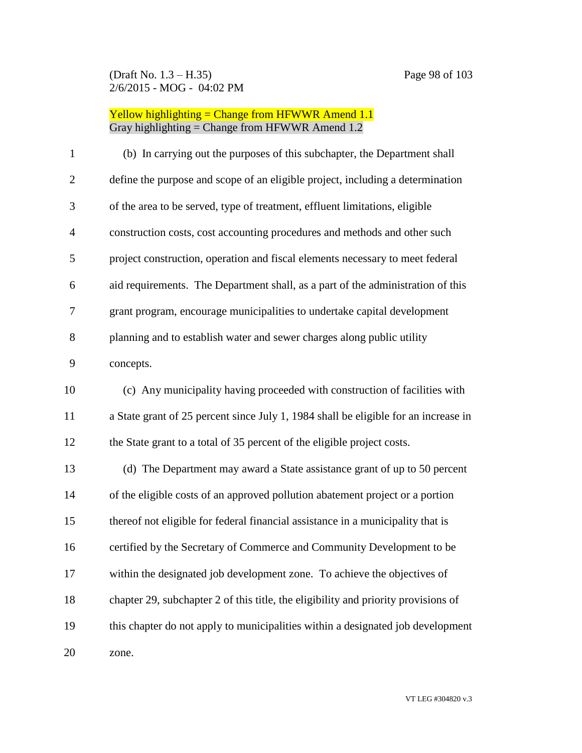#### (Draft No. 1.3 – H.35) Page 98 of 103 2/6/2015 - MOG - 04:02 PM

| $\mathbf{1}$   | (b) In carrying out the purposes of this subchapter, the Department shall           |
|----------------|-------------------------------------------------------------------------------------|
| $\overline{2}$ | define the purpose and scope of an eligible project, including a determination      |
| 3              | of the area to be served, type of treatment, effluent limitations, eligible         |
| $\overline{4}$ | construction costs, cost accounting procedures and methods and other such           |
| 5              | project construction, operation and fiscal elements necessary to meet federal       |
| 6              | aid requirements. The Department shall, as a part of the administration of this     |
| $\tau$         | grant program, encourage municipalities to undertake capital development            |
| 8              | planning and to establish water and sewer charges along public utility              |
| 9              | concepts.                                                                           |
| 10             | (c) Any municipality having proceeded with construction of facilities with          |
| 11             | a State grant of 25 percent since July 1, 1984 shall be eligible for an increase in |
| 12             | the State grant to a total of 35 percent of the eligible project costs.             |
| 13             | (d) The Department may award a State assistance grant of up to 50 percent           |
| 14             | of the eligible costs of an approved pollution abatement project or a portion       |
| 15             | thereof not eligible for federal financial assistance in a municipality that is     |
| 16             | certified by the Secretary of Commerce and Community Development to be              |
| 17             | within the designated job development zone. To achieve the objectives of            |
| 18             | chapter 29, subchapter 2 of this title, the eligibility and priority provisions of  |
| 19             | this chapter do not apply to municipalities within a designated job development     |
| 20             | zone.                                                                               |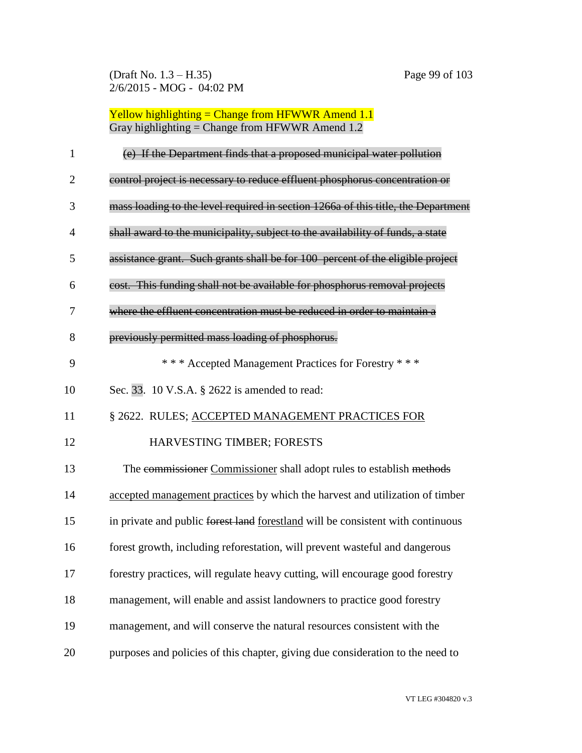| $\mathbf{1}$ | (e) If the Department finds that a proposed municipal water pollution             |
|--------------|-----------------------------------------------------------------------------------|
| 2            | control project is necessary to reduce effluent phosphorus concentration or       |
| 3            | mass loading to the level required in section 1266a of this title, the Department |
| 4            | shall award to the municipality, subject to the availability of funds, a state    |
| 5            | assistance grant. Such grants shall be for 100 percent of the eligible project    |
| 6            | cost. This funding shall not be available for phosphorus removal projects         |
| 7            | where the effluent concentration must be reduced in order to maintain a           |
| 8            | previously permitted mass loading of phosphorus.                                  |
| 9            | *** Accepted Management Practices for Forestry ***                                |
| 10           | Sec. 33. 10 V.S.A. § 2622 is amended to read:                                     |
| 11           | § 2622. RULES; ACCEPTED MANAGEMENT PRACTICES FOR                                  |
| 12           | HARVESTING TIMBER; FORESTS                                                        |
| 13           | The commissioner Commissioner shall adopt rules to establish methods              |
| 14           | accepted management practices by which the harvest and utilization of timber      |
| 15           | in private and public forest land forestland will be consistent with continuous   |
| 16           | forest growth, including reforestation, will prevent wasteful and dangerous       |
| 17           | forestry practices, will regulate heavy cutting, will encourage good forestry     |
| 18           | management, will enable and assist landowners to practice good forestry           |
| 19           | management, and will conserve the natural resources consistent with the           |
| 20           | purposes and policies of this chapter, giving due consideration to the need to    |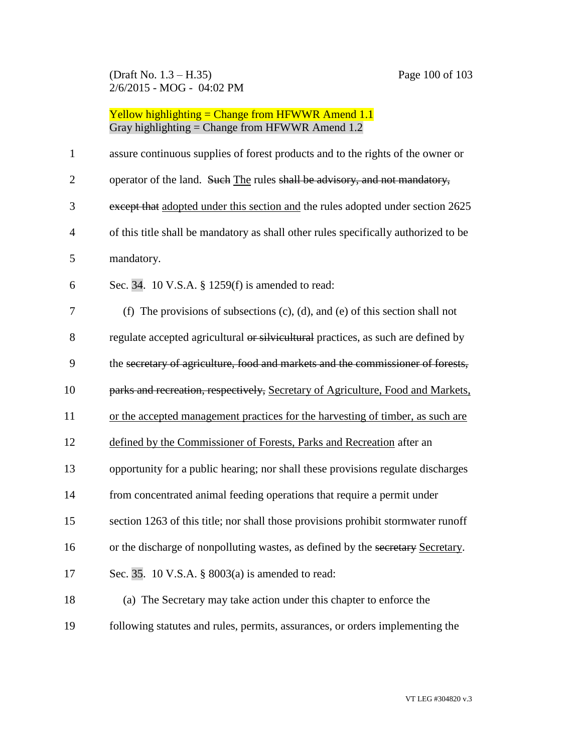(Draft No. 1.3 – H.35) Page 100 of 103 2/6/2015 - MOG - 04:02 PM

| $\mathbf{1}$   | assure continuous supplies of forest products and to the rights of the owner or       |
|----------------|---------------------------------------------------------------------------------------|
| $\overline{2}$ | operator of the land. Such The rules shall be advisory, and not mandatory,            |
| 3              | except that adopted under this section and the rules adopted under section 2625       |
| $\overline{4}$ | of this title shall be mandatory as shall other rules specifically authorized to be   |
| 5              | mandatory.                                                                            |
| 6              | Sec. 34. 10 V.S.A. § 1259(f) is amended to read:                                      |
| 7              | (f) The provisions of subsections $(c)$ , $(d)$ , and $(e)$ of this section shall not |
| 8              | regulate accepted agricultural or silvicultural practices, as such are defined by     |
| 9              | the secretary of agriculture, food and markets and the commissioner of forests,       |
| 10             | parks and recreation, respectively, Secretary of Agriculture, Food and Markets,       |
| 11             | or the accepted management practices for the harvesting of timber, as such are        |
| 12             | defined by the Commissioner of Forests, Parks and Recreation after an                 |
| 13             | opportunity for a public hearing; nor shall these provisions regulate discharges      |
| 14             | from concentrated animal feeding operations that require a permit under               |
| 15             | section 1263 of this title; nor shall those provisions prohibit stormwater runoff     |
| 16             | or the discharge of nonpolluting wastes, as defined by the secretary Secretary.       |
| 17             | Sec. 35. 10 V.S.A. § 8003(a) is amended to read:                                      |
| 18             | (a) The Secretary may take action under this chapter to enforce the                   |
| 19             | following statutes and rules, permits, assurances, or orders implementing the         |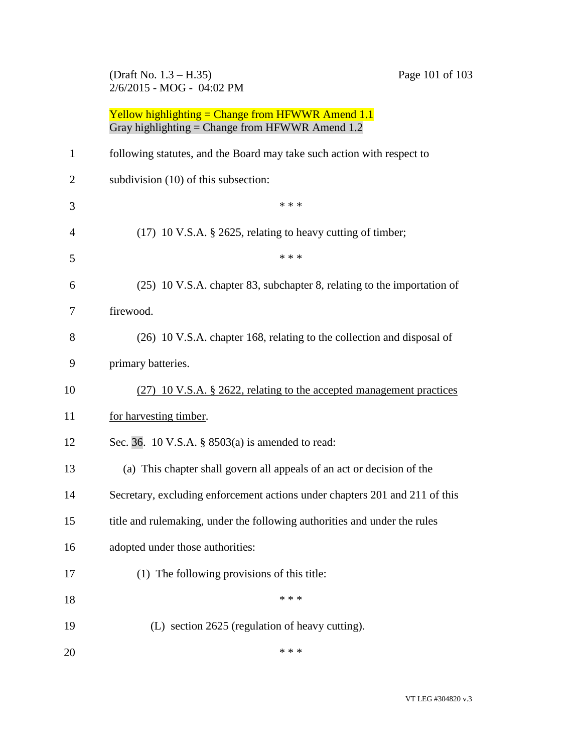## (Draft No. 1.3 – H.35) Page 101 of 103 2/6/2015 - MOG - 04:02 PM

| 1              | following statutes, and the Board may take such action with respect to      |
|----------------|-----------------------------------------------------------------------------|
| $\overline{2}$ | subdivision (10) of this subsection:                                        |
| 3              | * * *                                                                       |
| 4              | $(17)$ 10 V.S.A. § 2625, relating to heavy cutting of timber;               |
| 5              | * * *                                                                       |
| 6              | (25) 10 V.S.A. chapter 83, subchapter 8, relating to the importation of     |
| 7              | firewood.                                                                   |
| 8              | (26) 10 V.S.A. chapter 168, relating to the collection and disposal of      |
| 9              | primary batteries.                                                          |
| 10             | (27) 10 V.S.A. § 2622, relating to the accepted management practices        |
| 11             | for harvesting timber.                                                      |
| 12             | Sec. 36. 10 V.S.A. § 8503(a) is amended to read:                            |
| 13             | (a) This chapter shall govern all appeals of an act or decision of the      |
| 14             | Secretary, excluding enforcement actions under chapters 201 and 211 of this |
| 15             | title and rulemaking, under the following authorities and under the rules   |
| 16             | adopted under those authorities:                                            |
| 17             | (1) The following provisions of this title:                                 |
| 18             | * * *                                                                       |
| 19             | (L) section 2625 (regulation of heavy cutting).                             |
| 20             | * * *                                                                       |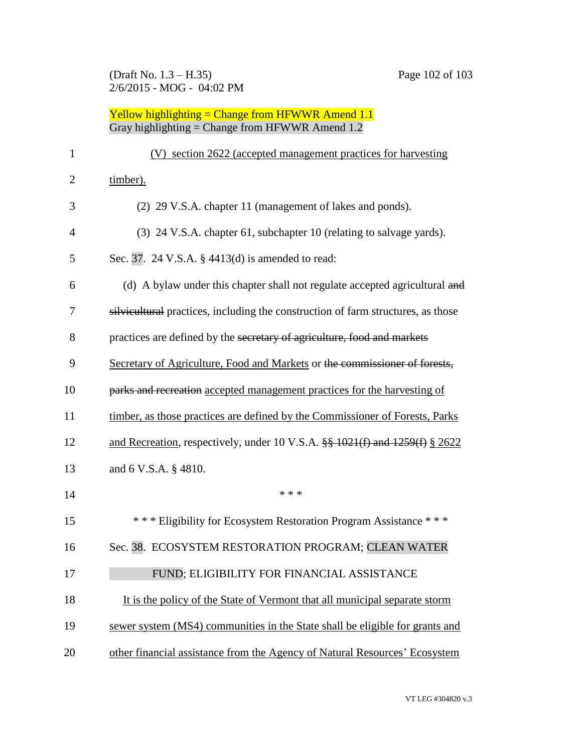| $\mathbf{1}$   | (V) section 2622 (accepted management practices for harvesting                          |
|----------------|-----------------------------------------------------------------------------------------|
| $\overline{2}$ | timber).                                                                                |
| 3              | (2) 29 V.S.A. chapter 11 (management of lakes and ponds).                               |
| 4              | (3) 24 V.S.A. chapter 61, subchapter 10 (relating to salvage yards).                    |
| 5              | Sec. 37. 24 V.S.A. § 4413(d) is amended to read:                                        |
| 6              | (d) A bylaw under this chapter shall not regulate accepted agricultural and             |
| 7              | silvicultural practices, including the construction of farm structures, as those        |
| 8              | practices are defined by the secretary of agriculture, food and markets                 |
| 9              | Secretary of Agriculture, Food and Markets or the commissioner of forests,              |
| 10             | parks and recreation accepted management practices for the harvesting of                |
| 11             | timber, as those practices are defined by the Commissioner of Forests, Parks            |
| 12             | and Recreation, respectively, under 10 V.S.A. $\frac{88}{9}$ 1021(f) and 1259(f) § 2622 |
| 13             | and 6 V.S.A. § 4810.                                                                    |
| 14             | * * *                                                                                   |
| 15             | *** Eligibility for Ecosystem Restoration Program Assistance ***                        |
| 16             | Sec. 38. ECOSYSTEM RESTORATION PROGRAM; CLEAN WATER                                     |
| 17             | FUND; ELIGIBILITY FOR FINANCIAL ASSISTANCE                                              |
| 18             | It is the policy of the State of Vermont that all municipal separate storm              |
| 19             | sewer system (MS4) communities in the State shall be eligible for grants and            |
| 20             | other financial assistance from the Agency of Natural Resources' Ecosystem              |